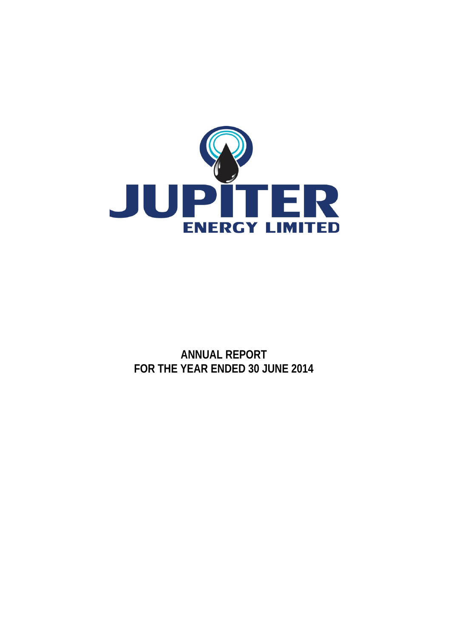

**ANNUAL REPORT FOR THE YEAR ENDED 30 JUNE 2014**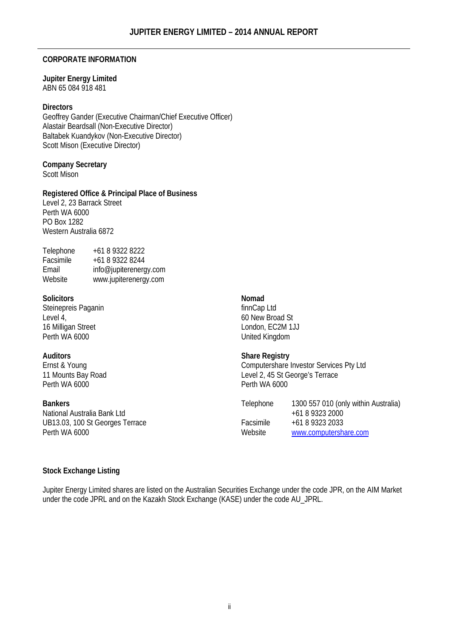#### **CORPORATE INFORMATION**

# **Jupiter Energy Limited**

ABN 65 084 918 481

# **Directors**

Geoffrey Gander (Executive Chairman/Chief Executive Officer) Alastair Beardsall (Non-Executive Director) Baltabek Kuandykov (Non-Executive Director) Scott Mison (Executive Director)

# **Company Secretary**

Scott Mison

#### **Registered Office & Principal Place of Business**

Level 2, 23 Barrack Street Perth WA 6000 PO Box 1282 Western Australia 6872

| +61 8 9322 8222        |
|------------------------|
| +61 8 9322 8244        |
| info@jupiterenergy.com |
| www.jupiterenergy.com  |
|                        |

#### **Solicitors**

Steinepreis Paganin Level 4, 16 Milligan Street Perth WA 6000

#### **Auditors**

Ernst & Young 11 Mounts Bay Road Perth WA 6000

#### **Bankers**

National Australia Bank Ltd UB13.03, 100 St Georges Terrace Perth WA 6000

# **Nomad**

finnCap Ltd 60 New Broad St London, EC2M 1JJ United Kingdom

#### **Share Registry**

Computershare Investor Services Pty Ltd Level 2, 45 St George's Terrace Perth WA 6000

| Telephone | 1300 557 010 (only within Australia) |
|-----------|--------------------------------------|
|           | +61 8 9323 2000                      |
| Facsimile | +61 8 9323 2033                      |
| Website   | www.computershare.com                |

# **Stock Exchange Listing**

Jupiter Energy Limited shares are listed on the Australian Securities Exchange under the code JPR, on the AIM Market under the code JPRL and on the Kazakh Stock Exchange (KASE) under the code AU\_JPRL.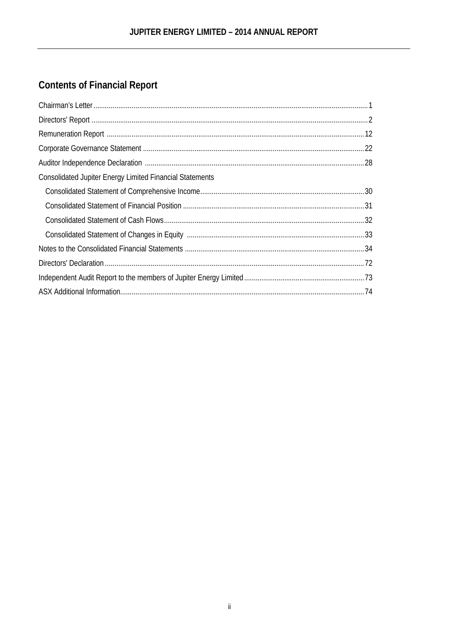# **Contents of Financial Report**

| Consolidated Jupiter Energy Limited Financial Statements |
|----------------------------------------------------------|
|                                                          |
|                                                          |
|                                                          |
|                                                          |
|                                                          |
|                                                          |
|                                                          |
|                                                          |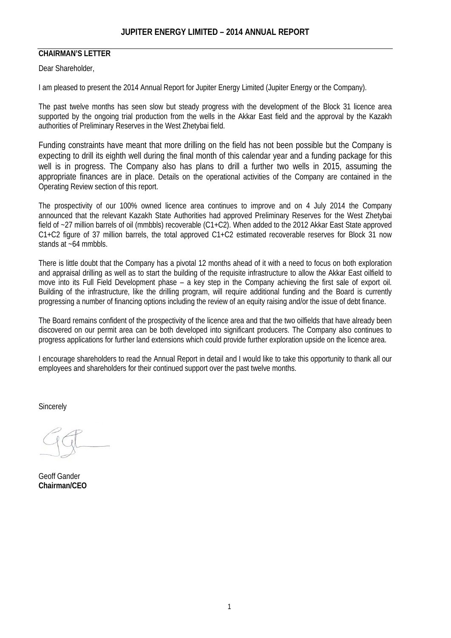# **CHAIRMAN'S LETTER**

Dear Shareholder,

I am pleased to present the 2014 Annual Report for Jupiter Energy Limited (Jupiter Energy or the Company).

The past twelve months has seen slow but steady progress with the development of the Block 31 licence area supported by the ongoing trial production from the wells in the Akkar East field and the approval by the Kazakh authorities of Preliminary Reserves in the West Zhetybai field.

Funding constraints have meant that more drilling on the field has not been possible but the Company is expecting to drill its eighth well during the final month of this calendar year and a funding package for this well is in progress. The Company also has plans to drill a further two wells in 2015, assuming the appropriate finances are in place. Details on the operational activities of the Company are contained in the Operating Review section of this report.

The prospectivity of our 100% owned licence area continues to improve and on 4 July 2014 the Company announced that the relevant Kazakh State Authorities had approved Preliminary Reserves for the West Zhetybai field of ~27 million barrels of oil (mmbbls) recoverable (C1+C2). When added to the 2012 Akkar East State approved C1+C2 figure of 37 million barrels, the total approved C1+C2 estimated recoverable reserves for Block 31 now stands at ~64 mmbbls.

There is little doubt that the Company has a pivotal 12 months ahead of it with a need to focus on both exploration and appraisal drilling as well as to start the building of the requisite infrastructure to allow the Akkar East oilfield to move into its Full Field Development phase – a key step in the Company achieving the first sale of export oil. Building of the infrastructure, like the drilling program, will require additional funding and the Board is currently progressing a number of financing options including the review of an equity raising and/or the issue of debt finance.

The Board remains confident of the prospectivity of the licence area and that the two oilfields that have already been discovered on our permit area can be both developed into significant producers. The Company also continues to progress applications for further land extensions which could provide further exploration upside on the licence area.

I encourage shareholders to read the Annual Report in detail and I would like to take this opportunity to thank all our employees and shareholders for their continued support over the past twelve months.

**Sincerely** 

Geoff Gander **Chairman/CEO**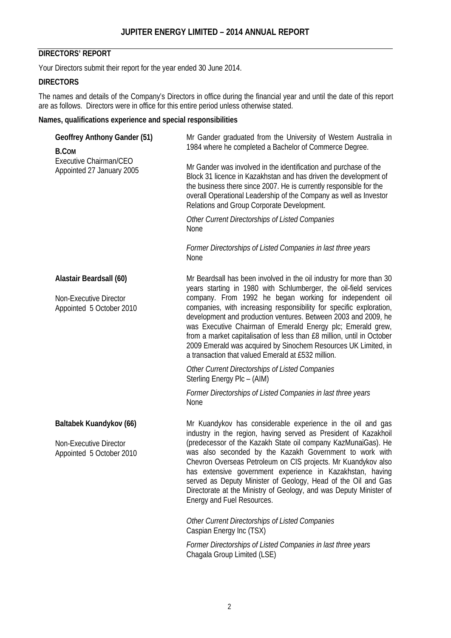# **DIRECTORS' REPORT**

Your Directors submit their report for the year ended 30 June 2014.

# **DIRECTORS**

The names and details of the Company's Directors in office during the financial year and until the date of this report are as follows. Directors were in office for this entire period unless otherwise stated.

# **Names, qualifications experience and special responsibilities**

| Geoffrey Anthony Gander (51)<br><b>B.COM</b>                                  | Mr Gander graduated from the University of Western Australia in<br>1984 where he completed a Bachelor of Commerce Degree.                                                                                                                                                                                                                                                                                                                                                                                                                                                                                    |
|-------------------------------------------------------------------------------|--------------------------------------------------------------------------------------------------------------------------------------------------------------------------------------------------------------------------------------------------------------------------------------------------------------------------------------------------------------------------------------------------------------------------------------------------------------------------------------------------------------------------------------------------------------------------------------------------------------|
| Executive Chairman/CEO<br>Appointed 27 January 2005                           | Mr Gander was involved in the identification and purchase of the<br>Block 31 licence in Kazakhstan and has driven the development of<br>the business there since 2007. He is currently responsible for the<br>overall Operational Leadership of the Company as well as Investor<br>Relations and Group Corporate Development.                                                                                                                                                                                                                                                                                |
|                                                                               | Other Current Directorships of Listed Companies<br>None                                                                                                                                                                                                                                                                                                                                                                                                                                                                                                                                                      |
|                                                                               | Former Directorships of Listed Companies in last three years<br>None                                                                                                                                                                                                                                                                                                                                                                                                                                                                                                                                         |
| Alastair Beardsall (60)<br>Non-Executive Director<br>Appointed 5 October 2010 | Mr Beardsall has been involved in the oil industry for more than 30<br>years starting in 1980 with Schlumberger, the oil-field services<br>company. From 1992 he began working for independent oil<br>companies, with increasing responsibility for specific exploration,<br>development and production ventures. Between 2003 and 2009, he<br>was Executive Chairman of Emerald Energy plc; Emerald grew,<br>from a market capitalisation of less than £8 million, until in October<br>2009 Emerald was acquired by Sinochem Resources UK Limited, in<br>a transaction that valued Emerald at £532 million. |
|                                                                               | Other Current Directorships of Listed Companies<br>Sterling Energy Plc - (AIM)                                                                                                                                                                                                                                                                                                                                                                                                                                                                                                                               |
|                                                                               | Former Directorships of Listed Companies in last three years<br>None                                                                                                                                                                                                                                                                                                                                                                                                                                                                                                                                         |
| Baltabek Kuandykov (66)                                                       | Mr Kuandykov has considerable experience in the oil and gas<br>industry in the region, having served as President of Kazakhoil                                                                                                                                                                                                                                                                                                                                                                                                                                                                               |
| Non-Executive Director<br>Appointed 5 October 2010                            | (predecessor of the Kazakh State oil company KazMunaiGas). He<br>was also seconded by the Kazakh Government to work with<br>Chevron Overseas Petroleum on CIS projects. Mr Kuandykov also<br>has extensive government experience in Kazakhstan, having<br>served as Deputy Minister of Geology, Head of the Oil and Gas<br>Directorate at the Ministry of Geology, and was Deputy Minister of<br>Energy and Fuel Resources.                                                                                                                                                                                  |
|                                                                               | Other Current Directorships of Listed Companies<br>Caspian Energy Inc (TSX)                                                                                                                                                                                                                                                                                                                                                                                                                                                                                                                                  |
|                                                                               | Former Directorships of Listed Companies in last three years<br>Chagala Group Limited (LSE)                                                                                                                                                                                                                                                                                                                                                                                                                                                                                                                  |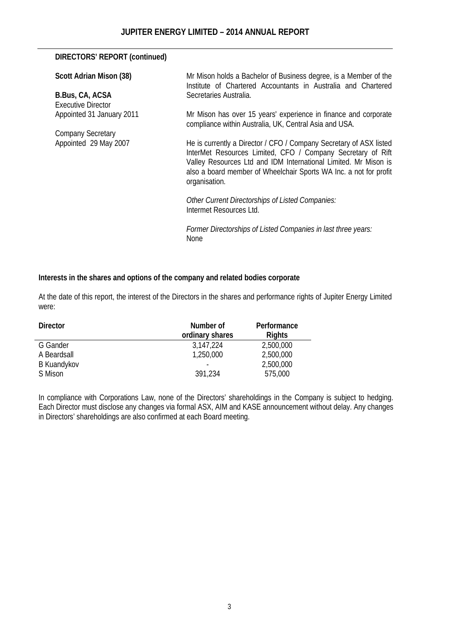**Scott Adrian Mison (38)**

#### **B.Bus, CA, ACSA** Executive Director Appointed 31 January 2011

Company Secretary Appointed 29 May 2007 Mr Mison holds a Bachelor of Business degree, is a Member of the Institute of Chartered Accountants in Australia and Chartered Secretaries Australia.

Mr Mison has over 15 years' experience in finance and corporate compliance within Australia, UK, Central Asia and USA.

He is currently a Director / CFO / Company Secretary of ASX listed InterMet Resources Limited, CFO / Company Secretary of Rift Valley Resources Ltd and IDM International Limited. Mr Mison is also a board member of Wheelchair Sports WA Inc. a not for profit organisation.

*Other Current Directorships of Listed Companies:* Intermet Resources Ltd.

*Former Directorships of Listed Companies in last three years:* None

## **Interests in the shares and options of the company and related bodies corporate**

At the date of this report, the interest of the Directors in the shares and performance rights of Jupiter Energy Limited were:

| <b>Director</b>    | Number of<br>ordinary shares | Performance<br>Rights |
|--------------------|------------------------------|-----------------------|
| G Gander           | 3,147,224                    | 2,500,000             |
| A Beardsall        | 1,250,000                    | 2,500,000             |
| <b>B</b> Kuandykov |                              | 2,500,000             |
| S Mison            | 391,234                      | 575,000               |

In compliance with Corporations Law, none of the Directors' shareholdings in the Company is subject to hedging. Each Director must disclose any changes via formal ASX, AIM and KASE announcement without delay. Any changes in Directors' shareholdings are also confirmed at each Board meeting.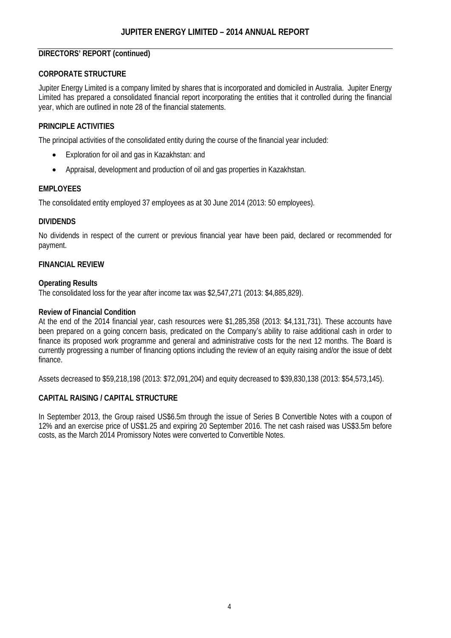# **CORPORATE STRUCTURE**

Jupiter Energy Limited is a company limited by shares that is incorporated and domiciled in Australia. Jupiter Energy Limited has prepared a consolidated financial report incorporating the entities that it controlled during the financial year, which are outlined in note 28 of the financial statements.

# **PRINCIPLE ACTIVITIES**

The principal activities of the consolidated entity during the course of the financial year included:

- Exploration for oil and gas in Kazakhstan: and
- Appraisal, development and production of oil and gas properties in Kazakhstan.

#### **EMPLOYEES**

The consolidated entity employed 37 employees as at 30 June 2014 (2013: 50 employees).

# **DIVIDENDS**

No dividends in respect of the current or previous financial year have been paid, declared or recommended for payment.

#### **FINANCIAL REVIEW**

#### **Operating Results**

The consolidated loss for the year after income tax was \$2,547,271 (2013: \$4,885,829).

# **Review of Financial Condition**

At the end of the 2014 financial year, cash resources were \$1,285,358 (2013: \$4,131,731). These accounts have been prepared on a going concern basis, predicated on the Company's ability to raise additional cash in order to finance its proposed work programme and general and administrative costs for the next 12 months. The Board is currently progressing a number of financing options including the review of an equity raising and/or the issue of debt finance.

Assets decreased to \$59,218,198 (2013: \$72,091,204) and equity decreased to \$39,830,138 (2013: \$54,573,145).

# **CAPITAL RAISING / CAPITAL STRUCTURE**

In September 2013, the Group raised US\$6.5m through the issue of Series B Convertible Notes with a coupon of 12% and an exercise price of US\$1.25 and expiring 20 September 2016. The net cash raised was US\$3.5m before costs, as the March 2014 Promissory Notes were converted to Convertible Notes.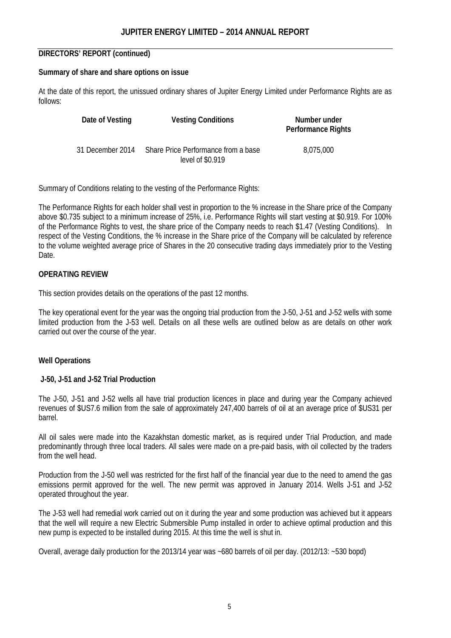#### **Summary of share and share options on issue**

At the date of this report, the unissued ordinary shares of Jupiter Energy Limited under Performance Rights are as follows:

| Date of Vesting  | <b>Vesting Conditions</b>                               | Number under<br><b>Performance Rights</b> |
|------------------|---------------------------------------------------------|-------------------------------------------|
| 31 December 2014 | Share Price Performance from a base<br>level of \$0.919 | 8,075,000                                 |

Summary of Conditions relating to the vesting of the Performance Rights:

The Performance Rights for each holder shall vest in proportion to the % increase in the Share price of the Company above \$0.735 subject to a minimum increase of 25%, i.e. Performance Rights will start vesting at \$0.919. For 100% of the Performance Rights to vest, the share price of the Company needs to reach \$1.47 (Vesting Conditions). In respect of the Vesting Conditions, the % increase in the Share price of the Company will be calculated by reference to the volume weighted average price of Shares in the 20 consecutive trading days immediately prior to the Vesting Date.

#### **OPERATING REVIEW**

This section provides details on the operations of the past 12 months.

The key operational event for the year was the ongoing trial production from the J-50, J-51 and J-52 wells with some limited production from the J-53 well. Details on all these wells are outlined below as are details on other work carried out over the course of the year.

# **Well Operations**

# **J-50, J-51 and J-52 Trial Production**

The J-50, J-51 and J-52 wells all have trial production licences in place and during year the Company achieved revenues of \$US7.6 million from the sale of approximately 247,400 barrels of oil at an average price of \$US31 per barrel.

All oil sales were made into the Kazakhstan domestic market, as is required under Trial Production, and made predominantly through three local traders. All sales were made on a pre-paid basis, with oil collected by the traders from the well head.

Production from the J-50 well was restricted for the first half of the financial year due to the need to amend the gas emissions permit approved for the well. The new permit was approved in January 2014. Wells J-51 and J-52 operated throughout the year.

The J-53 well had remedial work carried out on it during the year and some production was achieved but it appears that the well will require a new Electric Submersible Pump installed in order to achieve optimal production and this new pump is expected to be installed during 2015. At this time the well is shut in.

Overall, average daily production for the 2013/14 year was ~680 barrels of oil per day. (2012/13: ~530 bopd)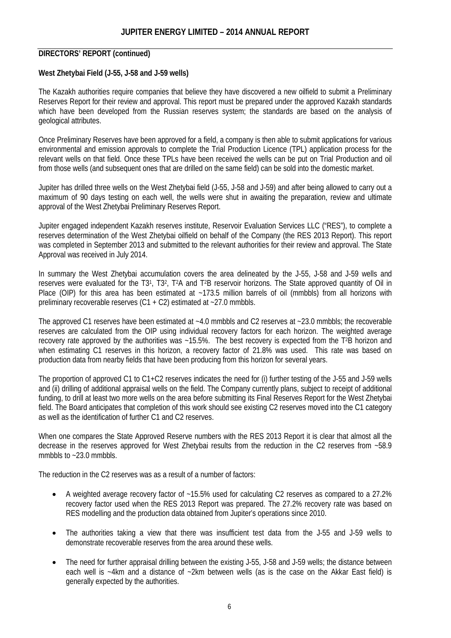#### **West Zhetybai Field (J-55, J-58 and J-59 wells)**

The Kazakh authorities require companies that believe they have discovered a new oilfield to submit a Preliminary Reserves Report for their review and approval. This report must be prepared under the approved Kazakh standards which have been developed from the Russian reserves system; the standards are based on the analysis of geological attributes.

Once Preliminary Reserves have been approved for a field, a company is then able to submit applications for various environmental and emission approvals to complete the Trial Production Licence (TPL) application process for the relevant wells on that field. Once these TPLs have been received the wells can be put on Trial Production and oil from those wells (and subsequent ones that are drilled on the same field) can be sold into the domestic market.

Jupiter has drilled three wells on the West Zhetybai field (J-55, J-58 and J-59) and after being allowed to carry out a maximum of 90 days testing on each well, the wells were shut in awaiting the preparation, review and ultimate approval of the West Zhetybai Preliminary Reserves Report.

Jupiter engaged independent Kazakh reserves institute, Reservoir Evaluation Services LLC ("RES"), to complete a reserves determination of the West Zhetybai oilfield on behalf of the Company (the RES 2013 Report). This report was completed in September 2013 and submitted to the relevant authorities for their review and approval. The State Approval was received in July 2014.

In summary the West Zhetybai accumulation covers the area delineated by the J-55, J-58 and J-59 wells and reserves were evaluated for the T31, T32, T2A and T2B reservoir horizons. The State approved quantity of Oil in Place (OIP) for this area has been estimated at ~173.5 million barrels of oil (mmbbls) from all horizons with preliminary recoverable reserves (C1 + C2) estimated at ~27.0 mmbbls.

The approved C1 reserves have been estimated at ~4.0 mmbbls and C2 reserves at ~23.0 mmbbls; the recoverable reserves are calculated from the OIP using individual recovery factors for each horizon. The weighted average recovery rate approved by the authorities was ~15.5%. The best recovery is expected from the T2B horizon and when estimating C1 reserves in this horizon, a recovery factor of 21.8% was used. This rate was based on production data from nearby fields that have been producing from this horizon for several years.

The proportion of approved C1 to C1+C2 reserves indicates the need for (i) further testing of the J-55 and J-59 wells and (ii) drilling of additional appraisal wells on the field. The Company currently plans, subject to receipt of additional funding, to drill at least two more wells on the area before submitting its Final Reserves Report for the West Zhetybai field. The Board anticipates that completion of this work should see existing C2 reserves moved into the C1 category as well as the identification of further C1 and C2 reserves.

When one compares the State Approved Reserve numbers with the RES 2013 Report it is clear that almost all the decrease in the reserves approved for West Zhetybai results from the reduction in the C2 reserves from ~58.9 mmbbls to ~23.0 mmbbls.

The reduction in the C2 reserves was as a result of a number of factors:

- A weighted average recovery factor of ~15.5% used for calculating C2 reserves as compared to a 27.2% recovery factor used when the RES 2013 Report was prepared. The 27.2% recovery rate was based on RES modelling and the production data obtained from Jupiter's operations since 2010.
- The authorities taking a view that there was insufficient test data from the J-55 and J-59 wells to demonstrate recoverable reserves from the area around these wells.
- The need for further appraisal drilling between the existing J-55, J-58 and J-59 wells; the distance between each well is ~4km and a distance of ~2km between wells (as is the case on the Akkar East field) is generally expected by the authorities.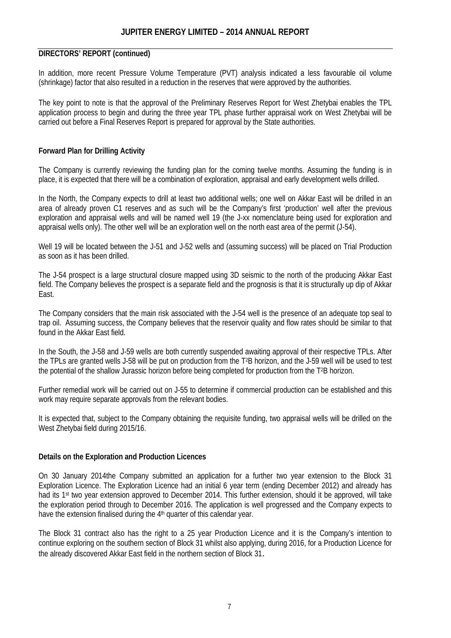In addition, more recent Pressure Volume Temperature (PVT) analysis indicated a less favourable oil volume (shrinkage) factor that also resulted in a reduction in the reserves that were approved by the authorities.

The key point to note is that the approval of the Preliminary Reserves Report for West Zhetybai enables the TPL application process to begin and during the three year TPL phase further appraisal work on West Zhetybai will be carried out before a Final Reserves Report is prepared for approval by the State authorities.

# **Forward Plan for Drilling Activity**

The Company is currently reviewing the funding plan for the coming twelve months. Assuming the funding is in place, it is expected that there will be a combination of exploration, appraisal and early development wells drilled.

In the North, the Company expects to drill at least two additional wells; one well on Akkar East will be drilled in an area of already proven C1 reserves and as such will be the Company's first 'production' well after the previous exploration and appraisal wells and will be named well 19 (the J-xx nomenclature being used for exploration and appraisal wells only). The other well will be an exploration well on the north east area of the permit (J-54).

Well 19 will be located between the J-51 and J-52 wells and (assuming success) will be placed on Trial Production as soon as it has been drilled.

The J-54 prospect is a large structural closure mapped using 3D seismic to the north of the producing Akkar East field. The Company believes the prospect is a separate field and the prognosis is that it is structurally up dip of Akkar East.

The Company considers that the main risk associated with the J-54 well is the presence of an adequate top seal to trap oil. Assuming success, the Company believes that the reservoir quality and flow rates should be similar to that found in the Akkar East field.

In the South, the J-58 and J-59 wells are both currently suspended awaiting approval of their respective TPLs. After the TPLs are granted wells J-58 will be put on production from the T2B horizon, and the J-59 well will be used to test the potential of the shallow Jurassic horizon before being completed for production from the T2B horizon.

Further remedial work will be carried out on J-55 to determine if commercial production can be established and this work may require separate approvals from the relevant bodies.

It is expected that, subject to the Company obtaining the requisite funding, two appraisal wells will be drilled on the West Zhetybai field during 2015/16.

#### **Details on the Exploration and Production Licences**

On 30 January 2014the Company submitted an application for a further two year extension to the Block 31 Exploration Licence. The Exploration Licence had an initial 6 year term (ending December 2012) and already has had its 1st two year extension approved to December 2014. This further extension, should it be approved, will take the exploration period through to December 2016. The application is well progressed and the Company expects to have the extension finalised during the 4<sup>th</sup> quarter of this calendar year.

The Block 31 contract also has the right to a 25 year Production Licence and it is the Company's intention to continue exploring on the southern section of Block 31 whilst also applying, during 2016, for a Production Licence for the already discovered Akkar East field in the northern section of Block 31.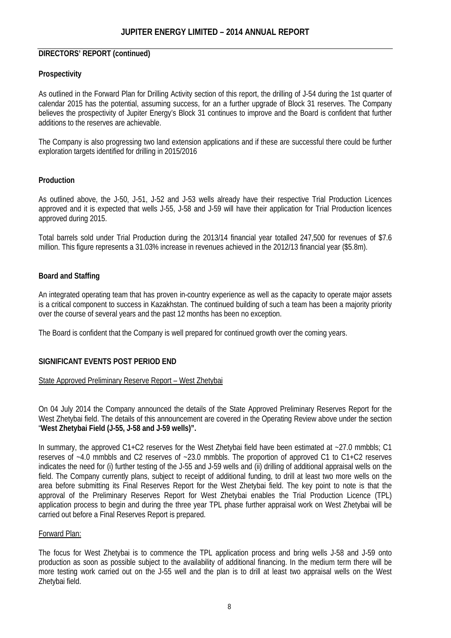# **Prospectivity**

As outlined in the Forward Plan for Drilling Activity section of this report, the drilling of J-54 during the 1st quarter of calendar 2015 has the potential, assuming success, for an a further upgrade of Block 31 reserves. The Company believes the prospectivity of Jupiter Energy's Block 31 continues to improve and the Board is confident that further additions to the reserves are achievable.

The Company is also progressing two land extension applications and if these are successful there could be further exploration targets identified for drilling in 2015/2016

# **Production**

As outlined above, the J-50, J-51, J-52 and J-53 wells already have their respective Trial Production Licences approved and it is expected that wells J-55, J-58 and J-59 will have their application for Trial Production licences approved during 2015.

Total barrels sold under Trial Production during the 2013/14 financial year totalled 247,500 for revenues of \$7.6 million. This figure represents a 31.03% increase in revenues achieved in the 2012/13 financial year (\$5.8m).

# **Board and Staffing**

An integrated operating team that has proven in-country experience as well as the capacity to operate major assets is a critical component to success in Kazakhstan. The continued building of such a team has been a majority priority over the course of several years and the past 12 months has been no exception.

The Board is confident that the Company is well prepared for continued growth over the coming years.

# **SIGNIFICANT EVENTS POST PERIOD END**

# State Approved Preliminary Reserve Report – West Zhetybai

On 04 July 2014 the Company announced the details of the State Approved Preliminary Reserves Report for the West Zhetybai field. The details of this announcement are covered in the Operating Review above under the section "**West Zhetybai Field (J-55, J-58 and J-59 wells)".**

In summary, the approved C1+C2 reserves for the West Zhetybai field have been estimated at ~27.0 mmbbls; C1 reserves of ~4.0 mmbbls and C2 reserves of ~23.0 mmbbls. The proportion of approved C1 to C1+C2 reserves indicates the need for (i) further testing of the J-55 and J-59 wells and (ii) drilling of additional appraisal wells on the field. The Company currently plans, subject to receipt of additional funding, to drill at least two more wells on the area before submitting its Final Reserves Report for the West Zhetybai field. The key point to note is that the approval of the Preliminary Reserves Report for West Zhetybai enables the Trial Production Licence (TPL) application process to begin and during the three year TPL phase further appraisal work on West Zhetybai will be carried out before a Final Reserves Report is prepared.

# Forward Plan:

The focus for West Zhetybai is to commence the TPL application process and bring wells J-58 and J-59 onto production as soon as possible subject to the availability of additional financing. In the medium term there will be more testing work carried out on the J-55 well and the plan is to drill at least two appraisal wells on the West Zhetybai field.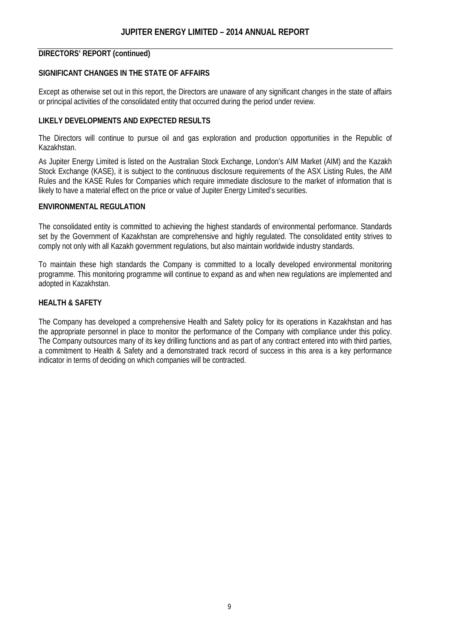# **SIGNIFICANT CHANGES IN THE STATE OF AFFAIRS**

Except as otherwise set out in this report, the Directors are unaware of any significant changes in the state of affairs or principal activities of the consolidated entity that occurred during the period under review.

# **LIKELY DEVELOPMENTS AND EXPECTED RESULTS**

The Directors will continue to pursue oil and gas exploration and production opportunities in the Republic of Kazakhstan.

As Jupiter Energy Limited is listed on the Australian Stock Exchange, London's AIM Market (AIM) and the Kazakh Stock Exchange (KASE), it is subject to the continuous disclosure requirements of the ASX Listing Rules, the AIM Rules and the KASE Rules for Companies which require immediate disclosure to the market of information that is likely to have a material effect on the price or value of Jupiter Energy Limited's securities.

#### **ENVIRONMENTAL REGULATION**

The consolidated entity is committed to achieving the highest standards of environmental performance. Standards set by the Government of Kazakhstan are comprehensive and highly regulated. The consolidated entity strives to comply not only with all Kazakh government regulations, but also maintain worldwide industry standards.

To maintain these high standards the Company is committed to a locally developed environmental monitoring programme. This monitoring programme will continue to expand as and when new regulations are implemented and adopted in Kazakhstan.

# **HEALTH & SAFETY**

The Company has developed a comprehensive Health and Safety policy for its operations in Kazakhstan and has the appropriate personnel in place to monitor the performance of the Company with compliance under this policy. The Company outsources many of its key drilling functions and as part of any contract entered into with third parties, a commitment to Health & Safety and a demonstrated track record of success in this area is a key performance indicator in terms of deciding on which companies will be contracted.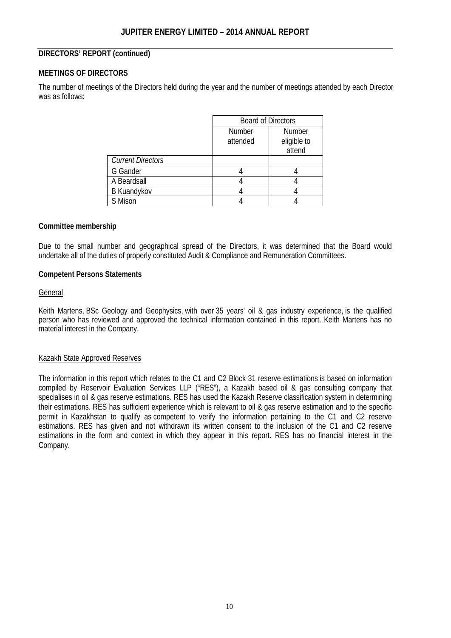# **MEETINGS OF DIRECTORS**

The number of meetings of the Directors held during the year and the number of meetings attended by each Director was as follows:

|                          | <b>Board of Directors</b>                   |        |  |  |
|--------------------------|---------------------------------------------|--------|--|--|
|                          | Number<br>Number<br>eligible to<br>attended |        |  |  |
|                          |                                             | attend |  |  |
| <b>Current Directors</b> |                                             |        |  |  |
| G Gander                 |                                             |        |  |  |
| A Beardsall              |                                             |        |  |  |
| <b>B</b> Kuandykov       |                                             |        |  |  |
| S Mison                  |                                             |        |  |  |

#### **Committee membership**

Due to the small number and geographical spread of the Directors, it was determined that the Board would undertake all of the duties of properly constituted Audit & Compliance and Remuneration Committees.

#### **Competent Persons Statements**

#### General

Keith Martens, BSc Geology and Geophysics, with over 35 years' oil & gas industry experience, is the qualified person who has reviewed and approved the technical information contained in this report. Keith Martens has no material interest in the Company.

#### Kazakh State Approved Reserves

The information in this report which relates to the C1 and C2 Block 31 reserve estimations is based on information compiled by Reservoir Evaluation Services LLP ("RES"), a Kazakh based oil & gas consulting company that specialises in oil & gas reserve estimations. RES has used the Kazakh Reserve classification system in determining their estimations. RES has sufficient experience which is relevant to oil & gas reserve estimation and to the specific permit in Kazakhstan to qualify as competent to verify the information pertaining to the C1 and C2 reserve estimations. RES has given and not withdrawn its written consent to the inclusion of the C1 and C2 reserve estimations in the form and context in which they appear in this report. RES has no financial interest in the Company.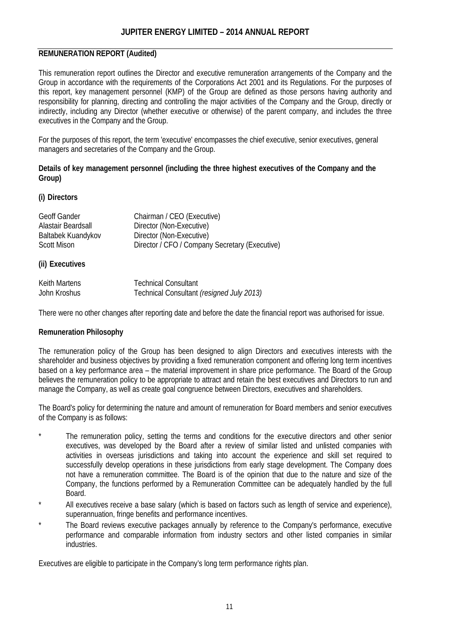# **JUPITER ENERGY LIMITED – 2014 ANNUAL REPORT**

#### **REMUNERATION REPORT (Audited)**

This remuneration report outlines the Director and executive remuneration arrangements of the Company and the Group in accordance with the requirements of the Corporations Act 2001 and its Regulations. For the purposes of this report, key management personnel (KMP) of the Group are defined as those persons having authority and responsibility for planning, directing and controlling the major activities of the Company and the Group, directly or indirectly, including any Director (whether executive or otherwise) of the parent company, and includes the three executives in the Company and the Group.

For the purposes of this report, the term 'executive' encompasses the chief executive, senior executives, general managers and secretaries of the Company and the Group.

**Details of key management personnel (including the three highest executives of the Company and the Group)**

#### **(i) Directors**

| Chairman / CEO (Executive)                     |
|------------------------------------------------|
| Director (Non-Executive)                       |
| Director (Non-Executive)                       |
| Director / CFO / Company Secretary (Executive) |
|                                                |

#### **(ii) Executives**

| Keith Martens | <b>Technical Consultant</b>               |
|---------------|-------------------------------------------|
| John Kroshus  | Technical Consultant (resigned July 2013) |

There were no other changes after reporting date and before the date the financial report was authorised for issue.

#### **Remuneration Philosophy**

The remuneration policy of the Group has been designed to align Directors and executives interests with the shareholder and business objectives by providing a fixed remuneration component and offering long term incentives based on a key performance area – the material improvement in share price performance. The Board of the Group believes the remuneration policy to be appropriate to attract and retain the best executives and Directors to run and manage the Company, as well as create goal congruence between Directors, executives and shareholders.

The Board's policy for determining the nature and amount of remuneration for Board members and senior executives of the Company is as follows:

- The remuneration policy, setting the terms and conditions for the executive directors and other senior executives, was developed by the Board after a review of similar listed and unlisted companies with activities in overseas jurisdictions and taking into account the experience and skill set required to successfully develop operations in these jurisdictions from early stage development. The Company does not have a remuneration committee. The Board is of the opinion that due to the nature and size of the Company, the functions performed by a Remuneration Committee can be adequately handled by the full Board.
- All executives receive a base salary (which is based on factors such as length of service and experience), superannuation, fringe benefits and performance incentives.
- The Board reviews executive packages annually by reference to the Company's performance, executive performance and comparable information from industry sectors and other listed companies in similar industries.

Executives are eligible to participate in the Company's long term performance rights plan.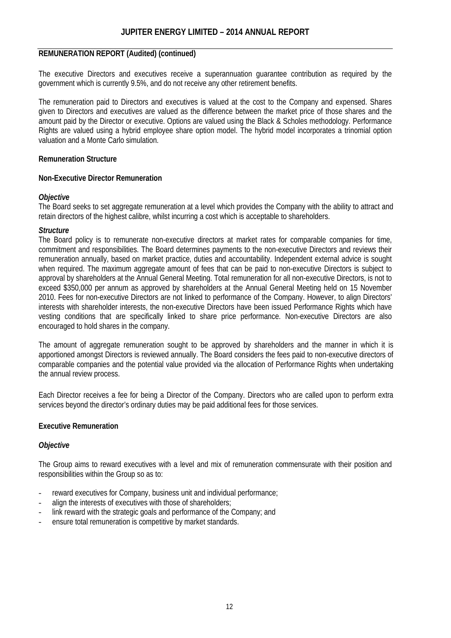# **REMUNERATION REPORT (Audited) (continued)**

The executive Directors and executives receive a superannuation guarantee contribution as required by the government which is currently 9.5%, and do not receive any other retirement benefits.

The remuneration paid to Directors and executives is valued at the cost to the Company and expensed. Shares given to Directors and executives are valued as the difference between the market price of those shares and the amount paid by the Director or executive. Options are valued using the Black & Scholes methodology. Performance Rights are valued using a hybrid employee share option model. The hybrid model incorporates a trinomial option valuation and a Monte Carlo simulation.

#### **Remuneration Structure**

#### **Non-Executive Director Remuneration**

#### *Objective*

The Board seeks to set aggregate remuneration at a level which provides the Company with the ability to attract and retain directors of the highest calibre, whilst incurring a cost which is acceptable to shareholders.

#### *Structure*

The Board policy is to remunerate non-executive directors at market rates for comparable companies for time, commitment and responsibilities. The Board determines payments to the non-executive Directors and reviews their remuneration annually, based on market practice, duties and accountability. Independent external advice is sought when required. The maximum aggregate amount of fees that can be paid to non-executive Directors is subject to approval by shareholders at the Annual General Meeting. Total remuneration for all non-executive Directors, is not to exceed \$350,000 per annum as approved by shareholders at the Annual General Meeting held on 15 November 2010. Fees for non-executive Directors are not linked to performance of the Company. However, to align Directors' interests with shareholder interests, the non-executive Directors have been issued Performance Rights which have vesting conditions that are specifically linked to share price performance. Non-executive Directors are also encouraged to hold shares in the company.

The amount of aggregate remuneration sought to be approved by shareholders and the manner in which it is apportioned amongst Directors is reviewed annually. The Board considers the fees paid to non-executive directors of comparable companies and the potential value provided via the allocation of Performance Rights when undertaking the annual review process.

Each Director receives a fee for being a Director of the Company. Directors who are called upon to perform extra services beyond the director's ordinary duties may be paid additional fees for those services.

#### **Executive Remuneration**

#### *Objective*

The Group aims to reward executives with a level and mix of remuneration commensurate with their position and responsibilities within the Group so as to:

- reward executives for Company, business unit and individual performance;
- align the interests of executives with those of shareholders;
- link reward with the strategic goals and performance of the Company; and
- ensure total remuneration is competitive by market standards.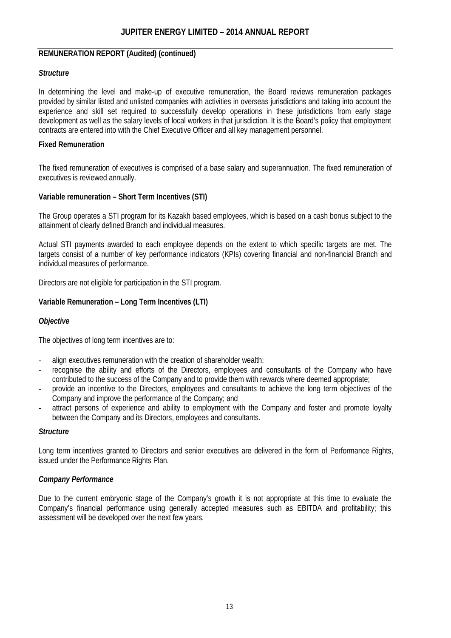# **REMUNERATION REPORT (Audited) (continued)**

#### *Structure*

In determining the level and make-up of executive remuneration, the Board reviews remuneration packages provided by similar listed and unlisted companies with activities in overseas jurisdictions and taking into account the experience and skill set required to successfully develop operations in these jurisdictions from early stage development as well as the salary levels of local workers in that jurisdiction. It is the Board's policy that employment contracts are entered into with the Chief Executive Officer and all key management personnel.

#### **Fixed Remuneration**

The fixed remuneration of executives is comprised of a base salary and superannuation. The fixed remuneration of executives is reviewed annually.

# **Variable remuneration – Short Term Incentives (STI)**

The Group operates a STI program for its Kazakh based employees, which is based on a cash bonus subject to the attainment of clearly defined Branch and individual measures.

Actual STI payments awarded to each employee depends on the extent to which specific targets are met. The targets consist of a number of key performance indicators (KPIs) covering financial and non-financial Branch and individual measures of performance.

Directors are not eligible for participation in the STI program.

# **Variable Remuneration – Long Term Incentives (LTI)**

# *Objective*

The objectives of long term incentives are to:

- align executives remuneration with the creation of shareholder wealth;
- recognise the ability and efforts of the Directors, employees and consultants of the Company who have contributed to the success of the Company and to provide them with rewards where deemed appropriate;
- provide an incentive to the Directors, employees and consultants to achieve the long term objectives of the Company and improve the performance of the Company; and
- attract persons of experience and ability to employment with the Company and foster and promote loyalty between the Company and its Directors, employees and consultants.

#### *Structure*

Long term incentives granted to Directors and senior executives are delivered in the form of Performance Rights, issued under the Performance Rights Plan.

#### *Company Performance*

Due to the current embryonic stage of the Company's growth it is not appropriate at this time to evaluate the Company's financial performance using generally accepted measures such as EBITDA and profitability; this assessment will be developed over the next few years.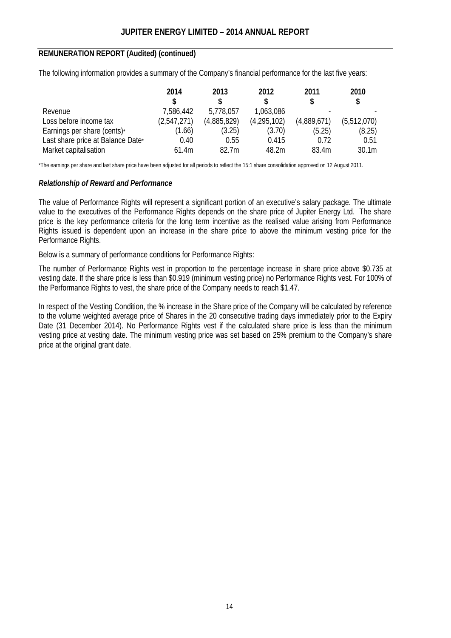# **REMUNERATION REPORT (Audited) (continued)**

The following information provides a summary of the Company's financial performance for the last five years:

|                                   | 2014        | 2013        | 2012          | 2011        | 2010              |
|-----------------------------------|-------------|-------------|---------------|-------------|-------------------|
| Revenue                           | 7,586,442   | 5,778,057   | 1,063,086     |             |                   |
| Loss before income tax            | (2,547,271) | (4,885,829) | (4, 295, 102) | (4,889,671) | (5,512,070)       |
| Earnings per share (cents)*       | (1.66)      | (3.25)      | (3.70)        | (5.25)      | (8.25)            |
| Last share price at Balance Date* | 0.40        | 0.55        | 0.415         | 0.72        | 0.51              |
| Market capitalisation             | 61.4m       | 82.7m       | 48.2m         | 83.4m       | 30.1 <sub>m</sub> |

\*The earnings per share and last share price have been adjusted for all periods to reflect the 15:1 share consolidation approved on 12 August 2011.

#### *Relationship of Reward and Performance*

The value of Performance Rights will represent a significant portion of an executive's salary package. The ultimate value to the executives of the Performance Rights depends on the share price of Jupiter Energy Ltd. The share price is the key performance criteria for the long term incentive as the realised value arising from Performance Rights issued is dependent upon an increase in the share price to above the minimum vesting price for the Performance Rights.

Below is a summary of performance conditions for Performance Rights:

The number of Performance Rights vest in proportion to the percentage increase in share price above \$0.735 at vesting date. If the share price is less than \$0.919 (minimum vesting price) no Performance Rights vest. For 100% of the Performance Rights to vest, the share price of the Company needs to reach \$1.47.

In respect of the Vesting Condition, the % increase in the Share price of the Company will be calculated by reference to the volume weighted average price of Shares in the 20 consecutive trading days immediately prior to the Expiry Date (31 December 2014). No Performance Rights vest if the calculated share price is less than the minimum vesting price at vesting date. The minimum vesting price was set based on 25% premium to the Company's share price at the original grant date.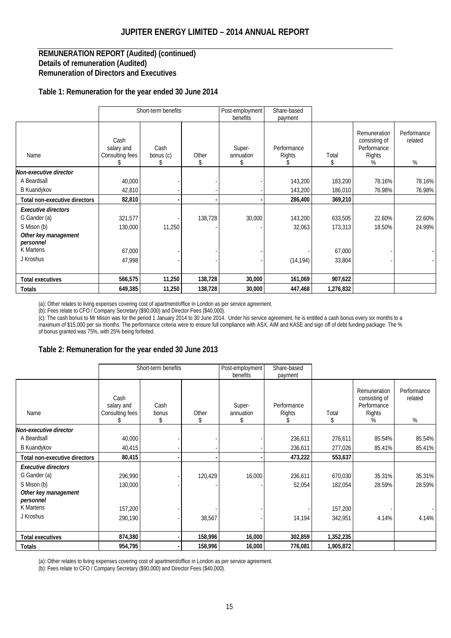#### **Table 1: Remuneration for the year ended 30 June 2014**

|                                                                                   |                                       | Short-term benefits |             | Post-employment<br>benefits | Share-based<br>payment |                    |                                                             |                             |
|-----------------------------------------------------------------------------------|---------------------------------------|---------------------|-------------|-----------------------------|------------------------|--------------------|-------------------------------------------------------------|-----------------------------|
| Name                                                                              | Cash<br>salary and<br>Consulting fees | Cash<br>bonus (c)   | Other<br>\$ | Super-<br>annuation<br>\$   | Performance<br>Rights  | Total<br>S         | Remuneration<br>consisting of<br>Performance<br>Rights<br>℅ | Performance<br>related<br>% |
| Non-executive director                                                            |                                       |                     |             |                             |                        |                    |                                                             |                             |
| A Beardsall                                                                       | 40,000                                |                     |             |                             | 143,200                | 183,200            | 78.16%                                                      | 78.16%                      |
| <b>B</b> Kuandykov                                                                | 42,810                                |                     |             |                             | 143,200                | 186,010            | 76.98%                                                      | 76.98%                      |
| Total non-executive directors                                                     | 82,810                                |                     |             |                             | 286,400                | 369,210            |                                                             |                             |
| <b>Executive directors</b><br>G Gander (a)<br>S Mison (b)<br>Other key management | 321,577<br>130,000                    | 11,250              | 138,728     | 30,000                      | 143,200<br>32,063      | 633,505<br>173,313 | 22.60%<br>18.50%                                            | 22.60%<br>24.99%            |
| personnel<br>K Martens                                                            | 67,000                                |                     |             |                             |                        | 67,000             |                                                             |                             |
| J Kroshus                                                                         | 47,998                                |                     |             |                             | (14, 194)              | 33,804             |                                                             |                             |
| <b>Total executives</b>                                                           | 566,575                               | 11,250              | 138,728     | 30,000                      | 161,069                | 907,622            |                                                             |                             |
| <b>Totals</b>                                                                     | 649,385                               | 11,250              | 138,728     | 30,000                      | 447,468                | 1,276,832          |                                                             |                             |

(a): Other relates to living expenses covering cost of apartment/office in London as per service agreement.

(b): Fees relate to CFO / Company Secretary (\$90,000) and Director Fees (\$40,000).

(c): The cash bonus to Mr Mison was for the period 1 January 2014 to 30 June 2014. Under his service agreement, he is entitled a cash bonus every six months to a maximum of \$15,000 per six months. The performance criteria were to ensure full compliance with ASX, AIM and KASE and sign off of debt funding package. The % of bonus granted was 75%, with 25% being forfeited.

#### **Table 2: Remuneration for the year ended 30 June 2013**

|                                                                                                                          |                                          | Short-term benefits |                   | Post-employment<br>benefits | Share-based<br>payment      |                                          |                                                             |                             |
|--------------------------------------------------------------------------------------------------------------------------|------------------------------------------|---------------------|-------------------|-----------------------------|-----------------------------|------------------------------------------|-------------------------------------------------------------|-----------------------------|
| Name                                                                                                                     | Cash<br>salary and<br>Consulting fees    | Cash<br>bonus<br>\$ | Other<br>\$       | Super-<br>annuation<br>\$   | Performance<br>Rights       | Total                                    | Remuneration<br>consisting of<br>Performance<br>Rights<br>% | Performance<br>related<br>% |
| Non-executive director                                                                                                   |                                          |                     |                   |                             |                             |                                          |                                                             |                             |
| A Beardsall                                                                                                              | 40,000                                   |                     |                   |                             | 236,611                     | 276,611                                  | 85.54%                                                      | 85.54%                      |
| <b>B</b> Kuandykov                                                                                                       | 40,415                                   |                     |                   |                             | 236,611                     | 277,026                                  | 85.41%                                                      | 85.41%                      |
| Total non-executive directors                                                                                            | 80,415                                   |                     |                   |                             | 473,222                     | 553,637                                  |                                                             |                             |
| <b>Executive directors</b><br>G Gander (a)<br>S Mison (b)<br>Other key management<br>personnel<br>K Martens<br>J Kroshus | 296,990<br>130,000<br>157,200<br>290,190 |                     | 120,429<br>38,567 | 16,000                      | 236,611<br>52,054<br>14,194 | 670,030<br>182,054<br>157,200<br>342,951 | 35.31%<br>28.59%<br>4.14%                                   | 35.31%<br>28.59%<br>4.14%   |
| <b>Total executives</b>                                                                                                  | 874,380                                  |                     | 158,996           | 16,000                      | 302,859                     | 1,352,235                                |                                                             |                             |
| <b>Totals</b>                                                                                                            | 954,795                                  |                     | 158,996           | 16,000                      | 776,081                     | 1,905,872                                |                                                             |                             |

(a): Other relates to living expenses covering cost of apartment/office in London as per service agreement.

(b): Fees relate to CFO / Company Secretary (\$90,000) and Director Fees (\$40,000).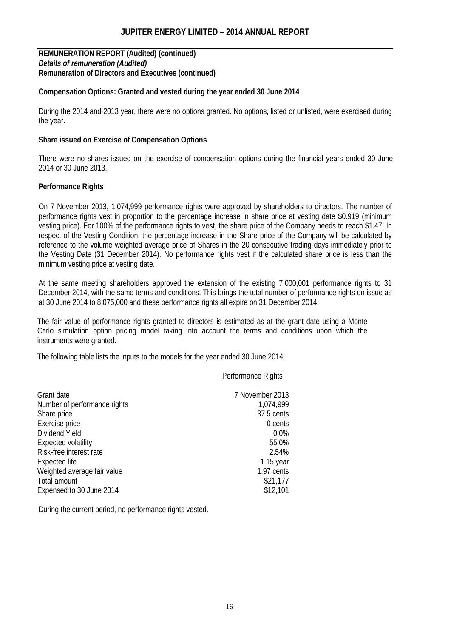#### **Compensation Options: Granted and vested during the year ended 30 June 2014**

During the 2014 and 2013 year, there were no options granted. No options, listed or unlisted, were exercised during the year.

#### **Share issued on Exercise of Compensation Options**

There were no shares issued on the exercise of compensation options during the financial years ended 30 June 2014 or 30 June 2013.

#### **Performance Rights**

On 7 November 2013, 1,074,999 performance rights were approved by shareholders to directors. The number of performance rights vest in proportion to the percentage increase in share price at vesting date \$0.919 (minimum vesting price). For 100% of the performance rights to vest, the share price of the Company needs to reach \$1.47. In respect of the Vesting Condition, the percentage increase in the Share price of the Company will be calculated by reference to the volume weighted average price of Shares in the 20 consecutive trading days immediately prior to the Vesting Date (31 December 2014). No performance rights vest if the calculated share price is less than the minimum vesting price at vesting date.

At the same meeting shareholders approved the extension of the existing 7,000,001 performance rights to 31 December 2014, with the same terms and conditions. This brings the total number of performance rights on issue as at 30 June 2014 to 8,075,000 and these performance rights all expire on 31 December 2014.

The fair value of performance rights granted to directors is estimated as at the grant date using a Monte Carlo simulation option pricing model taking into account the terms and conditions upon which the instruments were granted.

The following table lists the inputs to the models for the year ended 30 June 2014:

Performance Rights

| Grant date                   | 7 November 2013 |
|------------------------------|-----------------|
| Number of performance rights | 1,074,999       |
| Share price                  | 37.5 cents      |
| Exercise price               | 0 cents         |
| Dividend Yield               | $0.0\%$         |
| <b>Expected volatility</b>   | 55.0%           |
| Risk-free interest rate      | 2.54%           |
| Expected life                | 1.15 year       |
| Weighted average fair value  | 1.97 cents      |
| Total amount                 | \$21,177        |
| Expensed to 30 June 2014     | \$12,101        |

During the current period, no performance rights vested.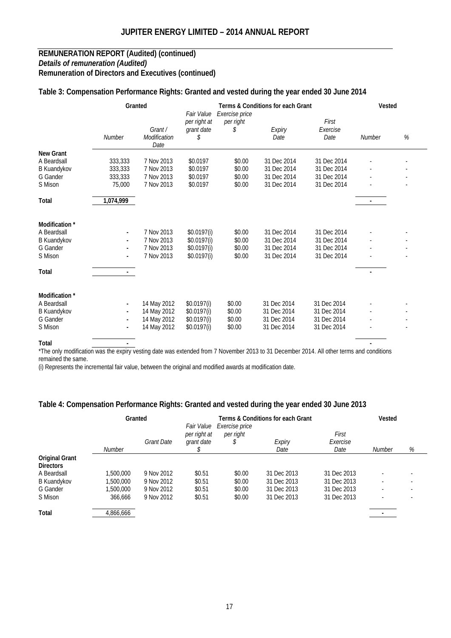#### **Table 3: Compensation Performance Rights: Granted and vested during the year ended 30 June 2014**

|                    |                | Granted                         | Terms & Conditions for each Grant<br><b>Fair Value</b><br>Exercise price |                 |                |                           | <b>Vested</b>  |      |
|--------------------|----------------|---------------------------------|--------------------------------------------------------------------------|-----------------|----------------|---------------------------|----------------|------|
|                    | Number         | Grant /<br>Modification<br>Date | per right at<br>grant date<br>\$                                         | per right<br>\$ | Expiry<br>Date | First<br>Exercise<br>Date | Number         | $\%$ |
| <b>New Grant</b>   |                |                                 |                                                                          |                 |                |                           |                |      |
| A Beardsall        | 333,333        | 7 Nov 2013                      | \$0.0197                                                                 | \$0.00          | 31 Dec 2014    | 31 Dec 2014               |                |      |
| <b>B</b> Kuandykov | 333,333        | 7 Nov 2013                      | \$0.0197                                                                 | \$0.00          | 31 Dec 2014    | 31 Dec 2014               |                |      |
| G Gander           | 333,333        | 7 Nov 2013                      | \$0.0197                                                                 | \$0.00          | 31 Dec 2014    | 31 Dec 2014               |                |      |
| S Mison            | 75,000         | 7 Nov 2013                      | \$0.0197                                                                 | \$0.00          | 31 Dec 2014    | 31 Dec 2014               |                |      |
| Total              | 1,074,999      |                                 |                                                                          |                 |                |                           | $\blacksquare$ |      |
| Modification *     |                |                                 |                                                                          |                 |                |                           |                |      |
| A Beardsall        |                | 7 Nov 2013                      | \$0.0197(i)                                                              | \$0.00          | 31 Dec 2014    | 31 Dec 2014               |                |      |
| <b>B</b> Kuandykov |                | 7 Nov 2013                      | \$0.0197(i)                                                              | \$0.00          | 31 Dec 2014    | 31 Dec 2014               |                |      |
| G Gander           |                | 7 Nov 2013                      | \$0.0197(i)                                                              | \$0.00          | 31 Dec 2014    | 31 Dec 2014               |                |      |
| S Mison            |                | 7 Nov 2013                      | \$0.0197(i)                                                              | \$0.00          | 31 Dec 2014    | 31 Dec 2014               |                |      |
| Total              | $\sim$         |                                 |                                                                          |                 |                |                           |                |      |
| Modification *     |                |                                 |                                                                          |                 |                |                           |                |      |
| A Beardsall        |                | 14 May 2012                     | \$0.0197(i)                                                              | \$0.00          | 31 Dec 2014    | 31 Dec 2014               |                |      |
| <b>B</b> Kuandykov | $\blacksquare$ | 14 May 2012                     | \$0.0197(i)                                                              | \$0.00          | 31 Dec 2014    | 31 Dec 2014               |                |      |
| G Gander           |                | 14 May 2012                     | \$0.0197(i)                                                              | \$0.00          | 31 Dec 2014    | 31 Dec 2014               |                |      |
| S Mison            |                | 14 May 2012                     | \$0.0197(i)                                                              | \$0.00          | 31 Dec 2014    | 31 Dec 2014               |                |      |
| Total              |                |                                 |                                                                          |                 |                |                           |                |      |
| $\cdots$           |                |                                 |                                                                          |                 |                |                           |                |      |

\*The only modification was the expiry vesting date was extended from 7 November 2013 to 31 December 2014. All other terms and conditions remained the same.

(i) Represents the incremental fair value, between the original and modified awards at modification date.

### **Table 4: Compensation Performance Rights: Granted and vested during the year ended 30 June 2013**

|                       | Granted   |            | Fair Value                 | Exercise price | Terms & Conditions for each Grant |                           | Vested |   |
|-----------------------|-----------|------------|----------------------------|----------------|-----------------------------------|---------------------------|--------|---|
|                       | Number    | Grant Date | per right at<br>grant date | per right      | Expiry<br>Date                    | First<br>Exercise<br>Date | Number | % |
| <b>Original Grant</b> |           |            |                            |                |                                   |                           |        |   |
| <b>Directors</b>      |           |            |                            |                |                                   |                           |        |   |
| A Beardsall           | 1,500,000 | 9 Nov 2012 | \$0.51                     | \$0.00         | 31 Dec 2013                       | 31 Dec 2013               | ۰      |   |
| B Kuandykov           | 1,500,000 | 9 Nov 2012 | \$0.51                     | \$0.00         | 31 Dec 2013                       | 31 Dec 2013               | $\sim$ |   |
| G Gander              | 1,500,000 | 9 Nov 2012 | \$0.51                     | \$0.00         | 31 Dec 2013                       | 31 Dec 2013               | ۰      |   |
| S Mison               | 366,666   | 9 Nov 2012 | \$0.51                     | \$0.00         | 31 Dec 2013                       | 31 Dec 2013               | ۰      |   |
| Total                 | 4,866,666 |            |                            |                |                                   |                           |        |   |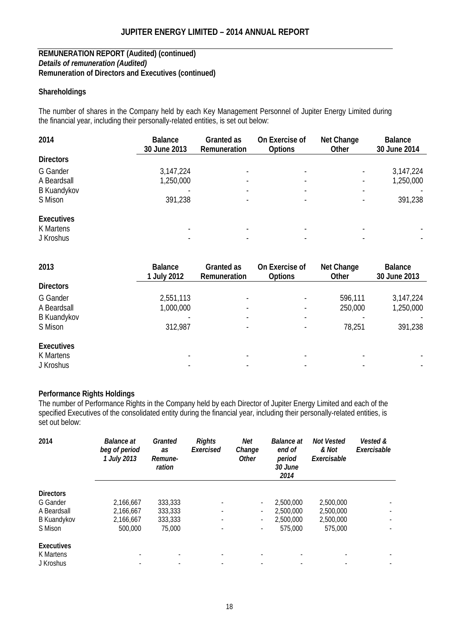#### **Shareholdings**

The number of shares in the Company held by each Key Management Personnel of Jupiter Energy Limited during the financial year, including their personally-related entities, is set out below:

| 2014               | <b>Balance</b><br>30 June 2013 | Granted as<br>Remuneration | On Exercise of<br><b>Options</b> | Net Change<br>Other      | <b>Balance</b><br>30 June 2014 |
|--------------------|--------------------------------|----------------------------|----------------------------------|--------------------------|--------------------------------|
| <b>Directors</b>   |                                |                            |                                  |                          |                                |
| G Gander           | 3,147,224                      |                            |                                  | $\overline{\phantom{a}}$ | 3,147,224                      |
| A Beardsall        | 1,250,000                      |                            |                                  | $\overline{\phantom{a}}$ | 1,250,000                      |
| <b>B</b> Kuandykov |                                |                            |                                  | $\overline{\phantom{a}}$ |                                |
| S Mison            | 391,238                        |                            |                                  |                          | 391,238                        |
| <b>Executives</b>  |                                |                            |                                  |                          |                                |
| K Martens          |                                |                            |                                  |                          |                                |
| J Kroshus          |                                |                            |                                  |                          |                                |

| 2013               | <b>Balance</b><br>1 July 2012 | Granted as<br>Remuneration | On Exercise of<br><b>Options</b> | Net Change<br>Other | <b>Balance</b><br>30 June 2013 |
|--------------------|-------------------------------|----------------------------|----------------------------------|---------------------|--------------------------------|
| <b>Directors</b>   |                               |                            |                                  |                     |                                |
| G Gander           | 2,551,113                     |                            |                                  | 596,111             | 3,147,224                      |
| A Beardsall        | 1,000,000                     |                            | -                                | 250,000             | 1,250,000                      |
| <b>B</b> Kuandykov |                               |                            |                                  |                     |                                |
| S Mison            | 312,987                       |                            |                                  | 78,251              | 391,238                        |
| <b>Executives</b>  |                               |                            |                                  |                     |                                |
| K Martens          |                               |                            |                                  |                     |                                |
| J Kroshus          |                               |                            |                                  |                     |                                |

# **Performance Rights Holdings**

The number of Performance Rights in the Company held by each Director of Jupiter Energy Limited and each of the specified Executives of the consolidated entity during the financial year, including their personally-related entities, is set out below:

| 2014               | <b>Balance</b> at<br>beg of period<br>1 July 2013 | Granted<br>as<br>Remune-<br>ration | <b>Rights</b><br>Exercised | Net<br>Change<br><b>Other</b> | <b>Balance</b> at<br>end of<br>period<br>30 June<br>2014 | <b>Not Vested</b><br>& Not<br>Exercisable | Vested &<br>Exercisable |
|--------------------|---------------------------------------------------|------------------------------------|----------------------------|-------------------------------|----------------------------------------------------------|-------------------------------------------|-------------------------|
| <b>Directors</b>   |                                                   |                                    |                            |                               |                                                          |                                           |                         |
| G Gander           | 2,166,667                                         | 333,333                            | $\overline{\phantom{a}}$   | $\overline{\phantom{a}}$      | 2,500,000                                                | 2,500,000                                 |                         |
| A Beardsall        | 2,166,667                                         | 333,333                            | $\overline{\phantom{a}}$   | $\overline{\phantom{a}}$      | 2,500,000                                                | 2,500,000                                 |                         |
| <b>B</b> Kuandykov | 2,166,667                                         | 333,333                            | $\overline{\phantom{a}}$   | $\overline{\phantom{a}}$      | 2,500,000                                                | 2.500.000                                 |                         |
| S Mison            | 500,000                                           | 75,000                             | $\overline{\phantom{a}}$   | $\overline{\phantom{a}}$      | 575,000                                                  | 575,000                                   |                         |
| Executives         |                                                   |                                    |                            |                               |                                                          |                                           |                         |
| K Martens          | $\overline{\phantom{a}}$                          |                                    | $\blacksquare$             |                               |                                                          |                                           |                         |
| J Kroshus          |                                                   |                                    |                            |                               |                                                          |                                           |                         |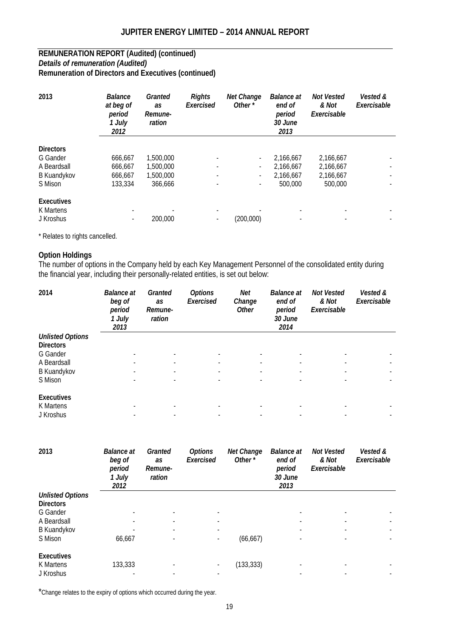| 2013               | <b>Balance</b><br>at beg of<br>period<br>1 July<br>2012 | Granted<br>as<br>Remune-<br>ration | Rights<br>Exercised      | Net Change<br>Other <sup>*</sup> | <b>Balance</b> at<br>end of<br>period<br>30 June<br>2013 | <b>Not Vested</b><br>& Not<br>Exercisable | Vested &<br>Exercisable |
|--------------------|---------------------------------------------------------|------------------------------------|--------------------------|----------------------------------|----------------------------------------------------------|-------------------------------------------|-------------------------|
| <b>Directors</b>   |                                                         |                                    |                          |                                  |                                                          |                                           |                         |
| G Gander           | 666.667                                                 | 1,500,000                          |                          | $\overline{\phantom{a}}$         | 2.166.667                                                | 2,166,667                                 |                         |
| A Beardsall        | 666,667                                                 | 1,500,000                          |                          | $\overline{\phantom{a}}$         | 2.166.667                                                | 2,166,667                                 |                         |
| <b>B</b> Kuandykov | 666,667                                                 | 1,500,000                          |                          | $\overline{\phantom{0}}$         | 2,166,667                                                | 2,166,667                                 |                         |
| S Mison            | 133,334                                                 | 366.666                            |                          | $\overline{\phantom{a}}$         | 500,000                                                  | 500,000                                   |                         |
| Executives         |                                                         |                                    |                          |                                  |                                                          |                                           |                         |
| K Martens          |                                                         |                                    |                          |                                  |                                                          |                                           |                         |
| J Kroshus          |                                                         | 200,000                            | $\overline{\phantom{a}}$ | (200,000)                        |                                                          |                                           |                         |

\* Relates to rights cancelled.

#### **Option Holdings**

The number of options in the Company held by each Key Management Personnel of the consolidated entity during the financial year, including their personally-related entities, is set out below:

| 2014                    | <b>Balance</b> at<br>beg of<br>period<br>1 July<br>2013 | Granted<br>as<br>Remune-<br>ration | <b>Options</b><br>Exercised | Net<br>Change<br><b>Other</b> | <b>Balance</b> at<br>end of<br>period<br>30 June<br>2014 | <b>Not Vested</b><br>& Not<br>Exercisable | Vested &<br>Exercisable |
|-------------------------|---------------------------------------------------------|------------------------------------|-----------------------------|-------------------------------|----------------------------------------------------------|-------------------------------------------|-------------------------|
| <b>Unlisted Options</b> |                                                         |                                    |                             |                               |                                                          |                                           |                         |
| <b>Directors</b>        |                                                         |                                    |                             |                               |                                                          |                                           |                         |
| G Gander                |                                                         |                                    |                             |                               |                                                          | $\overline{\phantom{a}}$                  |                         |
| A Beardsall             |                                                         |                                    |                             |                               |                                                          |                                           |                         |
| B Kuandykov             |                                                         | $\blacksquare$                     |                             | $\overline{\phantom{a}}$      | $\overline{\phantom{a}}$                                 | $\overline{\phantom{a}}$                  |                         |
| S Mison                 |                                                         |                                    |                             |                               |                                                          |                                           |                         |
| Executives              |                                                         |                                    |                             |                               |                                                          |                                           |                         |
| K Martens               |                                                         |                                    |                             |                               |                                                          |                                           |                         |
| J Kroshus               |                                                         |                                    |                             |                               |                                                          |                                           |                         |

| 2013                    | <b>Balance</b> at<br>beg of<br>period<br>1 July<br>2012 | Granted<br>as<br>Remune-<br>ration | <b>Options</b><br>Exercised | Net Change<br>Other <sup>*</sup> | <b>Balance</b> at<br>end of<br>period<br>30 June<br>2013 | <b>Not Vested</b><br>& Not<br>Exercisable | Vested &<br>Exercisable |
|-------------------------|---------------------------------------------------------|------------------------------------|-----------------------------|----------------------------------|----------------------------------------------------------|-------------------------------------------|-------------------------|
| <b>Unlisted Options</b> |                                                         |                                    |                             |                                  |                                                          |                                           |                         |
| <b>Directors</b>        |                                                         |                                    |                             |                                  |                                                          |                                           |                         |
| G Gander                |                                                         | $\overline{\phantom{a}}$           |                             |                                  |                                                          |                                           |                         |
| A Beardsall             |                                                         | $\overline{\phantom{a}}$           |                             |                                  |                                                          |                                           |                         |
| <b>B</b> Kuandykov      |                                                         | $\blacksquare$                     |                             |                                  |                                                          |                                           |                         |
| S Mison                 | 66,667                                                  | $\overline{\phantom{a}}$           |                             | (66, 667)                        |                                                          |                                           |                         |
| Executives              |                                                         |                                    |                             |                                  |                                                          |                                           |                         |
| K Martens               | 133,333                                                 | $\overline{\phantom{a}}$           |                             | (133, 333)                       |                                                          |                                           |                         |
| J Kroshus               |                                                         |                                    |                             |                                  |                                                          |                                           |                         |

\*Change relates to the expiry of options which occurred during the year.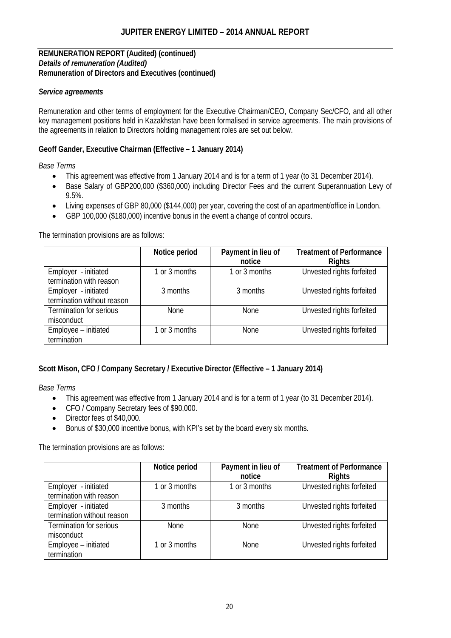# *Service agreements*

Remuneration and other terms of employment for the Executive Chairman/CEO, Company Sec/CFO, and all other key management positions held in Kazakhstan have been formalised in service agreements. The main provisions of the agreements in relation to Directors holding management roles are set out below.

# **Geoff Gander, Executive Chairman (Effective – 1 January 2014)**

*Base Terms*

- This agreement was effective from 1 January 2014 and is for a term of 1 year (to 31 December 2014).
- Base Salary of GBP200,000 (\$360,000) including Director Fees and the current Superannuation Levy of 9.5%.
- Living expenses of GBP 80,000 (\$144,000) per year, covering the cost of an apartment/office in London.
- GBP 100,000 (\$180,000) incentive bonus in the event a change of control occurs.

The termination provisions are as follows:

|                                                    | Notice period | Payment in lieu of<br>notice | <b>Treatment of Performance</b><br><b>Rights</b> |
|----------------------------------------------------|---------------|------------------------------|--------------------------------------------------|
| Employer - initiated<br>termination with reason    | 1 or 3 months | 1 or 3 months                | Unvested rights forfeited                        |
| Employer - initiated<br>termination without reason | 3 months      | 3 months                     | Unvested rights forfeited                        |
| Termination for serious<br>misconduct              | <b>None</b>   | <b>None</b>                  | Unvested rights forfeited                        |
| Employee - initiated<br>termination                | 1 or 3 months | <b>None</b>                  | Unvested rights forfeited                        |

# **Scott Mison, CFO / Company Secretary / Executive Director (Effective – 1 January 2014)**

*Base Terms*

- This agreement was effective from 1 January 2014 and is for a term of 1 year (to 31 December 2014).
- CFO / Company Secretary fees of \$90,000.
- Director fees of \$40,000.
- Bonus of \$30,000 incentive bonus, with KPI's set by the board every six months.

The termination provisions are as follows:

|                                                    | Notice period | Payment in lieu of<br>notice | <b>Treatment of Performance</b><br><b>Rights</b> |
|----------------------------------------------------|---------------|------------------------------|--------------------------------------------------|
| Employer - initiated<br>termination with reason    | 1 or 3 months | 1 or 3 months                | Unvested rights forfeited                        |
| Employer - initiated<br>termination without reason | 3 months      | 3 months                     | Unvested rights forfeited                        |
| Termination for serious<br>misconduct              | <b>None</b>   | <b>None</b>                  | Unvested rights forfeited                        |
| Employee - initiated<br>termination                | 1 or 3 months | <b>None</b>                  | Unvested rights forfeited                        |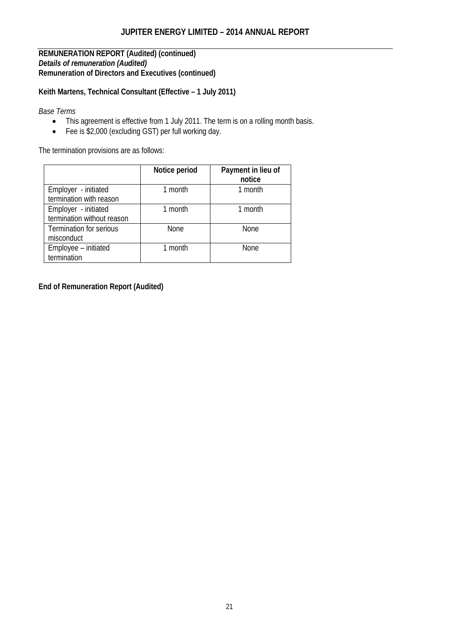# **Keith Martens, Technical Consultant (Effective – 1 July 2011)**

*Base Terms*

- This agreement is effective from 1 July 2011. The term is on a rolling month basis.<br>• Fee is \$2,000 (excluding GST) per full working day.
- Fee is \$2,000 (excluding GST) per full working day.

The termination provisions are as follows:

|                                                    | Notice period | Payment in lieu of<br>notice |
|----------------------------------------------------|---------------|------------------------------|
| Employer - initiated<br>termination with reason    | 1 month       | 1 month                      |
| Employer - initiated<br>termination without reason | 1 month       | 1 month                      |
| Termination for serious<br>misconduct              | <b>None</b>   | <b>None</b>                  |
| Employee - initiated<br>termination                | 1 month       | <b>None</b>                  |

**End of Remuneration Report (Audited)**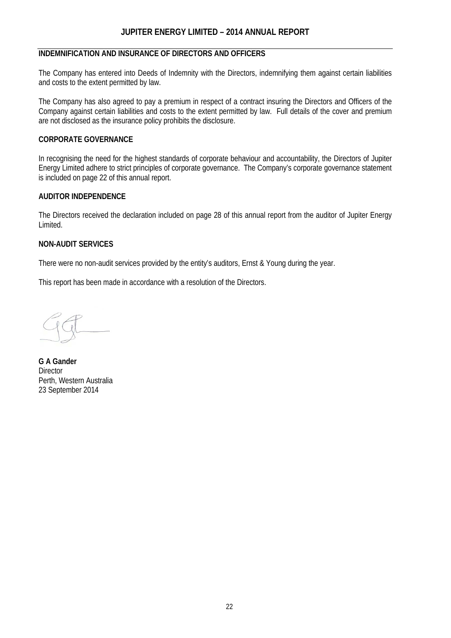# **INDEMNIFICATION AND INSURANCE OF DIRECTORS AND OFFICERS**

The Company has entered into Deeds of Indemnity with the Directors, indemnifying them against certain liabilities and costs to the extent permitted by law.

The Company has also agreed to pay a premium in respect of a contract insuring the Directors and Officers of the Company against certain liabilities and costs to the extent permitted by law. Full details of the cover and premium are not disclosed as the insurance policy prohibits the disclosure.

# **CORPORATE GOVERNANCE**

In recognising the need for the highest standards of corporate behaviour and accountability, the Directors of Jupiter Energy Limited adhere to strict principles of corporate governance. The Company's corporate governance statement is included on page 22 of this annual report.

#### **AUDITOR INDEPENDENCE**

The Directors received the declaration included on page 28 of this annual report from the auditor of Jupiter Energy Limited.

# **NON-AUDIT SERVICES**

There were no non-audit services provided by the entity's auditors, Ernst & Young during the year.

This report has been made in accordance with a resolution of the Directors.

**G A Gander Director** Perth, Western Australia 23 September 2014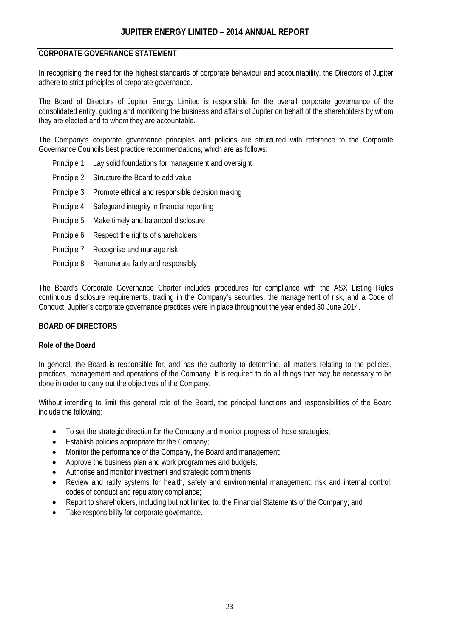# **CORPORATE GOVERNANCE STATEMENT**

In recognising the need for the highest standards of corporate behaviour and accountability, the Directors of Jupiter adhere to strict principles of corporate governance.

The Board of Directors of Jupiter Energy Limited is responsible for the overall corporate governance of the consolidated entity, guiding and monitoring the business and affairs of Jupiter on behalf of the shareholders by whom they are elected and to whom they are accountable.

The Company's corporate governance principles and policies are structured with reference to the Corporate Governance Councils best practice recommendations, which are as follows:

- Principle 1. Lay solid foundations for management and oversight
- Principle 2. Structure the Board to add value
- Principle 3. Promote ethical and responsible decision making
- Principle 4. Safeguard integrity in financial reporting
- Principle 5. Make timely and balanced disclosure
- Principle 6. Respect the rights of shareholders
- Principle 7. Recognise and manage risk
- Principle 8. Remunerate fairly and responsibly

The Board's Corporate Governance Charter includes procedures for compliance with the ASX Listing Rules continuous disclosure requirements, trading in the Company's securities, the management of risk, and a Code of Conduct. Jupiter's corporate governance practices were in place throughout the year ended 30 June 2014.

#### **BOARD OF DIRECTORS**

#### **Role of the Board**

In general, the Board is responsible for, and has the authority to determine, all matters relating to the policies, practices, management and operations of the Company. It is required to do all things that may be necessary to be done in order to carry out the objectives of the Company.

Without intending to limit this general role of the Board, the principal functions and responsibilities of the Board include the following:

- To set the strategic direction for the Company and monitor progress of those strategies;
- Establish policies appropriate for the Company;
- Monitor the performance of the Company, the Board and management;
- Approve the business plan and work programmes and budgets;
- Authorise and monitor investment and strategic commitments;
- Review and ratify systems for health, safety and environmental management; risk and internal control; codes of conduct and regulatory compliance;
- Report to shareholders, including but not limited to, the Financial Statements of the Company; and
- Take responsibility for corporate governance.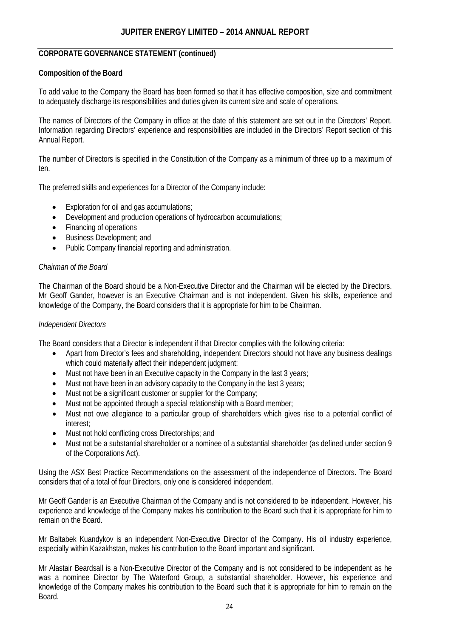#### **Composition of the Board**

To add value to the Company the Board has been formed so that it has effective composition, size and commitment to adequately discharge its responsibilities and duties given its current size and scale of operations.

The names of Directors of the Company in office at the date of this statement are set out in the Directors' Report. Information regarding Directors' experience and responsibilities are included in the Directors' Report section of this Annual Report.

The number of Directors is specified in the Constitution of the Company as a minimum of three up to a maximum of ten.

The preferred skills and experiences for a Director of the Company include:

- Exploration for oil and gas accumulations;
- Development and production operations of hydrocarbon accumulations;
- Financing of operations
- Business Development; and
- Public Company financial reporting and administration.

#### *Chairman of the Board*

The Chairman of the Board should be a Non-Executive Director and the Chairman will be elected by the Directors. Mr Geoff Gander, however is an Executive Chairman and is not independent. Given his skills, experience and knowledge of the Company, the Board considers that it is appropriate for him to be Chairman.

#### *Independent Directors*

The Board considers that a Director is independent if that Director complies with the following criteria:

- Apart from Director's fees and shareholding, independent Directors should not have any business dealings which could materially affect their independent judgment;
- Must not have been in an Executive capacity in the Company in the last 3 years;
- Must not have been in an advisory capacity to the Company in the last 3 years;
- Must not be a significant customer or supplier for the Company;
- Must not be appointed through a special relationship with a Board member;
- Must not owe allegiance to a particular group of shareholders which gives rise to a potential conflict of interest;
- Must not hold conflicting cross Directorships; and
- Must not be a substantial shareholder or a nominee of a substantial shareholder (as defined under section 9 of the Corporations Act).

Using the ASX Best Practice Recommendations on the assessment of the independence of Directors. The Board considers that of a total of four Directors, only one is considered independent.

Mr Geoff Gander is an Executive Chairman of the Company and is not considered to be independent. However, his experience and knowledge of the Company makes his contribution to the Board such that it is appropriate for him to remain on the Board.

Mr Baltabek Kuandykov is an independent Non-Executive Director of the Company. His oil industry experience, especially within Kazakhstan, makes his contribution to the Board important and significant.

Mr Alastair Beardsall is a Non-Executive Director of the Company and is not considered to be independent as he was a nominee Director by The Waterford Group, a substantial shareholder. However, his experience and knowledge of the Company makes his contribution to the Board such that it is appropriate for him to remain on the Board.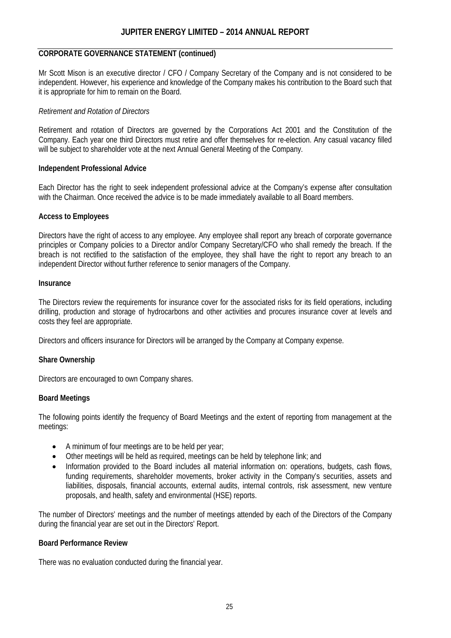Mr Scott Mison is an executive director / CFO / Company Secretary of the Company and is not considered to be independent. However, his experience and knowledge of the Company makes his contribution to the Board such that it is appropriate for him to remain on the Board.

#### *Retirement and Rotation of Directors*

Retirement and rotation of Directors are governed by the Corporations Act 2001 and the Constitution of the Company. Each year one third Directors must retire and offer themselves for re-election. Any casual vacancy filled will be subject to shareholder vote at the next Annual General Meeting of the Company.

#### **Independent Professional Advice**

Each Director has the right to seek independent professional advice at the Company's expense after consultation with the Chairman. Once received the advice is to be made immediately available to all Board members.

#### **Access to Employees**

Directors have the right of access to any employee. Any employee shall report any breach of corporate governance principles or Company policies to a Director and/or Company Secretary/CFO who shall remedy the breach. If the breach is not rectified to the satisfaction of the employee, they shall have the right to report any breach to an independent Director without further reference to senior managers of the Company.

#### **Insurance**

The Directors review the requirements for insurance cover for the associated risks for its field operations, including drilling, production and storage of hydrocarbons and other activities and procures insurance cover at levels and costs they feel are appropriate.

Directors and officers insurance for Directors will be arranged by the Company at Company expense.

# **Share Ownership**

Directors are encouraged to own Company shares.

#### **Board Meetings**

The following points identify the frequency of Board Meetings and the extent of reporting from management at the meetings:

- A minimum of four meetings are to be held per year;
- Other meetings will be held as required, meetings can be held by telephone link; and
- Information provided to the Board includes all material information on: operations, budgets, cash flows, funding requirements, shareholder movements, broker activity in the Company's securities, assets and liabilities, disposals, financial accounts, external audits, internal controls, risk assessment, new venture proposals, and health, safety and environmental (HSE) reports.

The number of Directors' meetings and the number of meetings attended by each of the Directors of the Company during the financial year are set out in the Directors' Report.

#### **Board Performance Review**

There was no evaluation conducted during the financial year.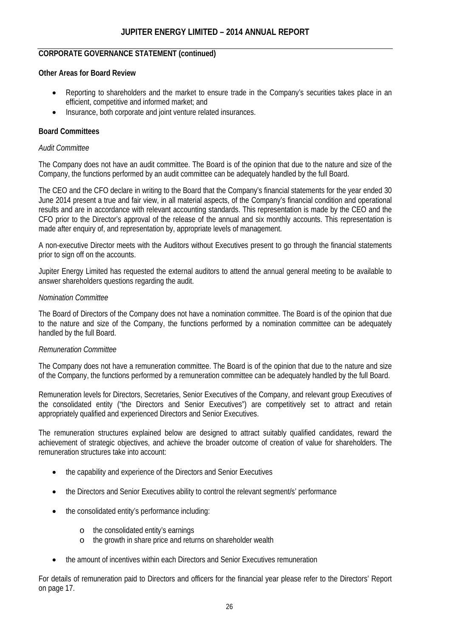#### **Other Areas for Board Review**

- Reporting to shareholders and the market to ensure trade in the Company's securities takes place in an efficient, competitive and informed market; and
- Insurance, both corporate and joint venture related insurances.

# **Board Committees**

#### *Audit Committee*

The Company does not have an audit committee. The Board is of the opinion that due to the nature and size of the Company, the functions performed by an audit committee can be adequately handled by the full Board.

The CEO and the CFO declare in writing to the Board that the Company's financial statements for the year ended 30 June 2014 present a true and fair view, in all material aspects, of the Company's financial condition and operational results and are in accordance with relevant accounting standards. This representation is made by the CEO and the CFO prior to the Director's approval of the release of the annual and six monthly accounts. This representation is made after enquiry of, and representation by, appropriate levels of management.

A non-executive Director meets with the Auditors without Executives present to go through the financial statements prior to sign off on the accounts.

Jupiter Energy Limited has requested the external auditors to attend the annual general meeting to be available to answer shareholders questions regarding the audit.

#### *Nomination Committee*

The Board of Directors of the Company does not have a nomination committee. The Board is of the opinion that due to the nature and size of the Company, the functions performed by a nomination committee can be adequately handled by the full Board.

#### *Remuneration Committee*

The Company does not have a remuneration committee. The Board is of the opinion that due to the nature and size of the Company, the functions performed by a remuneration committee can be adequately handled by the full Board.

Remuneration levels for Directors, Secretaries, Senior Executives of the Company, and relevant group Executives of the consolidated entity ("the Directors and Senior Executives") are competitively set to attract and retain appropriately qualified and experienced Directors and Senior Executives.

The remuneration structures explained below are designed to attract suitably qualified candidates, reward the achievement of strategic objectives, and achieve the broader outcome of creation of value for shareholders. The remuneration structures take into account:

- the capability and experience of the Directors and Senior Executives
- the Directors and Senior Executives ability to control the relevant segment/s' performance
- the consolidated entity's performance including:
	- o the consolidated entity's earnings
	- o the growth in share price and returns on shareholder wealth
- the amount of incentives within each Directors and Senior Executives remuneration

For details of remuneration paid to Directors and officers for the financial year please refer to the Directors' Report on page 17.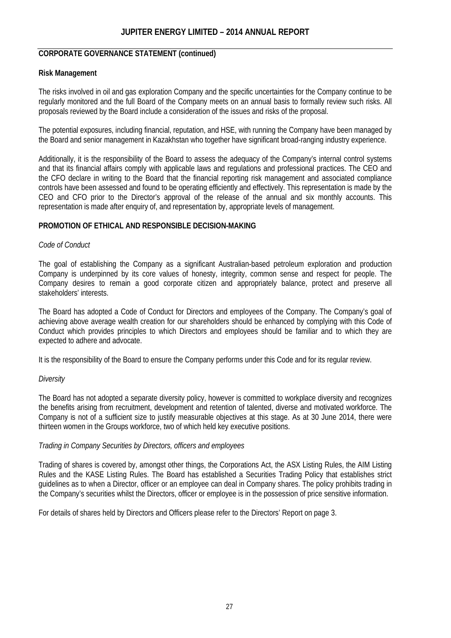#### **Risk Management**

The risks involved in oil and gas exploration Company and the specific uncertainties for the Company continue to be regularly monitored and the full Board of the Company meets on an annual basis to formally review such risks. All proposals reviewed by the Board include a consideration of the issues and risks of the proposal.

The potential exposures, including financial, reputation, and HSE, with running the Company have been managed by the Board and senior management in Kazakhstan who together have significant broad-ranging industry experience.

Additionally, it is the responsibility of the Board to assess the adequacy of the Company's internal control systems and that its financial affairs comply with applicable laws and regulations and professional practices. The CEO and the CFO declare in writing to the Board that the financial reporting risk management and associated compliance controls have been assessed and found to be operating efficiently and effectively. This representation is made by the CEO and CFO prior to the Director's approval of the release of the annual and six monthly accounts. This representation is made after enquiry of, and representation by, appropriate levels of management.

#### **PROMOTION OF ETHICAL AND RESPONSIBLE DECISION-MAKING**

#### *Code of Conduct*

The goal of establishing the Company as a significant Australian-based petroleum exploration and production Company is underpinned by its core values of honesty, integrity, common sense and respect for people. The Company desires to remain a good corporate citizen and appropriately balance, protect and preserve all stakeholders' interests.

The Board has adopted a Code of Conduct for Directors and employees of the Company. The Company's goal of achieving above average wealth creation for our shareholders should be enhanced by complying with this Code of Conduct which provides principles to which Directors and employees should be familiar and to which they are expected to adhere and advocate.

It is the responsibility of the Board to ensure the Company performs under this Code and for its regular review.

#### *Diversity*

The Board has not adopted a separate diversity policy, however is committed to workplace diversity and recognizes the benefits arising from recruitment, development and retention of talented, diverse and motivated workforce. The Company is not of a sufficient size to justify measurable objectives at this stage. As at 30 June 2014, there were thirteen women in the Groups workforce, two of which held key executive positions.

#### *Trading in Company Securities by Directors, officers and employees*

Trading of shares is covered by, amongst other things, the Corporations Act, the ASX Listing Rules, the AIM Listing Rules and the KASE Listing Rules. The Board has established a Securities Trading Policy that establishes strict guidelines as to when a Director, officer or an employee can deal in Company shares. The policy prohibits trading in the Company's securities whilst the Directors, officer or employee is in the possession of price sensitive information.

For details of shares held by Directors and Officers please refer to the Directors' Report on page 3.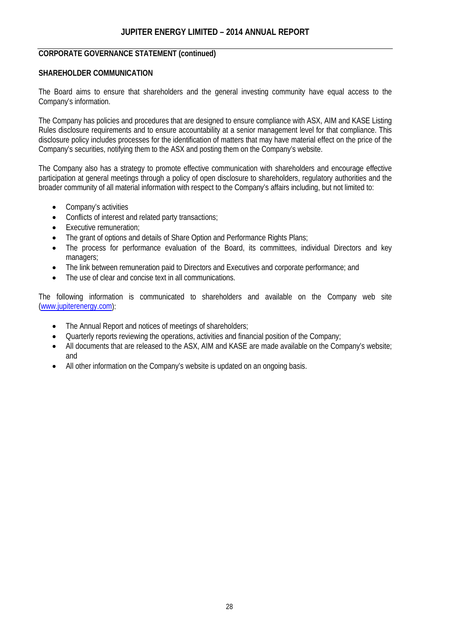#### **SHAREHOLDER COMMUNICATION**

The Board aims to ensure that shareholders and the general investing community have equal access to the Company's information.

The Company has policies and procedures that are designed to ensure compliance with ASX, AIM and KASE Listing Rules disclosure requirements and to ensure accountability at a senior management level for that compliance. This disclosure policy includes processes for the identification of matters that may have material effect on the price of the Company's securities, notifying them to the ASX and posting them on the Company's website.

The Company also has a strategy to promote effective communication with shareholders and encourage effective participation at general meetings through a policy of open disclosure to shareholders, regulatory authorities and the broader community of all material information with respect to the Company's affairs including, but not limited to:

- Company's activities
- Conflicts of interest and related party transactions;
- **Executive remuneration;**
- The grant of options and details of Share Option and Performance Rights Plans;
- The process for performance evaluation of the Board, its committees, individual Directors and key managers;
- The link between remuneration paid to Directors and Executives and corporate performance; and
- The use of clear and concise text in all communications.

The following information is communicated to shareholders and available on the Company web site [\(www.jupiterenergy.com\)](http://www.jupiterenergy.com/):

- The Annual Report and notices of meetings of shareholders;
- Quarterly reports reviewing the operations, activities and financial position of the Company;
- All documents that are released to the ASX, AIM and KASE are made available on the Company's website; and
- All other information on the Company's website is updated on an ongoing basis.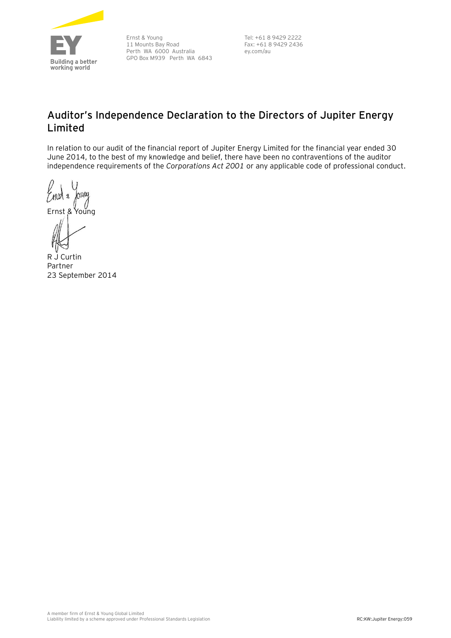

Ernst & Young 11 Mounts Bay Road Perth WA 6000 Australia GPO Box M939 Perth WA 6843 Tel: +61 8 9429 2222 Fax: +61 8 9429 2436 ey.com/au

# **Auditor's Independence Declaration to the Directors of Jupiter Energy Limited**

In relation to our audit of the financial report of Jupiter Energy Limited for the financial year ended 30 June 2014, to the best of my knowledge and belief, there have been no contraventions of the auditor independence requirements of the *Corporations Act 2001* or any applicable code of professional conduct.

nony Ernst & Young

R J Curtin Partner 23 September 2014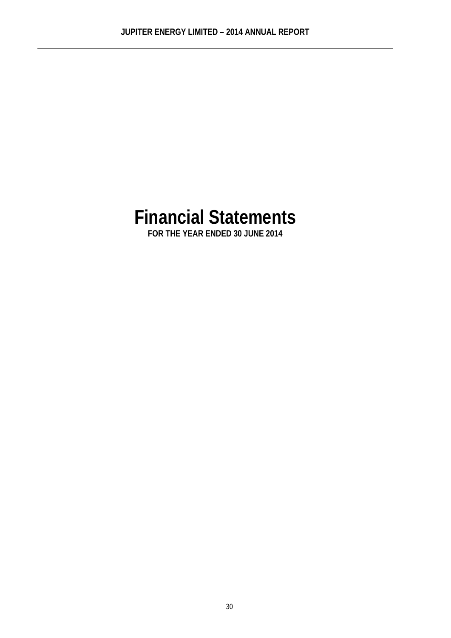# **Financial Statements**

**FOR THE YEAR ENDED 30 JUNE 2014**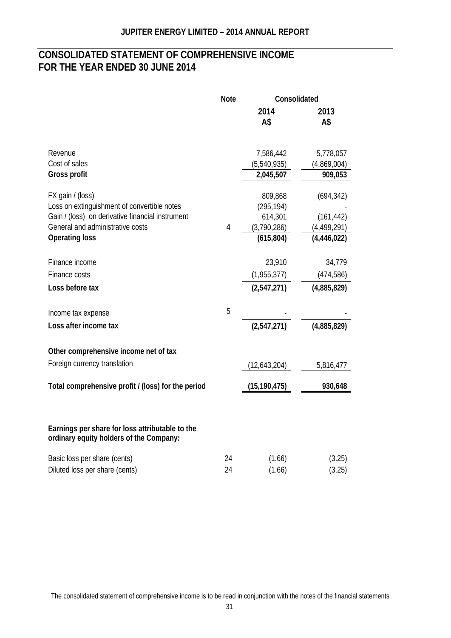# **CONSOLIDATED STATEMENT OF COMPREHENSIVE INCOME FOR THE YEAR ENDED 30 JUNE 2014**

|                                                                                                 | <b>Note</b> | Consolidated           |                           |
|-------------------------------------------------------------------------------------------------|-------------|------------------------|---------------------------|
|                                                                                                 |             | 2014<br>A\$            | 2013<br>A\$               |
| Revenue                                                                                         |             | 7,586,442              | 5,778,057                 |
| Cost of sales                                                                                   |             | (5,540,935)            | (4,869,004)               |
| <b>Gross profit</b>                                                                             |             | 2,045,507              | 909,053                   |
|                                                                                                 |             |                        |                           |
| FX gain / (loss)                                                                                |             | 809,868                | (694, 342)                |
| Loss on extinguishment of convertible notes<br>Gain / (loss) on derivative financial instrument |             | (295, 194)             |                           |
| General and administrative costs                                                                | 4           | 614,301<br>(3,790,286) | (161, 442)<br>(4,499,291) |
| <b>Operating loss</b>                                                                           |             | (615, 804)             | (4,446,022)               |
|                                                                                                 |             |                        |                           |
| Finance income                                                                                  |             | 23,910                 | 34,779                    |
| Finance costs                                                                                   |             | (1,955,377)            | (474, 586)                |
| Loss before tax                                                                                 |             | (2,547,271)            | (4,885,829)               |
|                                                                                                 |             |                        |                           |
| Income tax expense                                                                              | 5           |                        |                           |
| Loss after income tax                                                                           |             | (2,547,271)            | (4,885,829)               |
| Other comprehensive income net of tax                                                           |             |                        |                           |
| Foreign currency translation                                                                    |             | (12,643,204)           | 5,816,477                 |
|                                                                                                 |             |                        |                           |
| Total comprehensive profit / (loss) for the period                                              |             | (15, 190, 475)         | 930,648                   |
|                                                                                                 |             |                        |                           |
| Earnings per share for loss attributable to the<br>ordinary equity holders of the Company:      |             |                        |                           |
| Basic loss per share (cents)                                                                    | 24          | (1.66)                 | (3.25)                    |
| Diluted loss per share (cents)                                                                  | 24          | (1.66)                 | (3.25)                    |

The consolidated statement of comprehensive income is to be read in conjunction with the notes of the financial statements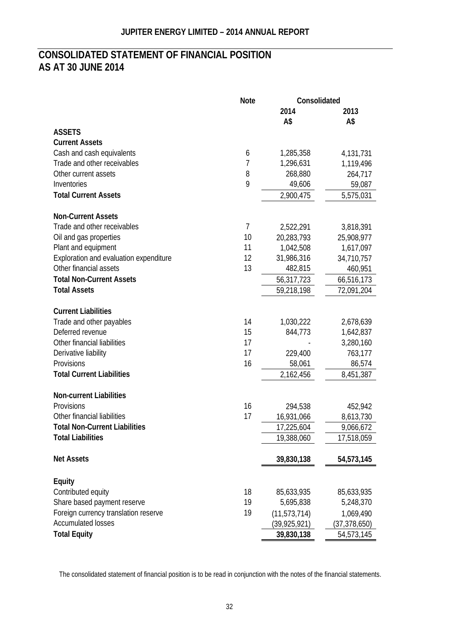# **CONSOLIDATED STATEMENT OF FINANCIAL POSITION AS AT 30 JUNE 2014**

| 2014<br>2013<br>A\$<br>A\$<br><b>ASSETS</b><br><b>Current Assets</b><br>Cash and cash equivalents<br>1,285,358<br>6<br>4,131,731<br>Trade and other receivables<br>7<br>1,296,631<br>1,119,496<br>8<br>268,880<br>Other current assets<br>264,717<br>9<br>Inventories<br>49,606<br>59,087<br><b>Total Current Assets</b><br>2,900,475<br>5,575,031<br><b>Non-Current Assets</b><br>Trade and other receivables<br>$\overline{7}$<br>2,522,291<br>3,818,391<br>Oil and gas properties<br>10<br>20,283,793<br>25,908,977<br>Plant and equipment<br>11<br>1,042,508<br>1,617,097<br>Exploration and evaluation expenditure<br>12<br>31,986,316<br>34,710,757<br>Other financial assets<br>13<br>482,815<br>460,951<br><b>Total Non-Current Assets</b><br>56,317,723<br>66,516,173<br><b>Total Assets</b><br>59,218,198<br>72,091,204<br><b>Current Liabilities</b><br>Trade and other payables<br>14<br>1,030,222<br>2,678,639<br>Deferred revenue<br>15<br>844,773<br>1,642,837<br>Other financial liabilities<br>17<br>3,280,160<br>Derivative liability<br>17<br>229,400<br>763,177<br>Provisions<br>16<br>58,061<br>86,574<br><b>Total Current Liabilities</b><br>2,162,456<br>8,451,387<br><b>Non-current Liabilities</b><br>Provisions<br>16<br>294,538<br>452,942<br>Other financial liabilities<br>17<br>16,931,066<br>8,613,730<br><b>Total Non-Current Liabilities</b><br>17,225,604<br>9,066,672<br><b>Total Liabilities</b><br>19,388,060<br>17,518,059<br><b>Net Assets</b><br>39,830,138<br>54,573,145<br>Equity<br>Contributed equity<br>18<br>85,633,935<br>85,633,935<br>Share based payment reserve<br>19<br>5,695,838<br>5,248,370<br>Foreign currency translation reserve<br>19<br>(11, 573, 714)<br>1,069,490<br><b>Accumulated losses</b><br>(39, 925, 921)<br>(37, 378, 650)<br><b>Total Equity</b><br>39,830,138<br>54,573,145 | <b>Note</b> | Consolidated |  |
|-----------------------------------------------------------------------------------------------------------------------------------------------------------------------------------------------------------------------------------------------------------------------------------------------------------------------------------------------------------------------------------------------------------------------------------------------------------------------------------------------------------------------------------------------------------------------------------------------------------------------------------------------------------------------------------------------------------------------------------------------------------------------------------------------------------------------------------------------------------------------------------------------------------------------------------------------------------------------------------------------------------------------------------------------------------------------------------------------------------------------------------------------------------------------------------------------------------------------------------------------------------------------------------------------------------------------------------------------------------------------------------------------------------------------------------------------------------------------------------------------------------------------------------------------------------------------------------------------------------------------------------------------------------------------------------------------------------------------------------------------------------------------------------------------------------------------------------------------------|-------------|--------------|--|
|                                                                                                                                                                                                                                                                                                                                                                                                                                                                                                                                                                                                                                                                                                                                                                                                                                                                                                                                                                                                                                                                                                                                                                                                                                                                                                                                                                                                                                                                                                                                                                                                                                                                                                                                                                                                                                                     |             |              |  |
|                                                                                                                                                                                                                                                                                                                                                                                                                                                                                                                                                                                                                                                                                                                                                                                                                                                                                                                                                                                                                                                                                                                                                                                                                                                                                                                                                                                                                                                                                                                                                                                                                                                                                                                                                                                                                                                     |             |              |  |
|                                                                                                                                                                                                                                                                                                                                                                                                                                                                                                                                                                                                                                                                                                                                                                                                                                                                                                                                                                                                                                                                                                                                                                                                                                                                                                                                                                                                                                                                                                                                                                                                                                                                                                                                                                                                                                                     |             |              |  |
|                                                                                                                                                                                                                                                                                                                                                                                                                                                                                                                                                                                                                                                                                                                                                                                                                                                                                                                                                                                                                                                                                                                                                                                                                                                                                                                                                                                                                                                                                                                                                                                                                                                                                                                                                                                                                                                     |             |              |  |
|                                                                                                                                                                                                                                                                                                                                                                                                                                                                                                                                                                                                                                                                                                                                                                                                                                                                                                                                                                                                                                                                                                                                                                                                                                                                                                                                                                                                                                                                                                                                                                                                                                                                                                                                                                                                                                                     |             |              |  |
|                                                                                                                                                                                                                                                                                                                                                                                                                                                                                                                                                                                                                                                                                                                                                                                                                                                                                                                                                                                                                                                                                                                                                                                                                                                                                                                                                                                                                                                                                                                                                                                                                                                                                                                                                                                                                                                     |             |              |  |
|                                                                                                                                                                                                                                                                                                                                                                                                                                                                                                                                                                                                                                                                                                                                                                                                                                                                                                                                                                                                                                                                                                                                                                                                                                                                                                                                                                                                                                                                                                                                                                                                                                                                                                                                                                                                                                                     |             |              |  |
|                                                                                                                                                                                                                                                                                                                                                                                                                                                                                                                                                                                                                                                                                                                                                                                                                                                                                                                                                                                                                                                                                                                                                                                                                                                                                                                                                                                                                                                                                                                                                                                                                                                                                                                                                                                                                                                     |             |              |  |
|                                                                                                                                                                                                                                                                                                                                                                                                                                                                                                                                                                                                                                                                                                                                                                                                                                                                                                                                                                                                                                                                                                                                                                                                                                                                                                                                                                                                                                                                                                                                                                                                                                                                                                                                                                                                                                                     |             |              |  |
|                                                                                                                                                                                                                                                                                                                                                                                                                                                                                                                                                                                                                                                                                                                                                                                                                                                                                                                                                                                                                                                                                                                                                                                                                                                                                                                                                                                                                                                                                                                                                                                                                                                                                                                                                                                                                                                     |             |              |  |
|                                                                                                                                                                                                                                                                                                                                                                                                                                                                                                                                                                                                                                                                                                                                                                                                                                                                                                                                                                                                                                                                                                                                                                                                                                                                                                                                                                                                                                                                                                                                                                                                                                                                                                                                                                                                                                                     |             |              |  |
|                                                                                                                                                                                                                                                                                                                                                                                                                                                                                                                                                                                                                                                                                                                                                                                                                                                                                                                                                                                                                                                                                                                                                                                                                                                                                                                                                                                                                                                                                                                                                                                                                                                                                                                                                                                                                                                     |             |              |  |
|                                                                                                                                                                                                                                                                                                                                                                                                                                                                                                                                                                                                                                                                                                                                                                                                                                                                                                                                                                                                                                                                                                                                                                                                                                                                                                                                                                                                                                                                                                                                                                                                                                                                                                                                                                                                                                                     |             |              |  |
|                                                                                                                                                                                                                                                                                                                                                                                                                                                                                                                                                                                                                                                                                                                                                                                                                                                                                                                                                                                                                                                                                                                                                                                                                                                                                                                                                                                                                                                                                                                                                                                                                                                                                                                                                                                                                                                     |             |              |  |
|                                                                                                                                                                                                                                                                                                                                                                                                                                                                                                                                                                                                                                                                                                                                                                                                                                                                                                                                                                                                                                                                                                                                                                                                                                                                                                                                                                                                                                                                                                                                                                                                                                                                                                                                                                                                                                                     |             |              |  |
|                                                                                                                                                                                                                                                                                                                                                                                                                                                                                                                                                                                                                                                                                                                                                                                                                                                                                                                                                                                                                                                                                                                                                                                                                                                                                                                                                                                                                                                                                                                                                                                                                                                                                                                                                                                                                                                     |             |              |  |
|                                                                                                                                                                                                                                                                                                                                                                                                                                                                                                                                                                                                                                                                                                                                                                                                                                                                                                                                                                                                                                                                                                                                                                                                                                                                                                                                                                                                                                                                                                                                                                                                                                                                                                                                                                                                                                                     |             |              |  |
|                                                                                                                                                                                                                                                                                                                                                                                                                                                                                                                                                                                                                                                                                                                                                                                                                                                                                                                                                                                                                                                                                                                                                                                                                                                                                                                                                                                                                                                                                                                                                                                                                                                                                                                                                                                                                                                     |             |              |  |
|                                                                                                                                                                                                                                                                                                                                                                                                                                                                                                                                                                                                                                                                                                                                                                                                                                                                                                                                                                                                                                                                                                                                                                                                                                                                                                                                                                                                                                                                                                                                                                                                                                                                                                                                                                                                                                                     |             |              |  |
|                                                                                                                                                                                                                                                                                                                                                                                                                                                                                                                                                                                                                                                                                                                                                                                                                                                                                                                                                                                                                                                                                                                                                                                                                                                                                                                                                                                                                                                                                                                                                                                                                                                                                                                                                                                                                                                     |             |              |  |
|                                                                                                                                                                                                                                                                                                                                                                                                                                                                                                                                                                                                                                                                                                                                                                                                                                                                                                                                                                                                                                                                                                                                                                                                                                                                                                                                                                                                                                                                                                                                                                                                                                                                                                                                                                                                                                                     |             |              |  |
|                                                                                                                                                                                                                                                                                                                                                                                                                                                                                                                                                                                                                                                                                                                                                                                                                                                                                                                                                                                                                                                                                                                                                                                                                                                                                                                                                                                                                                                                                                                                                                                                                                                                                                                                                                                                                                                     |             |              |  |
|                                                                                                                                                                                                                                                                                                                                                                                                                                                                                                                                                                                                                                                                                                                                                                                                                                                                                                                                                                                                                                                                                                                                                                                                                                                                                                                                                                                                                                                                                                                                                                                                                                                                                                                                                                                                                                                     |             |              |  |
|                                                                                                                                                                                                                                                                                                                                                                                                                                                                                                                                                                                                                                                                                                                                                                                                                                                                                                                                                                                                                                                                                                                                                                                                                                                                                                                                                                                                                                                                                                                                                                                                                                                                                                                                                                                                                                                     |             |              |  |
|                                                                                                                                                                                                                                                                                                                                                                                                                                                                                                                                                                                                                                                                                                                                                                                                                                                                                                                                                                                                                                                                                                                                                                                                                                                                                                                                                                                                                                                                                                                                                                                                                                                                                                                                                                                                                                                     |             |              |  |
|                                                                                                                                                                                                                                                                                                                                                                                                                                                                                                                                                                                                                                                                                                                                                                                                                                                                                                                                                                                                                                                                                                                                                                                                                                                                                                                                                                                                                                                                                                                                                                                                                                                                                                                                                                                                                                                     |             |              |  |
|                                                                                                                                                                                                                                                                                                                                                                                                                                                                                                                                                                                                                                                                                                                                                                                                                                                                                                                                                                                                                                                                                                                                                                                                                                                                                                                                                                                                                                                                                                                                                                                                                                                                                                                                                                                                                                                     |             |              |  |
|                                                                                                                                                                                                                                                                                                                                                                                                                                                                                                                                                                                                                                                                                                                                                                                                                                                                                                                                                                                                                                                                                                                                                                                                                                                                                                                                                                                                                                                                                                                                                                                                                                                                                                                                                                                                                                                     |             |              |  |
|                                                                                                                                                                                                                                                                                                                                                                                                                                                                                                                                                                                                                                                                                                                                                                                                                                                                                                                                                                                                                                                                                                                                                                                                                                                                                                                                                                                                                                                                                                                                                                                                                                                                                                                                                                                                                                                     |             |              |  |
|                                                                                                                                                                                                                                                                                                                                                                                                                                                                                                                                                                                                                                                                                                                                                                                                                                                                                                                                                                                                                                                                                                                                                                                                                                                                                                                                                                                                                                                                                                                                                                                                                                                                                                                                                                                                                                                     |             |              |  |
|                                                                                                                                                                                                                                                                                                                                                                                                                                                                                                                                                                                                                                                                                                                                                                                                                                                                                                                                                                                                                                                                                                                                                                                                                                                                                                                                                                                                                                                                                                                                                                                                                                                                                                                                                                                                                                                     |             |              |  |
|                                                                                                                                                                                                                                                                                                                                                                                                                                                                                                                                                                                                                                                                                                                                                                                                                                                                                                                                                                                                                                                                                                                                                                                                                                                                                                                                                                                                                                                                                                                                                                                                                                                                                                                                                                                                                                                     |             |              |  |
|                                                                                                                                                                                                                                                                                                                                                                                                                                                                                                                                                                                                                                                                                                                                                                                                                                                                                                                                                                                                                                                                                                                                                                                                                                                                                                                                                                                                                                                                                                                                                                                                                                                                                                                                                                                                                                                     |             |              |  |
|                                                                                                                                                                                                                                                                                                                                                                                                                                                                                                                                                                                                                                                                                                                                                                                                                                                                                                                                                                                                                                                                                                                                                                                                                                                                                                                                                                                                                                                                                                                                                                                                                                                                                                                                                                                                                                                     |             |              |  |
|                                                                                                                                                                                                                                                                                                                                                                                                                                                                                                                                                                                                                                                                                                                                                                                                                                                                                                                                                                                                                                                                                                                                                                                                                                                                                                                                                                                                                                                                                                                                                                                                                                                                                                                                                                                                                                                     |             |              |  |
|                                                                                                                                                                                                                                                                                                                                                                                                                                                                                                                                                                                                                                                                                                                                                                                                                                                                                                                                                                                                                                                                                                                                                                                                                                                                                                                                                                                                                                                                                                                                                                                                                                                                                                                                                                                                                                                     |             |              |  |
|                                                                                                                                                                                                                                                                                                                                                                                                                                                                                                                                                                                                                                                                                                                                                                                                                                                                                                                                                                                                                                                                                                                                                                                                                                                                                                                                                                                                                                                                                                                                                                                                                                                                                                                                                                                                                                                     |             |              |  |
|                                                                                                                                                                                                                                                                                                                                                                                                                                                                                                                                                                                                                                                                                                                                                                                                                                                                                                                                                                                                                                                                                                                                                                                                                                                                                                                                                                                                                                                                                                                                                                                                                                                                                                                                                                                                                                                     |             |              |  |

The consolidated statement of financial position is to be read in conjunction with the notes of the financial statements.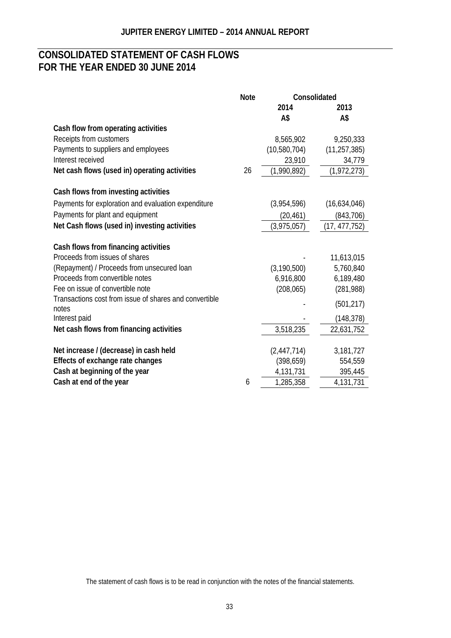# **CONSOLIDATED STATEMENT OF CASH FLOWS FOR THE YEAR ENDED 30 JUNE 2014**

|                                                                 | <b>Note</b> | Consolidated   |                |
|-----------------------------------------------------------------|-------------|----------------|----------------|
|                                                                 |             | 2014           | 2013           |
|                                                                 |             | A\$            | A\$            |
| Cash flow from operating activities                             |             |                |                |
| Receipts from customers                                         |             | 8,565,902      | 9,250,333      |
| Payments to suppliers and employees                             |             | (10, 580, 704) | (11, 257, 385) |
| Interest received                                               |             | 23,910         | 34,779         |
| Net cash flows (used in) operating activities                   | 26          | (1,990,892)    | (1, 972, 273)  |
| Cash flows from investing activities                            |             |                |                |
| Payments for exploration and evaluation expenditure             |             | (3,954,596)    | (16,634,046)   |
| Payments for plant and equipment                                |             | (20, 461)      | (843, 706)     |
| Net Cash flows (used in) investing activities                   |             | (3,975,057)    | (17, 477, 752) |
|                                                                 |             |                |                |
| Cash flows from financing activities                            |             |                |                |
| Proceeds from issues of shares                                  |             |                | 11,613,015     |
| (Repayment) / Proceeds from unsecured loan                      |             | (3, 190, 500)  | 5,760,840      |
| Proceeds from convertible notes                                 |             | 6,916,800      | 6,189,480      |
| Fee on issue of convertible note                                |             | (208, 065)     | (281,988)      |
| Transactions cost from issue of shares and convertible<br>notes |             |                | (501, 217)     |
| Interest paid                                                   |             |                | (148, 378)     |
| Net cash flows from financing activities                        |             | 3,518,235      | 22,631,752     |
| Net increase / (decrease) in cash held                          |             | (2, 447, 714)  | 3,181,727      |
| Effects of exchange rate changes                                |             | (398, 659)     | 554,559        |
| Cash at beginning of the year                                   |             | 4,131,731      | 395,445        |
| Cash at end of the year                                         | 6           | 1,285,358      | 4,131,731      |
|                                                                 |             |                |                |

The statement of cash flows is to be read in conjunction with the notes of the financial statements.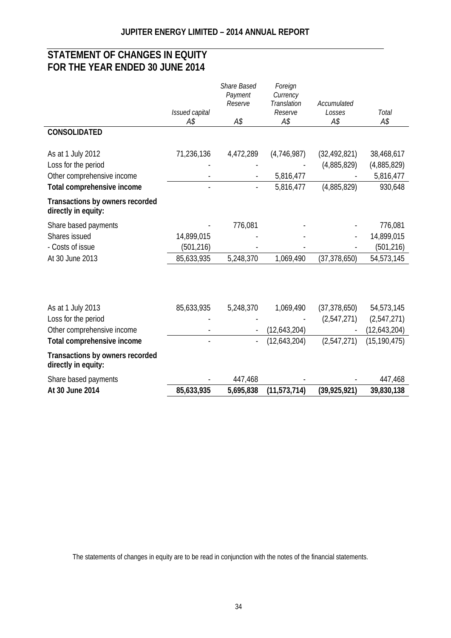# **STATEMENT OF CHANGES IN EQUITY FOR THE YEAR ENDED 30 JUNE 2014**

|                                                                        | Issued capital<br>A\$    | <b>Share Based</b><br>Payment<br>Reserve<br>A\$ | Foreign<br>Currency<br>Translation<br>Reserve<br>A\$ | Accumulated<br>Losses<br>A\$  | Total<br>A\$                           |
|------------------------------------------------------------------------|--------------------------|-------------------------------------------------|------------------------------------------------------|-------------------------------|----------------------------------------|
| CONSOLIDATED                                                           |                          |                                                 |                                                      |                               |                                        |
| As at 1 July 2012<br>Loss for the period<br>Other comprehensive income | 71,236,136               | 4,472,289                                       | (4,746,987)<br>5,816,477                             | (32, 492, 821)<br>(4,885,829) | 38,468,617<br>(4,885,829)<br>5,816,477 |
| Total comprehensive income                                             |                          |                                                 | 5,816,477                                            | (4,885,829)                   | 930,648                                |
| Transactions by owners recorded<br>directly in equity:                 |                          |                                                 |                                                      |                               |                                        |
| Share based payments                                                   |                          | 776,081                                         |                                                      |                               | 776,081                                |
| Shares issued<br>- Costs of issue                                      | 14,899,015<br>(501, 216) |                                                 |                                                      |                               | 14,899,015<br>(501, 216)               |
| At 30 June 2013                                                        | 85,633,935               | 5,248,370                                       | 1,069,490                                            | (37, 378, 650)                | 54,573,145                             |
|                                                                        |                          |                                                 |                                                      |                               |                                        |
| As at 1 July 2013                                                      | 85,633,935               | 5,248,370                                       | 1,069,490                                            | (37, 378, 650)                | 54,573,145                             |
| Loss for the period                                                    |                          |                                                 |                                                      | (2,547,271)                   | (2,547,271)                            |
| Other comprehensive income                                             |                          |                                                 | (12,643,204)                                         |                               | (12,643,204)                           |
| Total comprehensive income                                             |                          |                                                 | (12,643,204)                                         | (2,547,271)                   | (15, 190, 475)                         |
| Transactions by owners recorded<br>directly in equity:                 |                          |                                                 |                                                      |                               |                                        |
| Share based payments                                                   |                          | 447,468                                         |                                                      |                               | 447,468                                |
| At 30 June 2014                                                        | 85,633,935               | 5,695,838                                       | (11, 573, 714)                                       | (39, 925, 921)                | 39,830,138                             |
|                                                                        |                          |                                                 |                                                      |                               |                                        |

The statements of changes in equity are to be read in conjunction with the notes of the financial statements.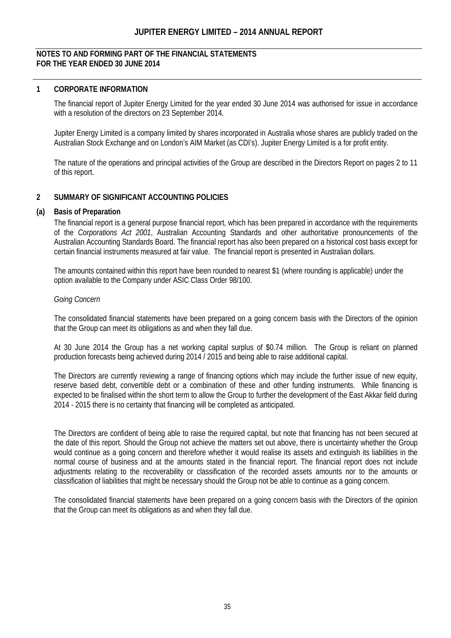#### **1 CORPORATE INFORMATION**

The financial report of Jupiter Energy Limited for the year ended 30 June 2014 was authorised for issue in accordance with a resolution of the directors on 23 September 2014.

Jupiter Energy Limited is a company limited by shares incorporated in Australia whose shares are publicly traded on the Australian Stock Exchange and on London's AIM Market (as CDI's). Jupiter Energy Limited is a for profit entity.

The nature of the operations and principal activities of the Group are described in the Directors Report on pages 2 to 11 of this report.

## **2 SUMMARY OF SIGNIFICANT ACCOUNTING POLICIES**

#### **(a) Basis of Preparation**

The financial report is a general purpose financial report, which has been prepared in accordance with the requirements of the *Corporations Act 2001*, Australian Accounting Standards and other authoritative pronouncements of the Australian Accounting Standards Board. The financial report has also been prepared on a historical cost basis except for certain financial instruments measured at fair value. The financial report is presented in Australian dollars.

The amounts contained within this report have been rounded to nearest \$1 (where rounding is applicable) under the option available to the Company under ASIC Class Order 98/100.

#### *Going Concern*

The consolidated financial statements have been prepared on a going concern basis with the Directors of the opinion that the Group can meet its obligations as and when they fall due.

At 30 June 2014 the Group has a net working capital surplus of \$0.74 million. The Group is reliant on planned production forecasts being achieved during 2014 / 2015 and being able to raise additional capital.

The Directors are currently reviewing a range of financing options which may include the further issue of new equity, reserve based debt, convertible debt or a combination of these and other funding instruments. While financing is expected to be finalised within the short term to allow the Group to further the development of the East Akkar field during 2014 - 2015 there is no certainty that financing will be completed as anticipated.

The Directors are confident of being able to raise the required capital, but note that financing has not been secured at the date of this report. Should the Group not achieve the matters set out above, there is uncertainty whether the Group would continue as a going concern and therefore whether it would realise its assets and extinguish its liabilities in the normal course of business and at the amounts stated in the financial report. The financial report does not include adjustments relating to the recoverability or classification of the recorded assets amounts nor to the amounts or classification of liabilities that might be necessary should the Group not be able to continue as a going concern.

The consolidated financial statements have been prepared on a going concern basis with the Directors of the opinion that the Group can meet its obligations as and when they fall due.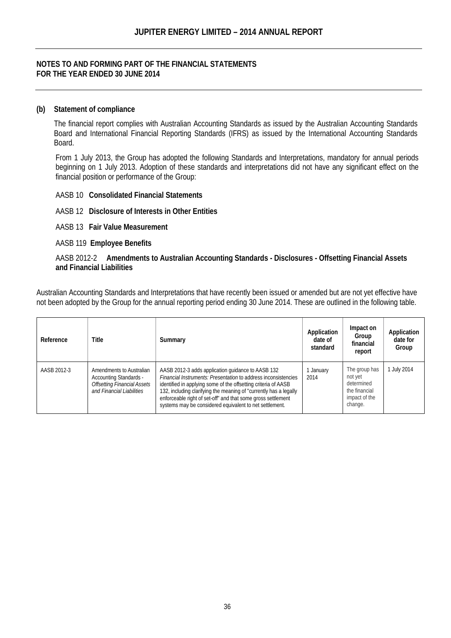#### **(b) Statement of compliance**

The financial report complies with Australian Accounting Standards as issued by the Australian Accounting Standards Board and International Financial Reporting Standards (IFRS) as issued by the International Accounting Standards Board.

From 1 July 2013, the Group has adopted the following Standards and Interpretations, mandatory for annual periods beginning on 1 July 2013. Adoption of these standards and interpretations did not have any significant effect on the financial position or performance of the Group:

AASB 10 **Consolidated Financial Statements**

AASB 12 **Disclosure of Interests in Other Entities**

AASB 13 **Fair Value Measurement**

#### AASB 119 **Employee Benefits**

AASB 2012-2 **Amendments to Australian Accounting Standards - Disclosures - Offsetting Financial Assets and Financial Liabilities**

Australian Accounting Standards and Interpretations that have recently been issued or amended but are not yet effective have not been adopted by the Group for the annual reporting period ending 30 June 2014. These are outlined in the following table.

| Reference   | <b>Title</b>                                                                                                                 | Summary                                                                                                                                                                                                                                                                                                                                                                                      | Application<br>date of<br>standard | Impact on<br>Group<br>financial<br>report                                           | Application<br>date for<br>Group |
|-------------|------------------------------------------------------------------------------------------------------------------------------|----------------------------------------------------------------------------------------------------------------------------------------------------------------------------------------------------------------------------------------------------------------------------------------------------------------------------------------------------------------------------------------------|------------------------------------|-------------------------------------------------------------------------------------|----------------------------------|
| AASB 2012-3 | Amendments to Australian<br><b>Accounting Standards -</b><br><b>Offsetting Financial Assets</b><br>and Financial Liabilities | AASB 2012-3 adds application guidance to AASB 132<br><b>Financial Instruments: Presentation to address inconsistencies</b><br>identified in applying some of the offsetting criteria of AASB<br>132, including clarifying the meaning of "currently has a legally<br>enforceable right of set-off" and that some gross settlement<br>systems may be considered equivalent to net settlement. | January<br>2014                    | The group has<br>not yet<br>determined<br>the financial<br>impact of the<br>change. | 1 July 2014                      |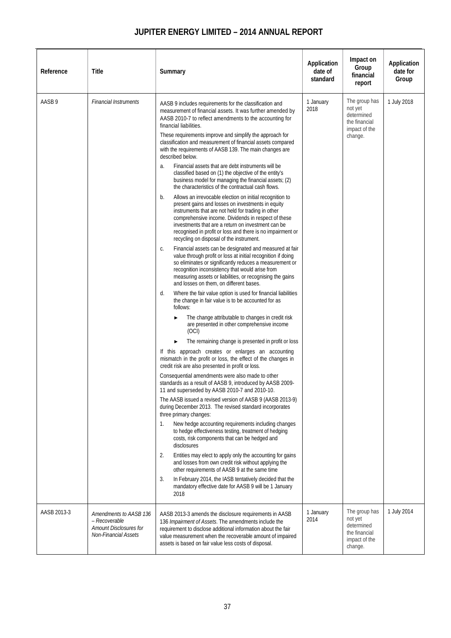# **JUPITER ENERGY LIMITED – 2014 ANNUAL REPORT**

| Reference   | <b>Title</b>                                                                              | Summary                                                                                                                                                                                                                                                                                                                                                                                                                                                                                                                                                                                                                                                                                                                                                                                                                                                                                                                                                                                                                                                                                                                                                                                                                                                                                                                                                                                                                                                                                                                                                                                                                                                                                                                                                                                                                                                                                                                                                                                                                                                                                                                                                                                                                                                                                                                                                                                                                                                                                                                                                                                                                                                                                                                            | Application<br>date of<br>standard | Impact on<br>Group<br>financial<br>report                                           | Application<br>date for<br>Group |
|-------------|-------------------------------------------------------------------------------------------|------------------------------------------------------------------------------------------------------------------------------------------------------------------------------------------------------------------------------------------------------------------------------------------------------------------------------------------------------------------------------------------------------------------------------------------------------------------------------------------------------------------------------------------------------------------------------------------------------------------------------------------------------------------------------------------------------------------------------------------------------------------------------------------------------------------------------------------------------------------------------------------------------------------------------------------------------------------------------------------------------------------------------------------------------------------------------------------------------------------------------------------------------------------------------------------------------------------------------------------------------------------------------------------------------------------------------------------------------------------------------------------------------------------------------------------------------------------------------------------------------------------------------------------------------------------------------------------------------------------------------------------------------------------------------------------------------------------------------------------------------------------------------------------------------------------------------------------------------------------------------------------------------------------------------------------------------------------------------------------------------------------------------------------------------------------------------------------------------------------------------------------------------------------------------------------------------------------------------------------------------------------------------------------------------------------------------------------------------------------------------------------------------------------------------------------------------------------------------------------------------------------------------------------------------------------------------------------------------------------------------------------------------------------------------------------------------------------------------------|------------------------------------|-------------------------------------------------------------------------------------|----------------------------------|
| AASB 9      | <b>Financial Instruments</b>                                                              | AASB 9 includes requirements for the classification and<br>measurement of financial assets. It was further amended by<br>AASB 2010-7 to reflect amendments to the accounting for<br>financial liabilities.<br>These requirements improve and simplify the approach for<br>classification and measurement of financial assets compared<br>with the requirements of AASB 139. The main changes are<br>described below.<br>Financial assets that are debt instruments will be<br>a.<br>classified based on (1) the objective of the entity's<br>business model for managing the financial assets; (2)<br>the characteristics of the contractual cash flows.<br>Allows an irrevocable election on initial recognition to<br>b.<br>present gains and losses on investments in equity<br>instruments that are not held for trading in other<br>comprehensive income. Dividends in respect of these<br>investments that are a return on investment can be<br>recognised in profit or loss and there is no impairment or<br>recycling on disposal of the instrument.<br>Financial assets can be designated and measured at fair<br>С.<br>value through profit or loss at initial recognition if doing<br>so eliminates or significantly reduces a measurement or<br>recognition inconsistency that would arise from<br>measuring assets or liabilities, or recognising the gains<br>and losses on them, on different bases.<br>Where the fair value option is used for financial liabilities<br>d.<br>the change in fair value is to be accounted for as<br>follows:<br>The change attributable to changes in credit risk<br>are presented in other comprehensive income<br>(OCI)<br>The remaining change is presented in profit or loss<br>If this approach creates or enlarges an accounting<br>mismatch in the profit or loss, the effect of the changes in<br>credit risk are also presented in profit or loss.<br>Consequential amendments were also made to other<br>standards as a result of AASB 9, introduced by AASB 2009-<br>11 and superseded by AASB 2010-7 and 2010-10.<br>The AASB issued a revised version of AASB 9 (AASB 2013-9)<br>during December 2013. The revised standard incorporates<br>three primary changes:<br>New hedge accounting requirements including changes<br>1.<br>to hedge effectiveness testing, treatment of hedging<br>costs, risk components that can be hedged and<br>disclosures<br>Entities may elect to apply only the accounting for gains<br>2.<br>and losses from own credit risk without applying the<br>other requirements of AASB 9 at the same time<br>In February 2014, the IASB tentatively decided that the<br>3.<br>mandatory effective date for AASB 9 will be 1 January<br>2018 | 1 January<br>2018                  | The group has<br>not yet<br>determined<br>the financial<br>impact of the<br>change. | 1 July 2018                      |
| AASB 2013-3 | Amendments to AASB 136<br>– Recoverable<br>Amount Disclosures for<br>Non-Financial Assets | AASB 2013-3 amends the disclosure requirements in AASB<br>136 Impairment of Assets. The amendments include the<br>requirement to disclose additional information about the fair<br>value measurement when the recoverable amount of impaired<br>assets is based on fair value less costs of disposal.                                                                                                                                                                                                                                                                                                                                                                                                                                                                                                                                                                                                                                                                                                                                                                                                                                                                                                                                                                                                                                                                                                                                                                                                                                                                                                                                                                                                                                                                                                                                                                                                                                                                                                                                                                                                                                                                                                                                                                                                                                                                                                                                                                                                                                                                                                                                                                                                                              | 1 January<br>2014                  | The group has<br>not yet<br>determined<br>the financial<br>impact of the<br>change. | 1 July 2014                      |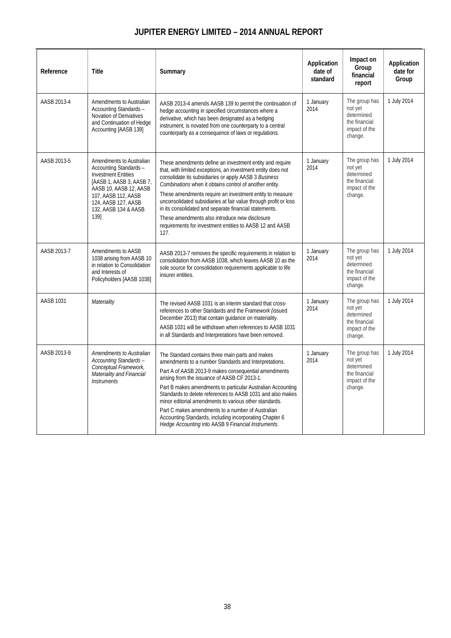# **JUPITER ENERGY LIMITED – 2014 ANNUAL REPORT**

| Reference        | Title                                                                                                                                                                                                                | Summary                                                                                                                                                                                                                                                                                                                                                                                                                                                                                                                                                                         | Application<br>date of<br>standard | Impact on<br>Group<br>financial<br>report                                           | Application<br>date for<br>Group |
|------------------|----------------------------------------------------------------------------------------------------------------------------------------------------------------------------------------------------------------------|---------------------------------------------------------------------------------------------------------------------------------------------------------------------------------------------------------------------------------------------------------------------------------------------------------------------------------------------------------------------------------------------------------------------------------------------------------------------------------------------------------------------------------------------------------------------------------|------------------------------------|-------------------------------------------------------------------------------------|----------------------------------|
| AASB 2013-4      | Amendments to Australian<br>Accounting Standards -<br>Novation of Derivatives<br>and Continuation of Hedge<br>Accounting [AASB 139]                                                                                  | AASB 2013-4 amends AASB 139 to permit the continuation of<br>hedge accounting in specified circumstances where a<br>derivative, which has been designated as a hedging<br>instrument, is novated from one counterparty to a central<br>counterparty as a consequence of laws or regulations.                                                                                                                                                                                                                                                                                    | 1 January<br>2014                  | The group has<br>not yet<br>determined<br>the financial<br>impact of the<br>change. | 1 July 2014                      |
| AASB 2013-5      | Amendments to Australian<br>Accounting Standards -<br><b>Investment Entities</b><br>[AASB 1, AASB 3, AASB 7,<br>AASB 10, AASB 12, AASB<br>107, AASB 112, AASB<br>124, AASB 127, AASB<br>132, AASB 134 & AASB<br>139] | These amendments define an investment entity and require<br>that, with limited exceptions, an investment entity does not<br>consolidate its subsidiaries or apply AASB 3 Business<br>Combinations when it obtains control of another entity.<br>These amendments require an investment entity to measure<br>unconsolidated subsidiaries at fair value through profit or loss<br>in its consolidated and separate financial statements.<br>These amendments also introduce new disclosure<br>requirements for investment entities to AASB 12 and AASB<br>127.                    | 1 January<br>2014                  | The group has<br>not yet<br>determined<br>the financial<br>impact of the<br>change. | 1 July 2014                      |
| AASB 2013-7      | Amendments to AASB<br>1038 arising from AASB 10<br>in relation to Consolidation<br>and Interests of<br>Policyholders [AASB 1038]                                                                                     | AASB 2013-7 removes the specific requirements in relation to<br>consolidation from AASB 1038, which leaves AASB 10 as the<br>sole source for consolidation requirements applicable to life<br>insurer entities.                                                                                                                                                                                                                                                                                                                                                                 | 1 January<br>2014                  | The group has<br>not yet<br>determined<br>the financial<br>impact of the<br>change. | 1 July 2014                      |
| <b>AASB 1031</b> | Materiality                                                                                                                                                                                                          | The revised AASB 1031 is an interim standard that cross-<br>references to other Standards and the Framework (issued<br>December 2013) that contain guidance on materiality.<br>AASB 1031 will be withdrawn when references to AASB 1031<br>in all Standards and Interpretations have been removed.                                                                                                                                                                                                                                                                              | 1 January<br>2014                  | The group has<br>not yet<br>determined<br>the financial<br>impact of the<br>change. | 1 July 2014                      |
| AASB 2013-9      | Amendments to Australian<br>Accounting Standards -<br>Conceptual Framework,<br>Materiality and Financial<br><b>Instruments</b>                                                                                       | The Standard contains three main parts and makes<br>amendments to a number Standards and Interpretations.<br>Part A of AASB 2013-9 makes consequential amendments<br>arising from the issuance of AASB CF 2013-1.<br>Part B makes amendments to particular Australian Accounting<br>Standards to delete references to AASB 1031 and also makes<br>minor editorial amendments to various other standards.<br>Part C makes amendments to a number of Australian<br>Accounting Standards, including incorporating Chapter 6<br>Hedge Accounting into AASB 9 Financial Instruments. | 1 January<br>2014                  | The group has<br>not yet<br>determined<br>the financial<br>impact of the<br>change. | 1 July 2014                      |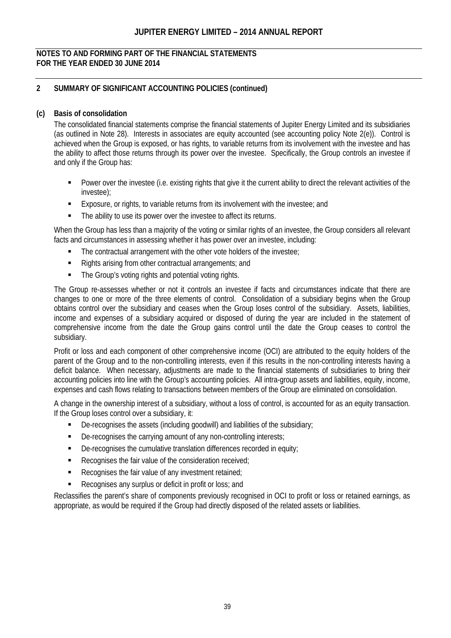## **2 SUMMARY OF SIGNIFICANT ACCOUNTING POLICIES (continued)**

## **(c) Basis of consolidation**

The consolidated financial statements comprise the financial statements of Jupiter Energy Limited and its subsidiaries (as outlined in Note 28). Interests in associates are equity accounted (see accounting policy Note 2(e)). Control is achieved when the Group is exposed, or has rights, to variable returns from its involvement with the investee and has the ability to affect those returns through its power over the investee. Specifically, the Group controls an investee if and only if the Group has:

- **Power over the investee (i.e. existing rights that give it the current ability to direct the relevant activities of the** investee);
- Exposure, or rights, to variable returns from its involvement with the investee; and
- The ability to use its power over the investee to affect its returns.

When the Group has less than a majority of the voting or similar rights of an investee, the Group considers all relevant facts and circumstances in assessing whether it has power over an investee, including:

- The contractual arrangement with the other vote holders of the investee;
- Rights arising from other contractual arrangements; and
- The Group's voting rights and potential voting rights.

The Group re-assesses whether or not it controls an investee if facts and circumstances indicate that there are changes to one or more of the three elements of control. Consolidation of a subsidiary begins when the Group obtains control over the subsidiary and ceases when the Group loses control of the subsidiary. Assets, liabilities, income and expenses of a subsidiary acquired or disposed of during the year are included in the statement of comprehensive income from the date the Group gains control until the date the Group ceases to control the subsidiary.

Profit or loss and each component of other comprehensive income (OCI) are attributed to the equity holders of the parent of the Group and to the non-controlling interests, even if this results in the non-controlling interests having a deficit balance. When necessary, adjustments are made to the financial statements of subsidiaries to bring their accounting policies into line with the Group's accounting policies. All intra-group assets and liabilities, equity, income, expenses and cash flows relating to transactions between members of the Group are eliminated on consolidation.

A change in the ownership interest of a subsidiary, without a loss of control, is accounted for as an equity transaction. If the Group loses control over a subsidiary, it:

- De-recognises the assets (including goodwill) and liabilities of the subsidiary;
- De-recognises the carrying amount of any non-controlling interests;
- De-recognises the cumulative translation differences recorded in equity;
- Recognises the fair value of the consideration received;
- Recognises the fair value of any investment retained;
- Recognises any surplus or deficit in profit or loss; and

Reclassifies the parent's share of components previously recognised in OCI to profit or loss or retained earnings, as appropriate, as would be required if the Group had directly disposed of the related assets or liabilities.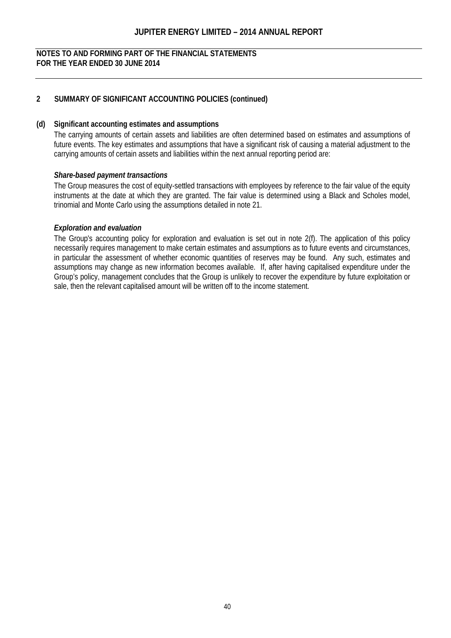## **2 SUMMARY OF SIGNIFICANT ACCOUNTING POLICIES (continued)**

#### **(d) Significant accounting estimates and assumptions**

The carrying amounts of certain assets and liabilities are often determined based on estimates and assumptions of future events. The key estimates and assumptions that have a significant risk of causing a material adjustment to the carrying amounts of certain assets and liabilities within the next annual reporting period are:

#### *Share-based payment transactions*

The Group measures the cost of equity-settled transactions with employees by reference to the fair value of the equity instruments at the date at which they are granted. The fair value is determined using a Black and Scholes model, trinomial and Monte Carlo using the assumptions detailed in note 21.

## *Exploration and evaluation*

The Group's accounting policy for exploration and evaluation is set out in note 2(f). The application of this policy necessarily requires management to make certain estimates and assumptions as to future events and circumstances, in particular the assessment of whether economic quantities of reserves may be found. Any such, estimates and assumptions may change as new information becomes available. If, after having capitalised expenditure under the Group's policy, management concludes that the Group is unlikely to recover the expenditure by future exploitation or sale, then the relevant capitalised amount will be written off to the income statement.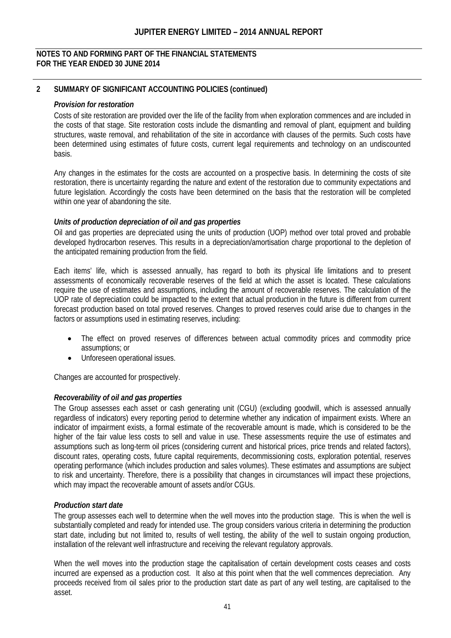## **2 SUMMARY OF SIGNIFICANT ACCOUNTING POLICIES (continued)**

#### *Provision for restoration*

Costs of site restoration are provided over the life of the facility from when exploration commences and are included in the costs of that stage. Site restoration costs include the dismantling and removal of plant, equipment and building structures, waste removal, and rehabilitation of the site in accordance with clauses of the permits. Such costs have been determined using estimates of future costs, current legal requirements and technology on an undiscounted basis.

Any changes in the estimates for the costs are accounted on a prospective basis. In determining the costs of site restoration, there is uncertainty regarding the nature and extent of the restoration due to community expectations and future legislation. Accordingly the costs have been determined on the basis that the restoration will be completed within one year of abandoning the site.

#### *Units of production depreciation of oil and gas properties*

Oil and gas properties are depreciated using the units of production (UOP) method over total proved and probable developed hydrocarbon reserves. This results in a depreciation/amortisation charge proportional to the depletion of the anticipated remaining production from the field.

Each items' life, which is assessed annually, has regard to both its physical life limitations and to present assessments of economically recoverable reserves of the field at which the asset is located. These calculations require the use of estimates and assumptions, including the amount of recoverable reserves. The calculation of the UOP rate of depreciation could be impacted to the extent that actual production in the future is different from current forecast production based on total proved reserves. Changes to proved reserves could arise due to changes in the factors or assumptions used in estimating reserves, including:

- The effect on proved reserves of differences between actual commodity prices and commodity price assumptions; or
- Unforeseen operational issues.

Changes are accounted for prospectively.

## *Recoverability of oil and gas properties*

The Group assesses each asset or cash generating unit (CGU) (excluding goodwill, which is assessed annually regardless of indicators) every reporting period to determine whether any indication of impairment exists. Where an indicator of impairment exists, a formal estimate of the recoverable amount is made, which is considered to be the higher of the fair value less costs to sell and value in use. These assessments require the use of estimates and assumptions such as long-term oil prices (considering current and historical prices, price trends and related factors), discount rates, operating costs, future capital requirements, decommissioning costs, exploration potential, reserves operating performance (which includes production and sales volumes). These estimates and assumptions are subject to risk and uncertainty. Therefore, there is a possibility that changes in circumstances will impact these projections, which may impact the recoverable amount of assets and/or CGUs.

#### *Production start date*

The group assesses each well to determine when the well moves into the production stage. This is when the well is substantially completed and ready for intended use. The group considers various criteria in determining the production start date, including but not limited to, results of well testing, the ability of the well to sustain ongoing production, installation of the relevant well infrastructure and receiving the relevant regulatory approvals.

When the well moves into the production stage the capitalisation of certain development costs ceases and costs incurred are expensed as a production cost. It also at this point when that the well commences depreciation. Any proceeds received from oil sales prior to the production start date as part of any well testing, are capitalised to the asset.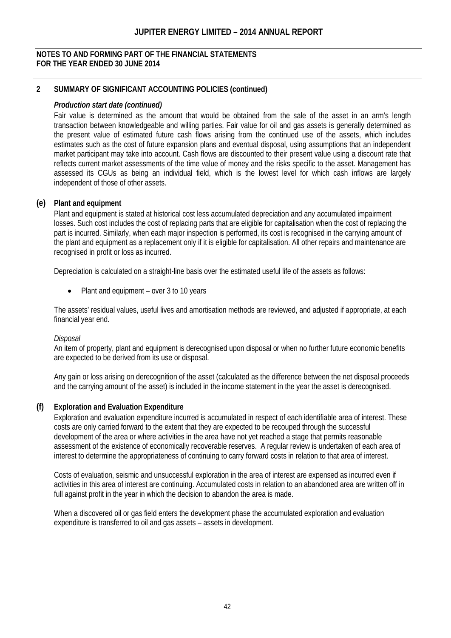## **2 SUMMARY OF SIGNIFICANT ACCOUNTING POLICIES (continued)**

## *Production start date (continued)*

Fair value is determined as the amount that would be obtained from the sale of the asset in an arm's length transaction between knowledgeable and willing parties. Fair value for oil and gas assets is generally determined as the present value of estimated future cash flows arising from the continued use of the assets, which includes estimates such as the cost of future expansion plans and eventual disposal, using assumptions that an independent market participant may take into account. Cash flows are discounted to their present value using a discount rate that reflects current market assessments of the time value of money and the risks specific to the asset. Management has assessed its CGUs as being an individual field, which is the lowest level for which cash inflows are largely independent of those of other assets.

#### **(e) Plant and equipment**

Plant and equipment is stated at historical cost less accumulated depreciation and any accumulated impairment losses. Such cost includes the cost of replacing parts that are eligible for capitalisation when the cost of replacing the part is incurred. Similarly, when each major inspection is performed, its cost is recognised in the carrying amount of the plant and equipment as a replacement only if it is eligible for capitalisation. All other repairs and maintenance are recognised in profit or loss as incurred.

Depreciation is calculated on a straight-line basis over the estimated useful life of the assets as follows:

• Plant and equipment – over 3 to 10 years

The assets' residual values, useful lives and amortisation methods are reviewed, and adjusted if appropriate, at each financial year end.

#### *Disposal*

An item of property, plant and equipment is derecognised upon disposal or when no further future economic benefits are expected to be derived from its use or disposal.

Any gain or loss arising on derecognition of the asset (calculated as the difference between the net disposal proceeds and the carrying amount of the asset) is included in the income statement in the year the asset is derecognised.

## **(f) Exploration and Evaluation Expenditure**

Exploration and evaluation expenditure incurred is accumulated in respect of each identifiable area of interest. These costs are only carried forward to the extent that they are expected to be recouped through the successful development of the area or where activities in the area have not yet reached a stage that permits reasonable assessment of the existence of economically recoverable reserves. A regular review is undertaken of each area of interest to determine the appropriateness of continuing to carry forward costs in relation to that area of interest.

Costs of evaluation, seismic and unsuccessful exploration in the area of interest are expensed as incurred even if activities in this area of interest are continuing. Accumulated costs in relation to an abandoned area are written off in full against profit in the year in which the decision to abandon the area is made.

When a discovered oil or gas field enters the development phase the accumulated exploration and evaluation expenditure is transferred to oil and gas assets – assets in development.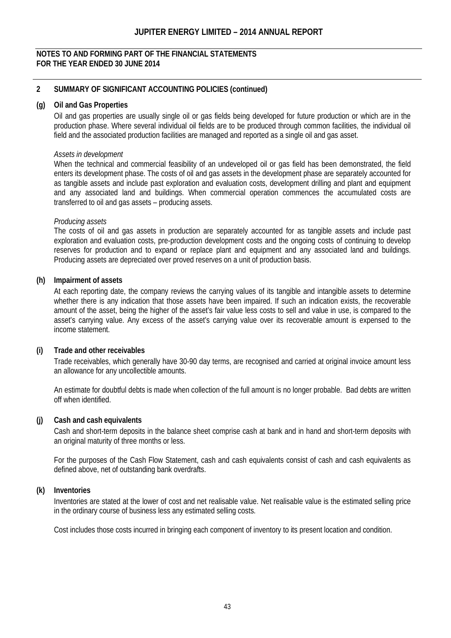## **2 SUMMARY OF SIGNIFICANT ACCOUNTING POLICIES (continued)**

#### **(g) Oil and Gas Properties**

Oil and gas properties are usually single oil or gas fields being developed for future production or which are in the production phase. Where several individual oil fields are to be produced through common facilities, the individual oil field and the associated production facilities are managed and reported as a single oil and gas asset.

#### *Assets in development*

When the technical and commercial feasibility of an undeveloped oil or gas field has been demonstrated, the field enters its development phase. The costs of oil and gas assets in the development phase are separately accounted for as tangible assets and include past exploration and evaluation costs, development drilling and plant and equipment and any associated land and buildings. When commercial operation commences the accumulated costs are transferred to oil and gas assets – producing assets.

#### *Producing assets*

The costs of oil and gas assets in production are separately accounted for as tangible assets and include past exploration and evaluation costs, pre-production development costs and the ongoing costs of continuing to develop reserves for production and to expand or replace plant and equipment and any associated land and buildings. Producing assets are depreciated over proved reserves on a unit of production basis.

#### **(h) Impairment of assets**

At each reporting date, the company reviews the carrying values of its tangible and intangible assets to determine whether there is any indication that those assets have been impaired. If such an indication exists, the recoverable amount of the asset, being the higher of the asset's fair value less costs to sell and value in use, is compared to the asset's carrying value. Any excess of the asset's carrying value over its recoverable amount is expensed to the income statement.

#### **(i) Trade and other receivables**

Trade receivables, which generally have 30-90 day terms, are recognised and carried at original invoice amount less an allowance for any uncollectible amounts.

An estimate for doubtful debts is made when collection of the full amount is no longer probable. Bad debts are written off when identified.

#### **(j) Cash and cash equivalents**

Cash and short-term deposits in the balance sheet comprise cash at bank and in hand and short-term deposits with an original maturity of three months or less.

For the purposes of the Cash Flow Statement, cash and cash equivalents consist of cash and cash equivalents as defined above, net of outstanding bank overdrafts.

#### **(k) Inventories**

Inventories are stated at the lower of cost and net realisable value. Net realisable value is the estimated selling price in the ordinary course of business less any estimated selling costs.

Cost includes those costs incurred in bringing each component of inventory to its present location and condition.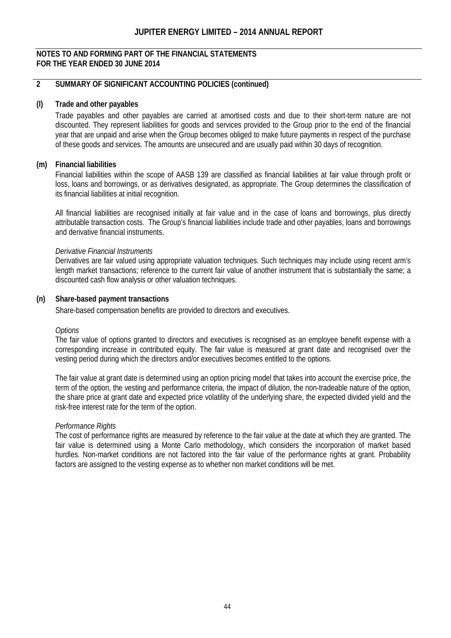## **2 SUMMARY OF SIGNIFICANT ACCOUNTING POLICIES (continued)**

#### **(l) Trade and other payables**

Trade payables and other payables are carried at amortised costs and due to their short-term nature are not discounted. They represent liabilities for goods and services provided to the Group prior to the end of the financial year that are unpaid and arise when the Group becomes obliged to make future payments in respect of the purchase of these goods and services. The amounts are unsecured and are usually paid within 30 days of recognition.

#### **(m) Financial liabilities**

Financial liabilities within the scope of AASB 139 are classified as financial liabilities at fair value through profit or loss, loans and borrowings, or as derivatives designated, as appropriate. The Group determines the classification of its financial liabilities at initial recognition.

All financial liabilities are recognised initially at fair value and in the case of loans and borrowings, plus directly attributable transaction costs. The Group's financial liabilities include trade and other payables, loans and borrowings and derivative financial instruments.

#### *Derivative Financial Instruments*

Derivatives are fair valued using appropriate valuation techniques. Such techniques may include using recent arm's length market transactions; reference to the current fair value of another instrument that is substantially the same; a discounted cash flow analysis or other valuation techniques.

#### **(n) Share-based payment transactions**

Share-based compensation benefits are provided to directors and executives.

*Options*

The fair value of options granted to directors and executives is recognised as an employee benefit expense with a corresponding increase in contributed equity. The fair value is measured at grant date and recognised over the vesting period during which the directors and/or executives becomes entitled to the options.

The fair value at grant date is determined using an option pricing model that takes into account the exercise price, the term of the option, the vesting and performance criteria, the impact of dilution, the non-tradeable nature of the option, the share price at grant date and expected price volatility of the underlying share, the expected divided yield and the risk-free interest rate for the term of the option.

#### *Performance Rights*

The cost of performance rights are measured by reference to the fair value at the date at which they are granted. The fair value is determined using a Monte Carlo methodology, which considers the incorporation of market based hurdles. Non-market conditions are not factored into the fair value of the performance rights at grant. Probability factors are assigned to the vesting expense as to whether non market conditions will be met.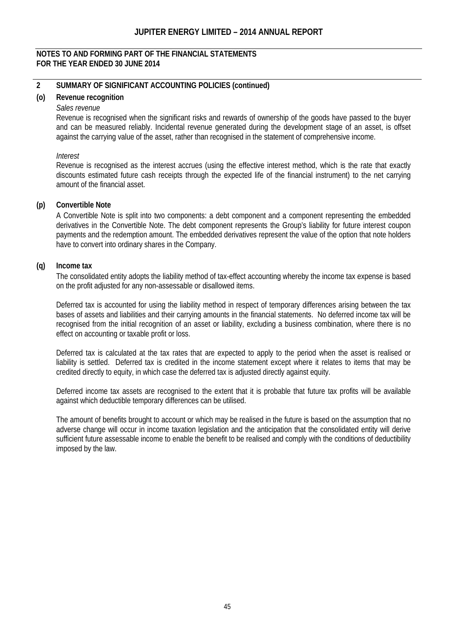## **2 SUMMARY OF SIGNIFICANT ACCOUNTING POLICIES (continued)**

#### **(o) Revenue recognition**

#### *Sales revenue*

Revenue is recognised when the significant risks and rewards of ownership of the goods have passed to the buyer and can be measured reliably. Incidental revenue generated during the development stage of an asset, is offset against the carrying value of the asset, rather than recognised in the statement of comprehensive income.

#### *Interest*

Revenue is recognised as the interest accrues (using the effective interest method, which is the rate that exactly discounts estimated future cash receipts through the expected life of the financial instrument) to the net carrying amount of the financial asset.

### **(p) Convertible Note**

A Convertible Note is split into two components: a debt component and a component representing the embedded derivatives in the Convertible Note. The debt component represents the Group's liability for future interest coupon payments and the redemption amount. The embedded derivatives represent the value of the option that note holders have to convert into ordinary shares in the Company.

#### **(q) Income tax**

The consolidated entity adopts the liability method of tax-effect accounting whereby the income tax expense is based on the profit adjusted for any non-assessable or disallowed items.

Deferred tax is accounted for using the liability method in respect of temporary differences arising between the tax bases of assets and liabilities and their carrying amounts in the financial statements. No deferred income tax will be recognised from the initial recognition of an asset or liability, excluding a business combination, where there is no effect on accounting or taxable profit or loss.

Deferred tax is calculated at the tax rates that are expected to apply to the period when the asset is realised or liability is settled. Deferred tax is credited in the income statement except where it relates to items that may be credited directly to equity, in which case the deferred tax is adjusted directly against equity.

Deferred income tax assets are recognised to the extent that it is probable that future tax profits will be available against which deductible temporary differences can be utilised.

The amount of benefits brought to account or which may be realised in the future is based on the assumption that no adverse change will occur in income taxation legislation and the anticipation that the consolidated entity will derive sufficient future assessable income to enable the benefit to be realised and comply with the conditions of deductibility imposed by the law.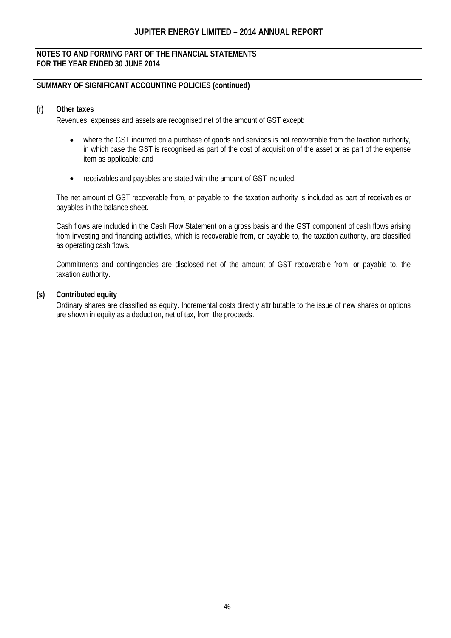### **SUMMARY OF SIGNIFICANT ACCOUNTING POLICIES (continued)**

#### **(r) Other taxes**

Revenues, expenses and assets are recognised net of the amount of GST except:

- where the GST incurred on a purchase of goods and services is not recoverable from the taxation authority, in which case the GST is recognised as part of the cost of acquisition of the asset or as part of the expense item as applicable; and
- receivables and payables are stated with the amount of GST included.

The net amount of GST recoverable from, or payable to, the taxation authority is included as part of receivables or payables in the balance sheet.

Cash flows are included in the Cash Flow Statement on a gross basis and the GST component of cash flows arising from investing and financing activities, which is recoverable from, or payable to, the taxation authority, are classified as operating cash flows.

Commitments and contingencies are disclosed net of the amount of GST recoverable from, or payable to, the taxation authority.

### **(s) Contributed equity**

Ordinary shares are classified as equity. Incremental costs directly attributable to the issue of new shares or options are shown in equity as a deduction, net of tax, from the proceeds.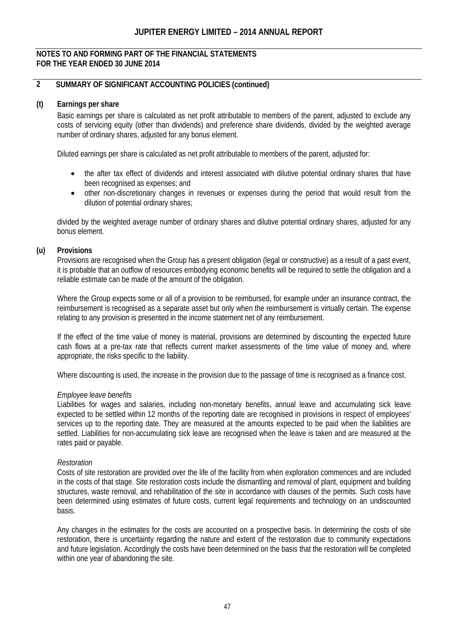## **2 SUMMARY OF SIGNIFICANT ACCOUNTING POLICIES (continued)**

#### **(t) Earnings per share**

Basic earnings per share is calculated as net profit attributable to members of the parent, adjusted to exclude any costs of servicing equity (other than dividends) and preference share dividends, divided by the weighted average number of ordinary shares, adjusted for any bonus element.

Diluted earnings per share is calculated as net profit attributable to members of the parent, adjusted for:

- the after tax effect of dividends and interest associated with dilutive potential ordinary shares that have been recognised as expenses; and
- other non-discretionary changes in revenues or expenses during the period that would result from the dilution of potential ordinary shares;

divided by the weighted average number of ordinary shares and dilutive potential ordinary shares, adjusted for any bonus element.

#### **(u) Provisions**

Provisions are recognised when the Group has a present obligation (legal or constructive) as a result of a past event, it is probable that an outflow of resources embodying economic benefits will be required to settle the obligation and a reliable estimate can be made of the amount of the obligation.

Where the Group expects some or all of a provision to be reimbursed, for example under an insurance contract, the reimbursement is recognised as a separate asset but only when the reimbursement is virtually certain. The expense relating to any provision is presented in the income statement net of any reimbursement.

If the effect of the time value of money is material, provisions are determined by discounting the expected future cash flows at a pre-tax rate that reflects current market assessments of the time value of money and, where appropriate, the risks specific to the liability.

Where discounting is used, the increase in the provision due to the passage of time is recognised as a finance cost.

#### *Employee leave benefits*

Liabilities for wages and salaries, including non-monetary benefits, annual leave and accumulating sick leave expected to be settled within 12 months of the reporting date are recognised in provisions in respect of employees' services up to the reporting date. They are measured at the amounts expected to be paid when the liabilities are settled. Liabilities for non-accumulating sick leave are recognised when the leave is taken and are measured at the rates paid or payable.

#### *Restoration*

Costs of site restoration are provided over the life of the facility from when exploration commences and are included in the costs of that stage. Site restoration costs include the dismantling and removal of plant, equipment and building structures, waste removal, and rehabilitation of the site in accordance with clauses of the permits. Such costs have been determined using estimates of future costs, current legal requirements and technology on an undiscounted basis.

Any changes in the estimates for the costs are accounted on a prospective basis. In determining the costs of site restoration, there is uncertainty regarding the nature and extent of the restoration due to community expectations and future legislation. Accordingly the costs have been determined on the basis that the restoration will be completed within one year of abandoning the site.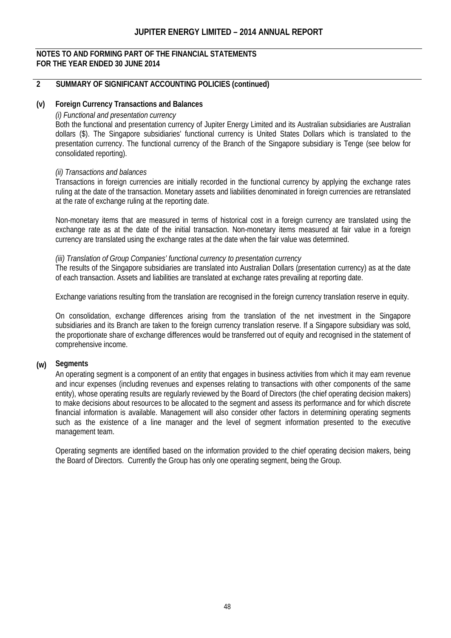## **2 SUMMARY OF SIGNIFICANT ACCOUNTING POLICIES (continued)**

#### **(v) Foreign Currency Transactions and Balances**

*(i) Functional and presentation currency*

Both the functional and presentation currency of Jupiter Energy Limited and its Australian subsidiaries are Australian dollars (\$). The Singapore subsidiaries' functional currency is United States Dollars which is translated to the presentation currency. The functional currency of the Branch of the Singapore subsidiary is Tenge (see below for consolidated reporting).

#### *(ii) Transactions and balances*

Transactions in foreign currencies are initially recorded in the functional currency by applying the exchange rates ruling at the date of the transaction. Monetary assets and liabilities denominated in foreign currencies are retranslated at the rate of exchange ruling at the reporting date.

Non-monetary items that are measured in terms of historical cost in a foreign currency are translated using the exchange rate as at the date of the initial transaction. Non-monetary items measured at fair value in a foreign currency are translated using the exchange rates at the date when the fair value was determined.

#### *(iii) Translation of Group Companies' functional currency to presentation currency*

The results of the Singapore subsidiaries are translated into Australian Dollars (presentation currency) as at the date of each transaction. Assets and liabilities are translated at exchange rates prevailing at reporting date.

Exchange variations resulting from the translation are recognised in the foreign currency translation reserve in equity.

On consolidation, exchange differences arising from the translation of the net investment in the Singapore subsidiaries and its Branch are taken to the foreign currency translation reserve. If a Singapore subsidiary was sold, the proportionate share of exchange differences would be transferred out of equity and recognised in the statement of comprehensive income.

## **(w) Segments**

An operating segment is a component of an entity that engages in business activities from which it may earn revenue and incur expenses (including revenues and expenses relating to transactions with other components of the same entity), whose operating results are regularly reviewed by the Board of Directors (the chief operating decision makers) to make decisions about resources to be allocated to the segment and assess its performance and for which discrete financial information is available. Management will also consider other factors in determining operating segments such as the existence of a line manager and the level of segment information presented to the executive management team.

Operating segments are identified based on the information provided to the chief operating decision makers, being the Board of Directors. Currently the Group has only one operating segment, being the Group.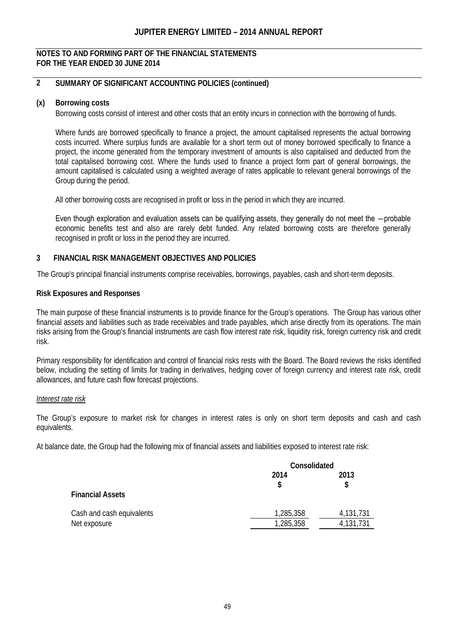## **2 SUMMARY OF SIGNIFICANT ACCOUNTING POLICIES (continued)**

## **(x) Borrowing costs**

Borrowing costs consist of interest and other costs that an entity incurs in connection with the borrowing of funds.

Where funds are borrowed specifically to finance a project, the amount capitalised represents the actual borrowing costs incurred. Where surplus funds are available for a short term out of money borrowed specifically to finance a project, the income generated from the temporary investment of amounts is also capitalised and deducted from the total capitalised borrowing cost. Where the funds used to finance a project form part of general borrowings, the amount capitalised is calculated using a weighted average of rates applicable to relevant general borrowings of the Group during the period.

All other borrowing costs are recognised in profit or loss in the period in which they are incurred.

Even though exploration and evaluation assets can be qualifying assets, they generally do not meet the ―probable economic benefits test and also are rarely debt funded. Any related borrowing costs are therefore generally recognised in profit or loss in the period they are incurred.

## **3 FINANCIAL RISK MANAGEMENT OBJECTIVES AND POLICIES**

The Group's principal financial instruments comprise receivables, borrowings, payables, cash and short-term deposits.

#### **Risk Exposures and Responses**

The main purpose of these financial instruments is to provide finance for the Group's operations. The Group has various other financial assets and liabilities such as trade receivables and trade payables, which arise directly from its operations. The main risks arising from the Group's financial instruments are cash flow interest rate risk, liquidity risk, foreign currency risk and credit risk.

Primary responsibility for identification and control of financial risks rests with the Board. The Board reviews the risks identified below, including the setting of limits for trading in derivatives, hedging cover of foreign currency and interest rate risk, credit allowances, and future cash flow forecast projections.

#### *Interest rate risk*

The Group's exposure to market risk for changes in interest rates is only on short term deposits and cash and cash equivalents.

At balance date, the Group had the following mix of financial assets and liabilities exposed to interest rate risk:

|                           | Consolidated |           |  |
|---------------------------|--------------|-----------|--|
|                           | 2014         | 2013      |  |
|                           | S            | \$        |  |
| <b>Financial Assets</b>   |              |           |  |
|                           |              |           |  |
| Cash and cash equivalents | 1,285,358    | 4,131,731 |  |
| Net exposure              | 1,285,358    | 4,131,731 |  |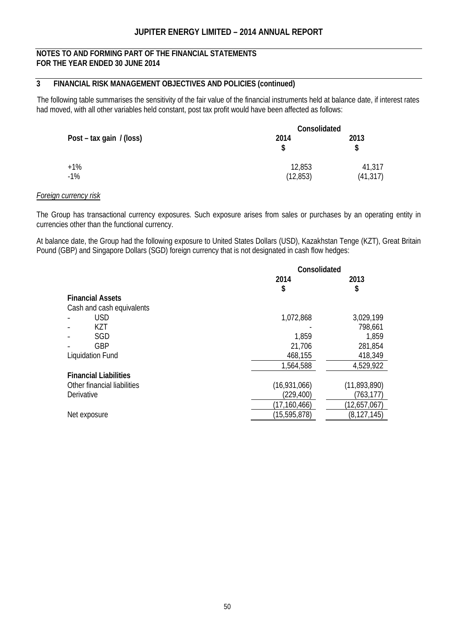## **3 FINANCIAL RISK MANAGEMENT OBJECTIVES AND POLICIES (continued)**

The following table summarises the sensitivity of the fair value of the financial instruments held at balance date, if interest rates had moved, with all other variables held constant, post tax profit would have been affected as follows:

|                          | Consolidated |            |
|--------------------------|--------------|------------|
| Post – tax gain / (loss) | 2014         | 2013<br>\$ |
| $+1%$<br>$-1%$           | 12,853       | 41,317     |
|                          | (12, 853)    | (41, 317)  |

#### *Foreign currency risk*

The Group has transactional currency exposures. Such exposure arises from sales or purchases by an operating entity in currencies other than the functional currency.

At balance date, the Group had the following exposure to United States Dollars (USD), Kazakhstan Tenge (KZT), Great Britain Pound (GBP) and Singapore Dollars (SGD) foreign currency that is not designated in cash flow hedges:

|                              | Consolidated   |               |
|------------------------------|----------------|---------------|
|                              | 2014           | 2013          |
|                              | \$             | \$            |
| <b>Financial Assets</b>      |                |               |
| Cash and cash equivalents    |                |               |
| <b>USD</b>                   | 1,072,868      | 3,029,199     |
| KZT                          |                | 798,661       |
| SGD                          | 1,859          | 1,859         |
| GBP                          | 21,706         | 281,854       |
| <b>Liquidation Fund</b>      | 468,155        | 418,349       |
|                              | 1,564,588      | 4,529,922     |
| <b>Financial Liabilities</b> |                |               |
| Other financial liabilities  | (16,931,066)   | (11,893,890)  |
| Derivative                   | (229, 400)     | (763, 177)    |
|                              | (17, 160, 466) | (12,657,067)  |
| Net exposure                 | (15, 595, 878) | (8, 127, 145) |
|                              |                |               |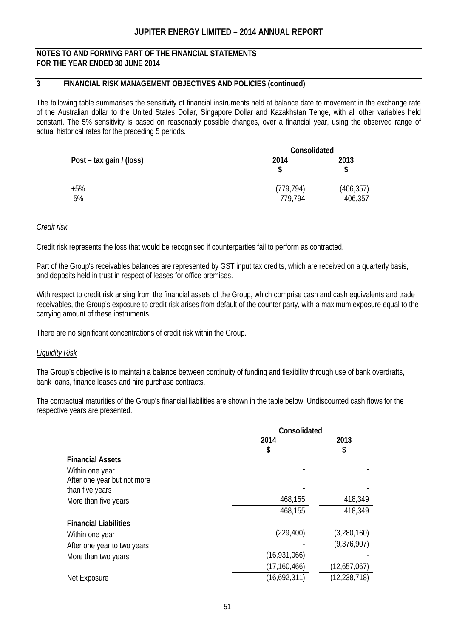## **3 FINANCIAL RISK MANAGEMENT OBJECTIVES AND POLICIES (continued)**

The following table summarises the sensitivity of financial instruments held at balance date to movement in the exchange rate of the Australian dollar to the United States Dollar, Singapore Dollar and Kazakhstan Tenge, with all other variables held constant. The 5% sensitivity is based on reasonably possible changes, over a financial year, using the observed range of actual historical rates for the preceding 5 periods.

|                          | Consolidated          |                       |
|--------------------------|-----------------------|-----------------------|
| Post – tax gain / (loss) | 2014<br>S             | 2013<br>S             |
| $+5%$<br>$-5%$           | (779, 794)<br>779.794 | (406, 357)<br>406,357 |

#### *Credit risk*

Credit risk represents the loss that would be recognised if counterparties fail to perform as contracted.

Part of the Group's receivables balances are represented by GST input tax credits, which are received on a quarterly basis, and deposits held in trust in respect of leases for office premises.

With respect to credit risk arising from the financial assets of the Group, which comprise cash and cash equivalents and trade receivables, the Group's exposure to credit risk arises from default of the counter party, with a maximum exposure equal to the carrying amount of these instruments.

There are no significant concentrations of credit risk within the Group.

#### *Liquidity Risk*

The Group's objective is to maintain a balance between continuity of funding and flexibility through use of bank overdrafts, bank loans, finance leases and hire purchase contracts.

The contractual maturities of the Group's financial liabilities are shown in the table below. Undiscounted cash flows for the respective years are presented.

|                              | Consolidated   |                |
|------------------------------|----------------|----------------|
|                              | 2014<br>\$     | 2013<br>\$     |
| <b>Financial Assets</b>      |                |                |
| Within one year              |                |                |
| After one year but not more  |                |                |
| than five years              |                |                |
| More than five years         | 468,155        | 418,349        |
|                              | 468,155        | 418,349        |
| <b>Financial Liabilities</b> |                |                |
| Within one year              | (229, 400)     | (3,280,160)    |
| After one year to two years  |                | (9,376,907)    |
| More than two years          | (16,931,066)   |                |
|                              | (17, 160, 466) | (12,657,067)   |
| Net Exposure                 | (16,692,311)   | (12, 238, 718) |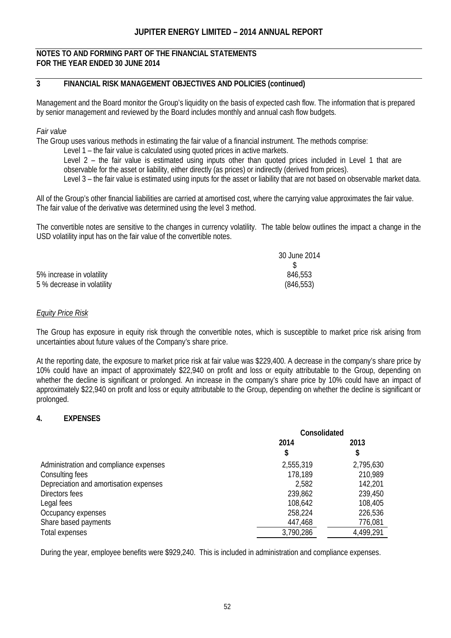## **3 FINANCIAL RISK MANAGEMENT OBJECTIVES AND POLICIES (continued)**

Management and the Board monitor the Group's liquidity on the basis of expected cash flow. The information that is prepared by senior management and reviewed by the Board includes monthly and annual cash flow budgets.

*Fair value*

The Group uses various methods in estimating the fair value of a financial instrument. The methods comprise:

Level 1 – the fair value is calculated using quoted prices in active markets. Level 2 – the fair value is estimated using inputs other than quoted prices included in Level 1 that are observable for the asset or liability, either directly (as prices) or indirectly (derived from prices).

Level 3 – the fair value is estimated using inputs for the asset or liability that are not based on observable market data.

All of the Group's other financial liabilities are carried at amortised cost, where the carrying value approximates the fair value. The fair value of the derivative was determined using the level 3 method.

The convertible notes are sensitive to the changes in currency volatility. The table below outlines the impact a change in the USD volatility input has on the fair value of the convertible notes.

|                            | 30 June 2014 |
|----------------------------|--------------|
|                            |              |
| 5% increase in volatility  | 846,553      |
| 5 % decrease in volatility | (846, 553)   |

#### *Equity Price Risk*

The Group has exposure in equity risk through the convertible notes, which is susceptible to market price risk arising from uncertainties about future values of the Company's share price.

At the reporting date, the exposure to market price risk at fair value was \$229,400. A decrease in the company's share price by 10% could have an impact of approximately \$22,940 on profit and loss or equity attributable to the Group, depending on whether the decline is significant or prolonged. An increase in the company's share price by 10% could have an impact of approximately \$22,940 on profit and loss or equity attributable to the Group, depending on whether the decline is significant or prolonged.

## **4. EXPENSES**

|                                        | Consolidated |           |
|----------------------------------------|--------------|-----------|
|                                        | 2014         | 2013      |
|                                        | \$           | \$        |
| Administration and compliance expenses | 2,555,319    | 2,795,630 |
| Consulting fees                        | 178,189      | 210,989   |
| Depreciation and amortisation expenses | 2,582        | 142,201   |
| Directors fees                         | 239,862      | 239,450   |
| Legal fees                             | 108,642      | 108,405   |
| Occupancy expenses                     | 258,224      | 226,536   |
| Share based payments                   | 447,468      | 776,081   |
| Total expenses                         | 3,790,286    | 4,499,291 |

During the year, employee benefits were \$929,240. This is included in administration and compliance expenses.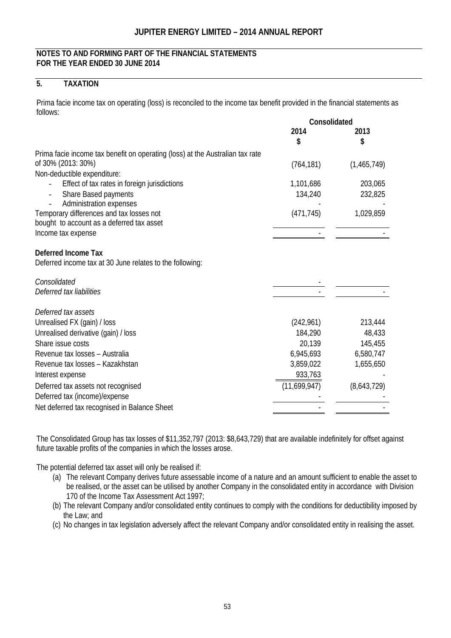## **5. TAXATION**

Prima facie income tax on operating (loss) is reconciled to the income tax benefit provided in the financial statements as follows: **Consolidated**

|                                                                               | <b>UUIISUIIUAICU</b> |             |
|-------------------------------------------------------------------------------|----------------------|-------------|
|                                                                               | 2014<br>\$           | 2013<br>\$  |
| Prima facie income tax benefit on operating (loss) at the Australian tax rate |                      |             |
| of 30% (2013: 30%)                                                            | (764, 181)           | (1,465,749) |
| Non-deductible expenditure:                                                   |                      |             |
| Effect of tax rates in foreign jurisdictions                                  | 1,101,686            | 203,065     |
| Share Based payments                                                          | 134,240              | 232,825     |
| Administration expenses                                                       |                      |             |
| Temporary differences and tax losses not                                      | (471, 745)           | 1,029,859   |
| bought to account as a deferred tax asset                                     |                      |             |
| Income tax expense                                                            |                      |             |
| Deferred Income Tax                                                           |                      |             |
| Deferred income tax at 30 June relates to the following:                      |                      |             |
| Consolidated                                                                  |                      |             |
| Deferred tax liabilities                                                      |                      |             |
| Deferred tax assets                                                           |                      |             |
| Unrealised FX (gain) / loss                                                   | (242, 961)           | 213,444     |
| Unrealised derivative (gain) / loss                                           | 184,290              | 48,433      |
| Share issue costs                                                             | 20,139               | 145,455     |
| Revenue tax losses - Australia                                                | 6,945,693            | 6,580,747   |
| Revenue tax losses - Kazakhstan                                               | 3,859,022            | 1,655,650   |
| Interest expense                                                              | 933,763              |             |
| Deferred tax assets not recognised                                            | (11,699,947)         | (8,643,729) |
| Deferred tax (income)/expense                                                 |                      |             |
| Net deferred tax recognised in Balance Sheet                                  |                      |             |
|                                                                               |                      |             |

The Consolidated Group has tax losses of \$11,352,797 (2013: \$8,643,729) that are available indefinitely for offset against future taxable profits of the companies in which the losses arose.

The potential deferred tax asset will only be realised if:

- (a) The relevant Company derives future assessable income of a nature and an amount sufficient to enable the asset to be realised, or the asset can be utilised by another Company in the consolidated entity in accordance with Division 170 of the Income Tax Assessment Act 1997:
- (b) The relevant Company and/or consolidated entity continues to comply with the conditions for deductibility imposed by the Law; and
- (c) No changes in tax legislation adversely affect the relevant Company and/or consolidated entity in realising the asset.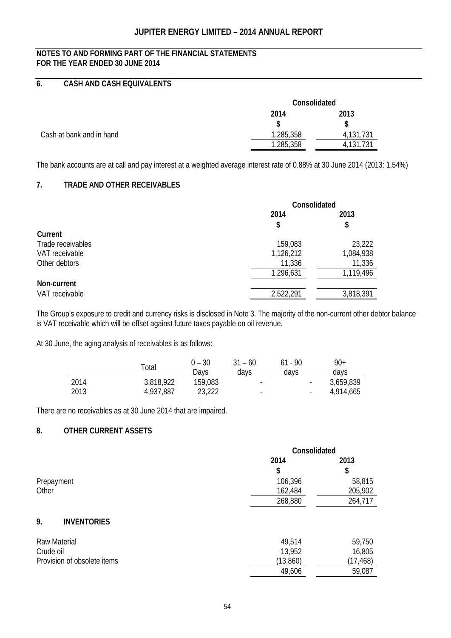## **6. CASH AND CASH EQUIVALENTS**

|                          |           | Consolidated |  |
|--------------------------|-----------|--------------|--|
|                          | 2014      | 2013         |  |
|                          |           |              |  |
| Cash at bank and in hand | 1,285,358 | 4,131,731    |  |
|                          | 1,285,358 |              |  |

The bank accounts are at call and pay interest at a weighted average interest rate of 0.88% at 30 June 2014 (2013: 1.54%)

## **7. TRADE AND OTHER RECEIVABLES**

|                   | Consolidated |           |
|-------------------|--------------|-----------|
|                   | 2014         |           |
|                   | \$           | \$        |
| Current           |              |           |
| Trade receivables | 159,083      | 23,222    |
| VAT receivable    | 1,126,212    | 1,084,938 |
| Other debtors     | 11,336       | 11,336    |
|                   | 1,296,631    | 1,119,496 |
| Non-current       |              |           |
| VAT receivable    | 2,522,291    | 3,818,391 |

The Group's exposure to credit and currency risks is disclosed in Note 3. The majority of the non-current other debtor balance is VAT receivable which will be offset against future taxes payable on oil revenue.

At 30 June, the aging analysis of receivables is as follows:

|      | $\tau$ otal | $0 - 30$<br>Davs | $31 - 60$<br>davs        | $61 - 90$<br>davs        | 90+<br>davs |
|------|-------------|------------------|--------------------------|--------------------------|-------------|
| 2014 | 3,818,922   | 159,083          | $\overline{\phantom{a}}$ | $\overline{\phantom{a}}$ | 3,659,839   |
| 2013 | 4,937,887   | 23,222           | $\overline{\phantom{a}}$ | $\overline{\phantom{0}}$ | 4.914.665   |

There are no receivables as at 30 June 2014 that are impaired.

## **8. OTHER CURRENT ASSETS**

|                             | Consolidated |           |
|-----------------------------|--------------|-----------|
|                             | 2014         | 2013      |
|                             | \$           | \$        |
| Prepayment                  | 106,396      | 58,815    |
| Other                       | 162,484      | 205,902   |
|                             | 268,880      | 264,717   |
| 9.<br><b>INVENTORIES</b>    |              |           |
| Raw Material                | 49,514       | 59,750    |
| Crude oil                   | 13,952       | 16,805    |
| Provision of obsolete items | (13, 860)    | (17, 468) |
|                             | 49,606       | 59,087    |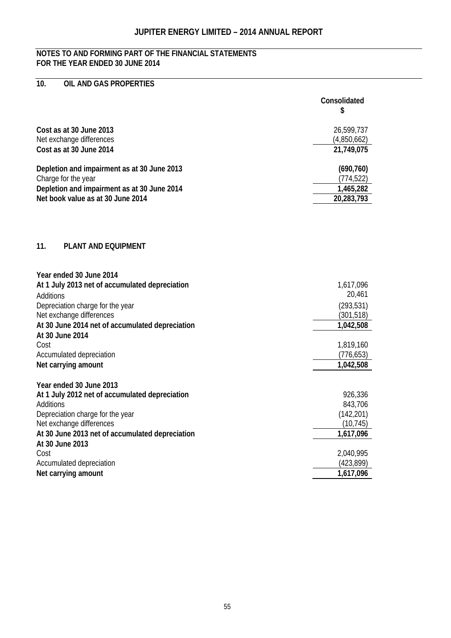## **10. OIL AND GAS PROPERTIES**

|                                                 | Consolidated<br>S |
|-------------------------------------------------|-------------------|
| Cost as at 30 June 2013                         | 26,599,737        |
| Net exchange differences                        | (4,850,662)       |
| Cost as at 30 June 2014                         | 21,749,075        |
| Depletion and impairment as at 30 June 2013     | (690, 760)        |
| Charge for the year                             | (774,522)         |
| Depletion and impairment as at 30 June 2014     | 1,465,282         |
| Net book value as at 30 June 2014               | 20,283,793        |
| <b>PLANT AND EQUIPMENT</b><br>11.               |                   |
| Year ended 30 June 2014                         |                   |
| At 1 July 2013 net of accumulated depreciation  | 1,617,096         |
| Additions                                       | 20,461            |
| Depreciation charge for the year                | (293, 531)        |
| Net exchange differences                        | (301, 518)        |
| At 30 June 2014 net of accumulated depreciation | 1,042,508         |
| At 30 June 2014                                 |                   |

**At 30 June 2014** Cost 1,819,160 Accumulated depreciation (776,653)<br>
Net carrying amount (776,653) **Net carrying amount** 

| Year ended 30 June 2013                         |            |
|-------------------------------------------------|------------|
| At 1 July 2012 net of accumulated depreciation  | 926,336    |
| <b>Additions</b>                                | 843,706    |
| Depreciation charge for the year                | (142, 201) |
| Net exchange differences                        | (10, 745)  |
| At 30 June 2013 net of accumulated depreciation | 1,617,096  |
| At 30 June 2013                                 |            |
| Cost                                            | 2,040,995  |
| Accumulated depreciation                        | (423, 899) |
| Net carrying amount                             | 1,617,096  |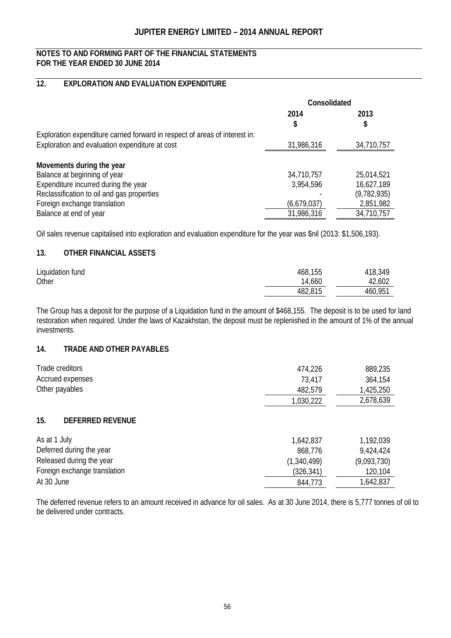## **12. EXPLORATION AND EVALUATION EXPENDITURE**

|                                                                             | Consolidated |               |
|-----------------------------------------------------------------------------|--------------|---------------|
|                                                                             | 2014<br>\$   | 2013<br>\$    |
| Exploration expenditure carried forward in respect of areas of interest in: |              |               |
| Exploration and evaluation expenditure at cost                              | 31,986,316   | 34,710,757    |
| Movements during the year                                                   |              |               |
| Balance at beginning of year                                                | 34,710,757   | 25,014,521    |
| Expenditure incurred during the year                                        | 3,954,596    | 16,627,189    |
| Reclassification to oil and gas properties                                  |              | (9, 782, 935) |
| Foreign exchange translation                                                | (6,679,037)  | 2,851,982     |
| Balance at end of year                                                      | 31,986,316   | 34,710,757    |

Oil sales revenue capitalised into exploration and evaluation expenditure for the year was \$nil (2013: \$1,506,193).

## **13. OTHER FINANCIAL ASSETS**

| Liquidation fund | 468,155 | 418,349 |
|------------------|---------|---------|
| Other            | 14,660  | 42,602  |
|                  | 482,815 | 460,951 |

The Group has a deposit for the purpose of a Liquidation fund in the amount of \$468,155. The deposit is to be used for land restoration when required. Under the laws of Kazakhstan, the deposit must be replenished in the amount of 1% of the annual investments.

#### **14. TRADE AND OTHER PAYABLES**

| Trade creditors                | 474,226     | 889,235     |
|--------------------------------|-------------|-------------|
| Accrued expenses               | 73,417      | 364,154     |
| Other payables                 | 482,579     | 1,425,250   |
|                                | 1,030,222   | 2,678,639   |
| 15.<br><b>DEFERRED REVENUE</b> |             |             |
| As at 1 July                   | 1,642,837   | 1,192,039   |
| Deferred during the year       | 868,776     | 9,424,424   |
| Released during the year       | (1,340,499) | (9,093,730) |
| Foreign exchange translation   | (326,341)   | 120,104     |
| At 30 June                     | 844,773     | 1,642,837   |

The deferred revenue refers to an amount received in advance for oil sales. As at 30 June 2014, there is 5,777 tonnes of oil to be delivered under contracts.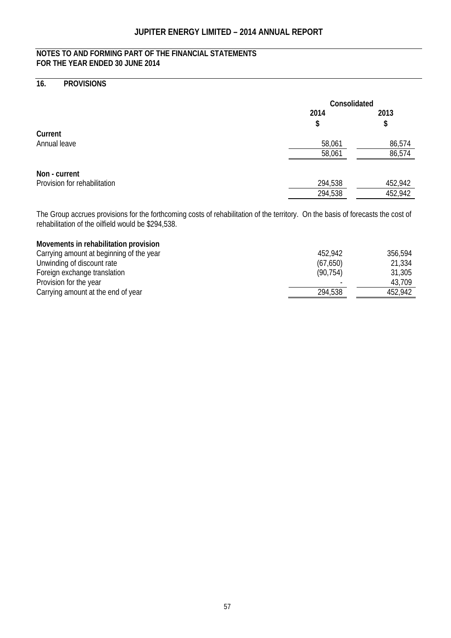## **16. PROVISIONS**

|                              | Consolidated |         |
|------------------------------|--------------|---------|
|                              | 2014         | 2013    |
|                              | \$           | \$      |
| Current                      |              |         |
| Annual leave                 | 58,061       | 86,574  |
|                              | 58,061       | 86,574  |
| Non - current                |              |         |
| Provision for rehabilitation | 294,538      | 452,942 |
|                              | 294,538      | 452,942 |

The Group accrues provisions for the forthcoming costs of rehabilitation of the territory. On the basis of forecasts the cost of rehabilitation of the oilfield would be \$294,538.

#### **Movements in rehabilitation provision**

| Carrying amount at beginning of the year | 452,942   | 356,594 |
|------------------------------------------|-----------|---------|
| Unwinding of discount rate               | (67, 650) | 21,334  |
| Foreign exchange translation             | (90, 754) | 31,305  |
| Provision for the year                   |           | 43,709  |
| Carrying amount at the end of year       | 294,538   | 452,942 |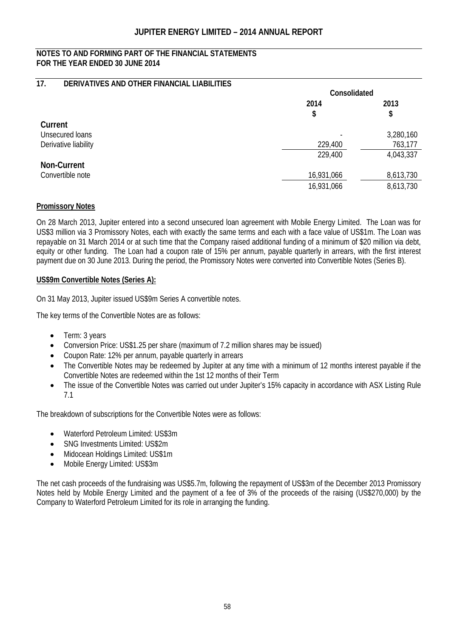## **17. DERIVATIVES AND OTHER FINANCIAL LIABILITIES**

|                      | Consolidated |           |
|----------------------|--------------|-----------|
|                      | 2014         | 2013      |
|                      | \$           | \$        |
| Current              |              |           |
| Unsecured loans      |              | 3,280,160 |
| Derivative liability | 229,400      | 763,177   |
|                      | 229,400      | 4,043,337 |
| Non-Current          |              |           |
| Convertible note     | 16,931,066   | 8,613,730 |
|                      | 16,931,066   | 8,613,730 |

## **Promissory Notes**

On 28 March 2013, Jupiter entered into a second unsecured loan agreement with Mobile Energy Limited. The Loan was for US\$3 million via 3 Promissory Notes, each with exactly the same terms and each with a face value of US\$1m. The Loan was repayable on 31 March 2014 or at such time that the Company raised additional funding of a minimum of \$20 million via debt, equity or other funding. The Loan had a coupon rate of 15% per annum, payable quarterly in arrears, with the first interest payment due on 30 June 2013. During the period, the Promissory Notes were converted into Convertible Notes (Series B).

## **US\$9m Convertible Notes (Series A):**

On 31 May 2013, Jupiter issued US\$9m Series A convertible notes.

The key terms of the Convertible Notes are as follows:

- Term: 3 years
- Conversion Price: US\$1.25 per share (maximum of 7.2 million shares may be issued)
- Coupon Rate: 12% per annum, payable quarterly in arrears
- The Convertible Notes may be redeemed by Jupiter at any time with a minimum of 12 months interest payable if the Convertible Notes are redeemed within the 1st 12 months of their Term
- The issue of the Convertible Notes was carried out under Jupiter's 15% capacity in accordance with ASX Listing Rule 7.1

The breakdown of subscriptions for the Convertible Notes were as follows:

- Waterford Petroleum Limited: US\$3m
- SNG Investments Limited: US\$2m
- Midocean Holdings Limited: US\$1m
- Mobile Energy Limited: US\$3m

The net cash proceeds of the fundraising was US\$5.7m, following the repayment of US\$3m of the December 2013 Promissory Notes held by Mobile Energy Limited and the payment of a fee of 3% of the proceeds of the raising (US\$270,000) by the Company to Waterford Petroleum Limited for its role in arranging the funding.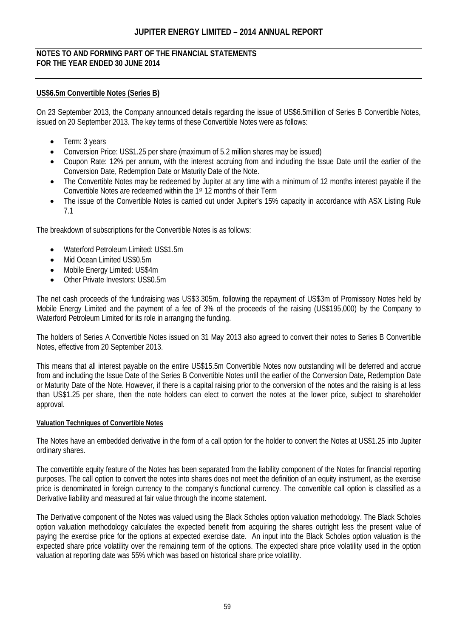## **US\$6.5m Convertible Notes (Series B)**

On 23 September 2013, the Company announced details regarding the issue of US\$6.5million of Series B Convertible Notes, issued on 20 September 2013. The key terms of these Convertible Notes were as follows:

- Term: 3 years
- Conversion Price: US\$1.25 per share (maximum of 5.2 million shares may be issued)
- Coupon Rate: 12% per annum, with the interest accruing from and including the Issue Date until the earlier of the Conversion Date, Redemption Date or Maturity Date of the Note.
- The Convertible Notes may be redeemed by Jupiter at any time with a minimum of 12 months interest payable if the Convertible Notes are redeemed within the 1st 12 months of their Term
- The issue of the Convertible Notes is carried out under Jupiter's 15% capacity in accordance with ASX Listing Rule 7.1

The breakdown of subscriptions for the Convertible Notes is as follows:

- Waterford Petroleum Limited: US\$1.5m
- Mid Ocean Limited US\$0.5m
- Mobile Energy Limited: US\$4m
- Other Private Investors: US\$0.5m

The net cash proceeds of the fundraising was US\$3.305m, following the repayment of US\$3m of Promissory Notes held by Mobile Energy Limited and the payment of a fee of 3% of the proceeds of the raising (US\$195,000) by the Company to Waterford Petroleum Limited for its role in arranging the funding.

The holders of Series A Convertible Notes issued on 31 May 2013 also agreed to convert their notes to Series B Convertible Notes, effective from 20 September 2013.

This means that all interest payable on the entire US\$15.5m Convertible Notes now outstanding will be deferred and accrue from and including the Issue Date of the Series B Convertible Notes until the earlier of the Conversion Date, Redemption Date or Maturity Date of the Note. However, if there is a capital raising prior to the conversion of the notes and the raising is at less than US\$1.25 per share, then the note holders can elect to convert the notes at the lower price, subject to shareholder approval.

#### **Valuation Techniques of Convertible Notes**

The Notes have an embedded derivative in the form of a call option for the holder to convert the Notes at US\$1.25 into Jupiter ordinary shares.

The convertible equity feature of the Notes has been separated from the liability component of the Notes for financial reporting purposes. The call option to convert the notes into shares does not meet the definition of an equity instrument, as the exercise price is denominated in foreign currency to the company's functional currency. The convertible call option is classified as a Derivative liability and measured at fair value through the income statement.

The Derivative component of the Notes was valued using the Black Scholes option valuation methodology. The Black Scholes option valuation methodology calculates the expected benefit from acquiring the shares outright less the present value of paying the exercise price for the options at expected exercise date. An input into the Black Scholes option valuation is the expected share price volatility over the remaining term of the options. The expected share price volatility used in the option valuation at reporting date was 55% which was based on historical share price volatility.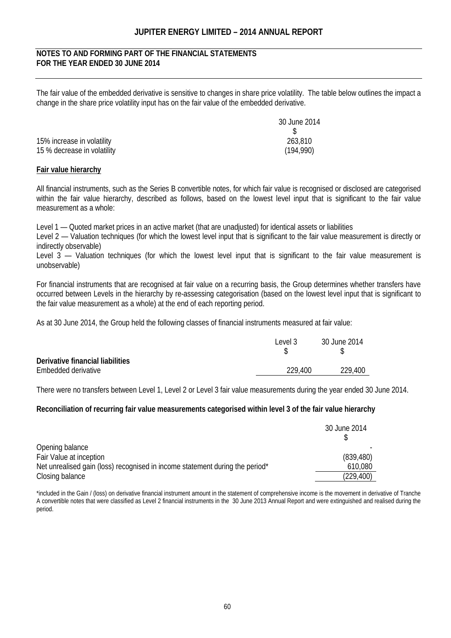The fair value of the embedded derivative is sensitive to changes in share price volatility. The table below outlines the impact a change in the share price volatility input has on the fair value of the embedded derivative.

|                             | 30 June 2014 |
|-----------------------------|--------------|
| 15% increase in volatility  | 263,810      |
| 15 % decrease in volatility | (194,990)    |

#### **Fair value hierarchy**

All financial instruments, such as the Series B convertible notes, for which fair value is recognised or disclosed are categorised within the fair value hierarchy, described as follows, based on the lowest level input that is significant to the fair value measurement as a whole:

Level 1 — Quoted market prices in an active market (that are unadjusted) for identical assets or liabilities

Level 2 — Valuation techniques (for which the lowest level input that is significant to the fair value measurement is directly or indirectly observable)

Level 3 — Valuation techniques (for which the lowest level input that is significant to the fair value measurement is unobservable)

For financial instruments that are recognised at fair value on a recurring basis, the Group determines whether transfers have occurred between Levels in the hierarchy by re-assessing categorisation (based on the lowest level input that is significant to the fair value measurement as a whole) at the end of each reporting period.

As at 30 June 2014, the Group held the following classes of financial instruments measured at fair value:

|                                  | Level 3 | 30 June 2014 |
|----------------------------------|---------|--------------|
|                                  |         |              |
| Derivative financial liabilities |         |              |
| Embedded derivative              | 229,400 | 229,400      |
|                                  |         |              |

There were no transfers between Level 1, Level 2 or Level 3 fair value measurements during the year ended 30 June 2014.

#### **Reconciliation of recurring fair value measurements categorised within level 3 of the fair value hierarchy**

|                                                                              | 30 June 2014 |
|------------------------------------------------------------------------------|--------------|
|                                                                              |              |
| Opening balance                                                              |              |
| Fair Value at inception                                                      | (839, 480)   |
| Net unrealised gain (loss) recognised in income statement during the period* | 610,080      |
| Closing balance                                                              | (229, 400)   |

\*included in the Gain / (loss) on derivative financial instrument amount in the statement of comprehensive income is the movement in derivative of Tranche A convertible notes that were classified as Level 2 financial instruments in the 30 June 2013 Annual Report and were extinguished and realised during the period.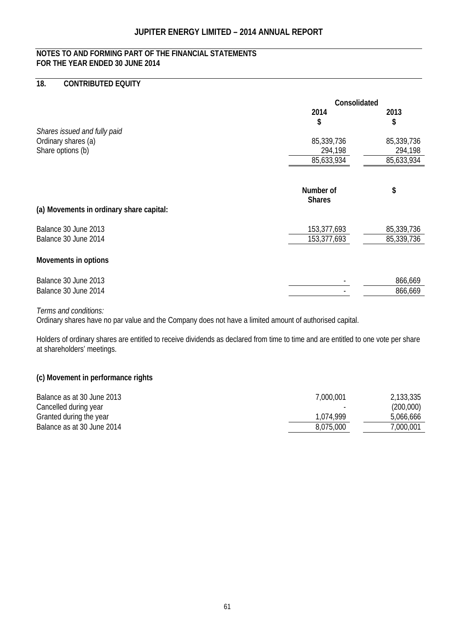## **18. CONTRIBUTED EQUITY**

|                                                                          |                                     | Consolidated                        |  |  |
|--------------------------------------------------------------------------|-------------------------------------|-------------------------------------|--|--|
|                                                                          | 2014<br>\$                          | 2013<br>\$                          |  |  |
| Shares issued and fully paid<br>Ordinary shares (a)<br>Share options (b) | 85,339,736<br>294,198<br>85,633,934 | 85,339,736<br>294,198<br>85,633,934 |  |  |
|                                                                          |                                     |                                     |  |  |
|                                                                          | Number of<br><b>Shares</b>          | \$                                  |  |  |
| (a) Movements in ordinary share capital:                                 |                                     |                                     |  |  |
| Balance 30 June 2013<br>Balance 30 June 2014                             | 153,377,693<br>153,377,693          | 85,339,736<br>85,339,736            |  |  |
| Movements in options                                                     |                                     |                                     |  |  |
| Balance 30 June 2013                                                     |                                     | 866,669                             |  |  |
| Balance 30 June 2014                                                     |                                     | 866,669                             |  |  |

#### *Terms and conditions:*

Ordinary shares have no par value and the Company does not have a limited amount of authorised capital.

Holders of ordinary shares are entitled to receive dividends as declared from time to time and are entitled to one vote per share at shareholders' meetings.

## **(c) Movement in performance rights**

| Balance as at 30 June 2013 | 7,000,001 | 2,133,335 |
|----------------------------|-----------|-----------|
| Cancelled during year      |           | (200,000) |
| Granted during the year    | 1.074.999 | 5,066,666 |
| Balance as at 30 June 2014 | 8,075,000 | 7.000.001 |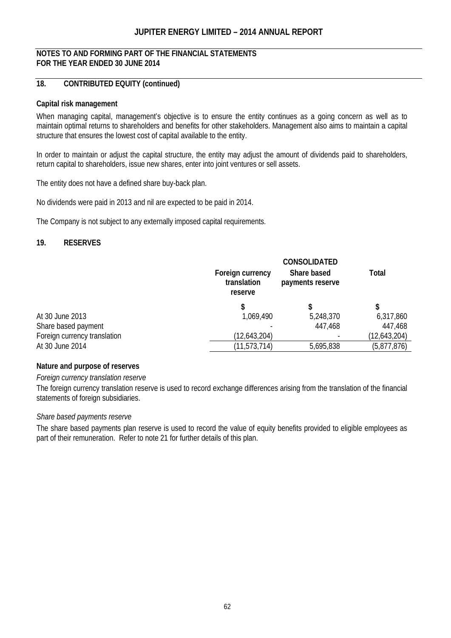## **18. CONTRIBUTED EQUITY (continued)**

#### **Capital risk management**

When managing capital, management's objective is to ensure the entity continues as a going concern as well as to maintain optimal returns to shareholders and benefits for other stakeholders. Management also aims to maintain a capital structure that ensures the lowest cost of capital available to the entity.

In order to maintain or adjust the capital structure, the entity may adjust the amount of dividends paid to shareholders, return capital to shareholders, issue new shares, enter into joint ventures or sell assets.

The entity does not have a defined share buy-back plan.

No dividends were paid in 2013 and nil are expected to be paid in 2014.

The Company is not subject to any externally imposed capital requirements.

## **19. RESERVES**

|                              | <b>CONSOLIDATED</b>                        |                                 |              |
|------------------------------|--------------------------------------------|---------------------------------|--------------|
|                              | Foreign currency<br>translation<br>reserve | Share based<br>payments reserve | Total        |
|                              | \$                                         |                                 |              |
| At 30 June 2013              | 1,069,490                                  | 5,248,370                       | 6,317,860    |
| Share based payment          |                                            | 447,468                         | 447,468      |
| Foreign currency translation | (12,643,204)                               |                                 | (12,643,204) |
| At 30 June 2014              | (11, 573, 714)                             | 5,695,838                       | (5,877,876)  |

## **Nature and purpose of reserves**

#### *Foreign currency translation reserve*

The foreign currency translation reserve is used to record exchange differences arising from the translation of the financial statements of foreign subsidiaries.

#### *Share based payments reserve*

The share based payments plan reserve is used to record the value of equity benefits provided to eligible employees as part of their remuneration. Refer to note 21 for further details of this plan.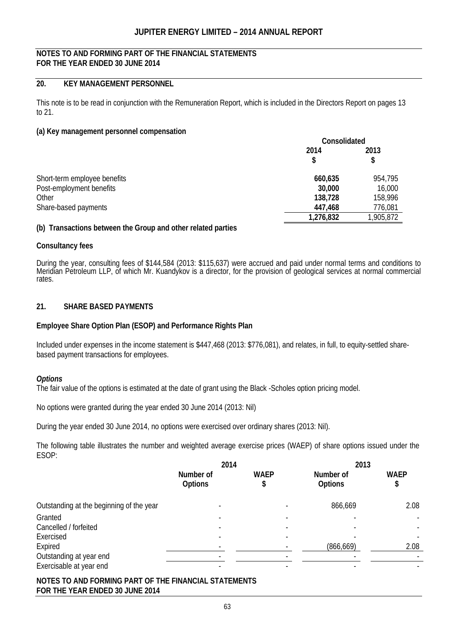## **20. KEY MANAGEMENT PERSONNEL**

This note is to be read in conjunction with the Remuneration Report, which is included in the Directors Report on pages 13 to 21.

#### **(a) Key management personnel compensation**

|                              | Consolidated |           |
|------------------------------|--------------|-----------|
|                              | 2014         | 2013      |
|                              | \$           |           |
| Short-term employee benefits | 660,635      | 954,795   |
| Post-employment benefits     | 30,000       | 16,000    |
| Other                        | 138,728      | 158,996   |
| Share-based payments         | 447,468      | 776,081   |
|                              | 1,276,832    | 1,905,872 |

#### **(b) Transactions between the Group and other related parties**

#### **Consultancy fees**

During the year, consulting fees of \$144,584 (2013: \$115,637) were accrued and paid under normal terms and conditions to Meridian Petroleum LLP, of which Mr. Kuandykov is a director, for the provision of geological services at normal commercial rates.

## **21. SHARE BASED PAYMENTS**

## **Employee Share Option Plan (ESOP) and Performance Rights Plan**

Included under expenses in the income statement is \$447,468 (2013: \$776,081), and relates, in full, to equity-settled sharebased payment transactions for employees.

## *Options*

The fair value of the options is estimated at the date of grant using the Black -Scholes option pricing model.

No options were granted during the year ended 30 June 2014 (2013: Nil)

During the year ended 30 June 2014, no options were exercised over ordinary shares (2013: Nil).

The following table illustrates the number and weighted average exercise prices (WAEP) of share options issued under the ESOP:

|                                          | 2014                 |                  | 2013                 |                   |
|------------------------------------------|----------------------|------------------|----------------------|-------------------|
|                                          | Number of<br>Options | <b>WAEP</b><br>Φ | Number of<br>Options | <b>WAEP</b><br>\$ |
| Outstanding at the beginning of the year |                      |                  | 866,669              | 2.08              |
| Granted                                  |                      |                  |                      |                   |
| Cancelled / forfeited                    |                      |                  |                      |                   |
| Exercised                                |                      |                  |                      |                   |
| Expired                                  |                      |                  | (866, 669)           | 2.08              |
| Outstanding at year end                  |                      |                  |                      |                   |
| Exercisable at year end                  |                      |                  |                      |                   |

#### **NOTES TO AND FORMING PART OF THE FINANCIAL STATEMENTS FOR THE YEAR ENDED 30 JUNE 2014**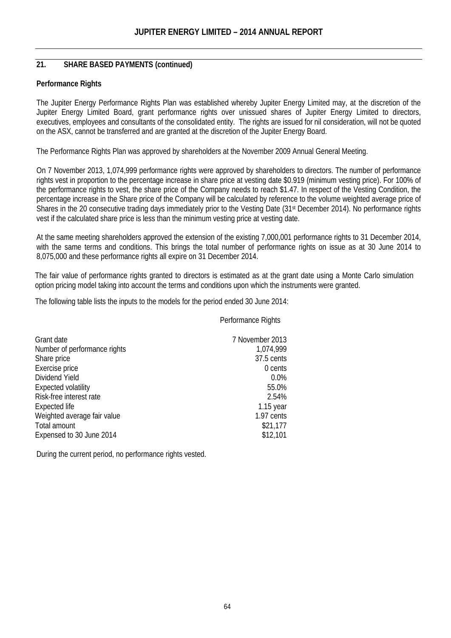## **21. SHARE BASED PAYMENTS (continued)**

## **Performance Rights**

The Jupiter Energy Performance Rights Plan was established whereby Jupiter Energy Limited may, at the discretion of the Jupiter Energy Limited Board, grant performance rights over unissued shares of Jupiter Energy Limited to directors, executives, employees and consultants of the consolidated entity. The rights are issued for nil consideration, will not be quoted on the ASX, cannot be transferred and are granted at the discretion of the Jupiter Energy Board.

The Performance Rights Plan was approved by shareholders at the November 2009 Annual General Meeting.

On 7 November 2013, 1,074,999 performance rights were approved by shareholders to directors. The number of performance rights vest in proportion to the percentage increase in share price at vesting date \$0.919 (minimum vesting price). For 100% of the performance rights to vest, the share price of the Company needs to reach \$1.47. In respect of the Vesting Condition, the percentage increase in the Share price of the Company will be calculated by reference to the volume weighted average price of Shares in the 20 consecutive trading days immediately prior to the Vesting Date (31st December 2014). No performance rights vest if the calculated share price is less than the minimum vesting price at vesting date.

At the same meeting shareholders approved the extension of the existing 7,000,001 performance rights to 31 December 2014, with the same terms and conditions. This brings the total number of performance rights on issue as at 30 June 2014 to 8,075,000 and these performance rights all expire on 31 December 2014.

The fair value of performance rights granted to directors is estimated as at the grant date using a Monte Carlo simulation option pricing model taking into account the terms and conditions upon which the instruments were granted.

The following table lists the inputs to the models for the period ended 30 June 2014:

#### Performance Rights

| Grant date                   | 7 November 2013 |
|------------------------------|-----------------|
| Number of performance rights | 1,074,999       |
| Share price                  | 37.5 cents      |
| Exercise price               | 0 cents         |
| Dividend Yield               | 0.0%            |
| <b>Expected volatility</b>   | 55.0%           |
| Risk-free interest rate      | 2.54%           |
| Expected life                | $1.15$ year     |
| Weighted average fair value  | 1.97 cents      |
| Total amount                 | \$21,177        |
| Expensed to 30 June 2014     | \$12,101        |

During the current period, no performance rights vested.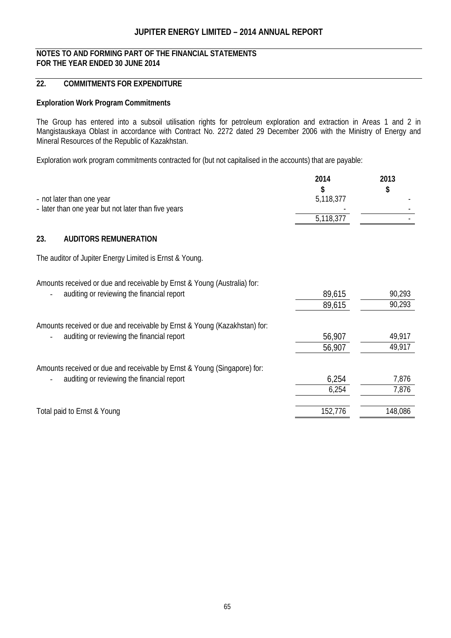## **22. COMMITMENTS FOR EXPENDITURE**

### **Exploration Work Program Commitments**

The Group has entered into a subsoil utilisation rights for petroleum exploration and extraction in Areas 1 and 2 in Mangistauskaya Oblast in accordance with Contract No. 2272 dated 29 December 2006 with the Ministry of Energy and Mineral Resources of the Republic of Kazakhstan.

Exploration work program commitments contracted for (but not capitalised in the accounts) that are payable:

|                                                                                  | 2014                     | 2013 |
|----------------------------------------------------------------------------------|--------------------------|------|
| - not later than one year<br>- later than one year but not later than five years | 5,118,377                |      |
|                                                                                  | $\overline{\phantom{0}}$ |      |
|                                                                                  | 5,118,377                |      |

## **23. AUDITORS REMUNERATION**

The auditor of Jupiter Energy Limited is Ernst & Young.

| Amounts received or due and receivable by Ernst & Young (Australia) for: |  |  |
|--------------------------------------------------------------------------|--|--|
|--------------------------------------------------------------------------|--|--|

| auditing or reviewing the financial report                                | 89,615  | 90,293  |
|---------------------------------------------------------------------------|---------|---------|
|                                                                           | 89,615  | 90,293  |
| Amounts received or due and receivable by Ernst & Young (Kazakhstan) for: |         |         |
| auditing or reviewing the financial report                                | 56,907  | 49,917  |
|                                                                           | 56,907  | 49,917  |
| Amounts received or due and receivable by Ernst & Young (Singapore) for:  |         |         |
| auditing or reviewing the financial report<br>$\qquad \qquad -$           | 6,254   | 7,876   |
|                                                                           | 6,254   | 7,876   |
| Total paid to Ernst & Young                                               | 152,776 | 148,086 |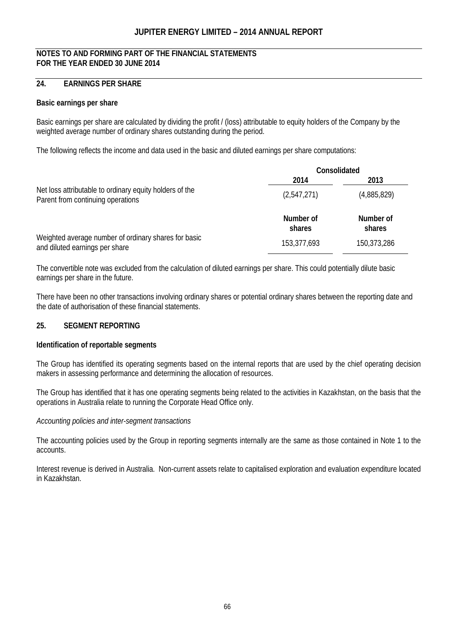## **24. EARNINGS PER SHARE**

### **Basic earnings per share**

Basic earnings per share are calculated by dividing the profit / (loss) attributable to equity holders of the Company by the weighted average number of ordinary shares outstanding during the period.

The following reflects the income and data used in the basic and diluted earnings per share computations:

|                                                                                              | Consolidated        |                     |  |
|----------------------------------------------------------------------------------------------|---------------------|---------------------|--|
|                                                                                              | 2014                | 2013                |  |
| Net loss attributable to ordinary equity holders of the<br>Parent from continuing operations | (2,547,271)         | (4,885,829)         |  |
|                                                                                              | Number of<br>shares | Number of<br>shares |  |
| Weighted average number of ordinary shares for basic<br>and diluted earnings per share       | 153,377,693         | 150,373,286         |  |

The convertible note was excluded from the calculation of diluted earnings per share. This could potentially dilute basic earnings per share in the future.

There have been no other transactions involving ordinary shares or potential ordinary shares between the reporting date and the date of authorisation of these financial statements.

## **25. SEGMENT REPORTING**

## **Identification of reportable segments**

The Group has identified its operating segments based on the internal reports that are used by the chief operating decision makers in assessing performance and determining the allocation of resources.

The Group has identified that it has one operating segments being related to the activities in Kazakhstan, on the basis that the operations in Australia relate to running the Corporate Head Office only.

## *Accounting policies and inter-segment transactions*

The accounting policies used by the Group in reporting segments internally are the same as those contained in Note 1 to the accounts.

Interest revenue is derived in Australia. Non-current assets relate to capitalised exploration and evaluation expenditure located in Kazakhstan.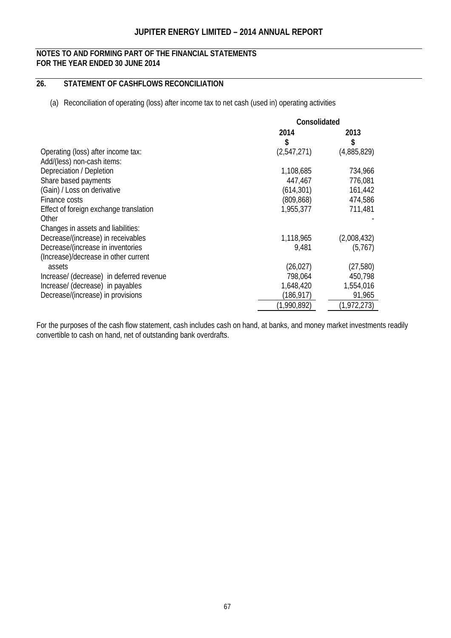## **26. STATEMENT OF CASHFLOWS RECONCILIATION**

(a) Reconciliation of operating (loss) after income tax to net cash (used in) operating activities

|                                          |             | Consolidated |  |
|------------------------------------------|-------------|--------------|--|
|                                          | 2014        | 2013         |  |
|                                          | \$          | \$           |  |
| Operating (loss) after income tax:       | (2,547,271) | (4,885,829)  |  |
| Add/(less) non-cash items:               |             |              |  |
| Depreciation / Depletion                 | 1,108,685   | 734,966      |  |
| Share based payments                     | 447,467     | 776,081      |  |
| (Gain) / Loss on derivative              | (614, 301)  | 161,442      |  |
| Finance costs                            | (809, 868)  | 474,586      |  |
| Effect of foreign exchange translation   | 1,955,377   | 711,481      |  |
| Other                                    |             |              |  |
| Changes in assets and liabilities:       |             |              |  |
| Decrease/(increase) in receivables       | 1,118,965   | (2,008,432)  |  |
| Decrease/(increase in inventories        | 9,481       | (5,767)      |  |
| (Increase)/decrease in other current     |             |              |  |
| assets                                   | (26, 027)   | (27, 580)    |  |
| Increase/ (decrease) in deferred revenue | 798,064     | 450,798      |  |
| Increase/ (decrease) in payables         | 1,648,420   | 1,554,016    |  |
| Decrease/(increase) in provisions        | (186, 917)  | 91,965       |  |
|                                          | (1,990,892) | (1,972,273)  |  |

For the purposes of the cash flow statement, cash includes cash on hand, at banks, and money market investments readily convertible to cash on hand, net of outstanding bank overdrafts.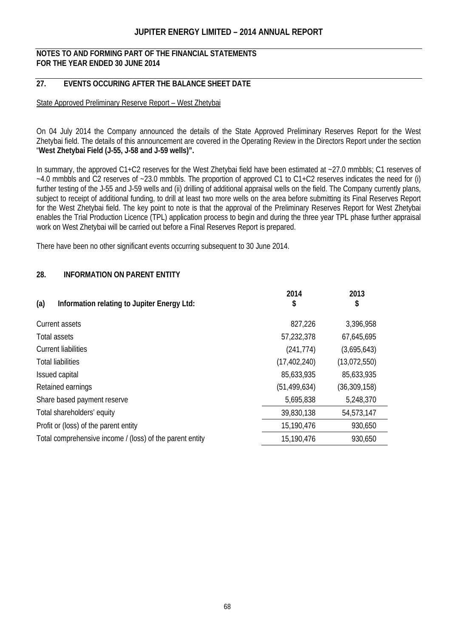## **27. EVENTS OCCURING AFTER THE BALANCE SHEET DATE**

## State Approved Preliminary Reserve Report – West Zhetybai

On 04 July 2014 the Company announced the details of the State Approved Preliminary Reserves Report for the West Zhetybai field. The details of this announcement are covered in the Operating Review in the Directors Report under the section "**West Zhetybai Field (J-55, J-58 and J-59 wells)".**

In summary, the approved C1+C2 reserves for the West Zhetybai field have been estimated at ~27.0 mmbbls; C1 reserves of  $\sim$ 4.0 mmbbls and C2 reserves of  $\sim$ 23.0 mmbbls. The proportion of approved C1 to C1+C2 reserves indicates the need for (i) further testing of the J-55 and J-59 wells and (ii) drilling of additional appraisal wells on the field. The Company currently plans, subject to receipt of additional funding, to drill at least two more wells on the area before submitting its Final Reserves Report for the West Zhetybai field. The key point to note is that the approval of the Preliminary Reserves Report for West Zhetybai enables the Trial Production Licence (TPL) application process to begin and during the three year TPL phase further appraisal work on West Zhetybai will be carried out before a Final Reserves Report is prepared.

There have been no other significant events occurring subsequent to 30 June 2014.

## **28. INFORMATION ON PARENT ENTITY**

| (a)<br>Information relating to Jupiter Energy Ltd:       | 2014<br>\$     | 2013<br>\$     |
|----------------------------------------------------------|----------------|----------------|
| Current assets                                           | 827,226        | 3,396,958      |
| Total assets                                             | 57,232,378     | 67,645,695     |
| <b>Current liabilities</b>                               | (241, 774)     | (3,695,643)    |
| <b>Total liabilities</b>                                 | (17, 402, 240) | (13,072,550)   |
| Issued capital                                           | 85,633,935     | 85,633,935     |
| Retained earnings                                        | (51, 499, 634) | (36, 309, 158) |
| Share based payment reserve                              | 5,695,838      | 5,248,370      |
| Total shareholders' equity                               | 39,830,138     | 54, 573, 147   |
| Profit or (loss) of the parent entity                    | 15,190,476     | 930,650        |
| Total comprehensive income / (loss) of the parent entity | 15,190,476     | 930,650        |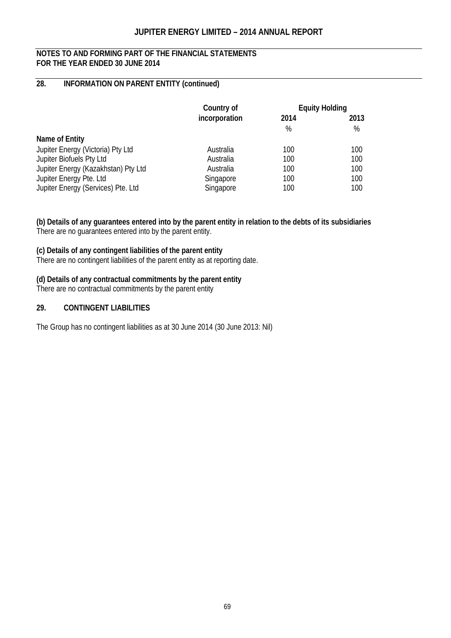## **28. INFORMATION ON PARENT ENTITY (continued)**

|                                     | Country of<br>incorporation | <b>Equity Holding</b> |      |
|-------------------------------------|-----------------------------|-----------------------|------|
|                                     |                             | 2014                  | 2013 |
|                                     |                             | $\%$                  | %    |
| Name of Entity                      |                             |                       |      |
| Jupiter Energy (Victoria) Pty Ltd   | Australia                   | 100                   | 100  |
| Jupiter Biofuels Pty Ltd            | Australia                   | 100                   | 100  |
| Jupiter Energy (Kazakhstan) Pty Ltd | Australia                   | 100                   | 100  |
| Jupiter Energy Pte. Ltd             | Singapore                   | 100                   | 100  |
| Jupiter Energy (Services) Pte. Ltd  | Singapore                   | 100                   | 100  |
|                                     |                             |                       |      |

**(b) Details of any guarantees entered into by the parent entity in relation to the debts of its subsidiaries** There are no guarantees entered into by the parent entity.

## **(c) Details of any contingent liabilities of the parent entity**

There are no contingent liabilities of the parent entity as at reporting date.

## **(d) Details of any contractual commitments by the parent entity**

There are no contractual commitments by the parent entity

## **29. CONTINGENT LIABILITIES**

The Group has no contingent liabilities as at 30 June 2014 (30 June 2013: Nil)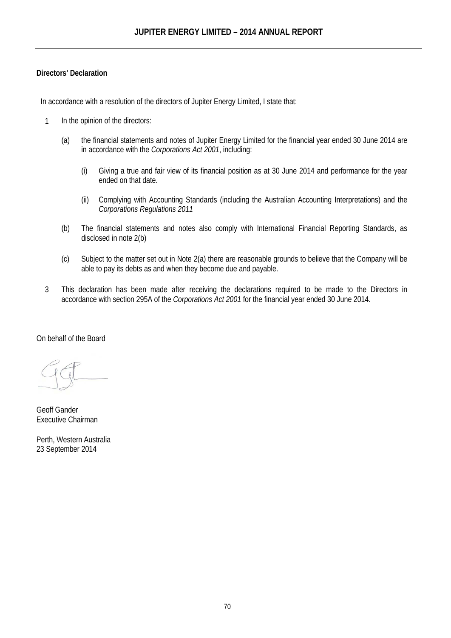## **Directors' Declaration**

In accordance with a resolution of the directors of Jupiter Energy Limited, I state that:

- 1 In the opinion of the directors:
	- (a) the financial statements and notes of Jupiter Energy Limited for the financial year ended 30 June 2014 are in accordance with the *Corporations Act 2001*, including:
		- (i) Giving a true and fair view of its financial position as at 30 June 2014 and performance for the year ended on that date.
		- (ii) Complying with Accounting Standards (including the Australian Accounting Interpretations) and the *Corporations Regulations 2011*
	- (b) The financial statements and notes also comply with International Financial Reporting Standards, as disclosed in note 2(b)
	- (c) Subject to the matter set out in Note 2(a) there are reasonable grounds to believe that the Company will be able to pay its debts as and when they become due and payable.
- 3 This declaration has been made after receiving the declarations required to be made to the Directors in accordance with section 295A of the *Corporations Act 2001* for the financial year ended 30 June 2014.

On behalf of the Board

Geoff Gander Executive Chairman

Perth, Western Australia 23 September 2014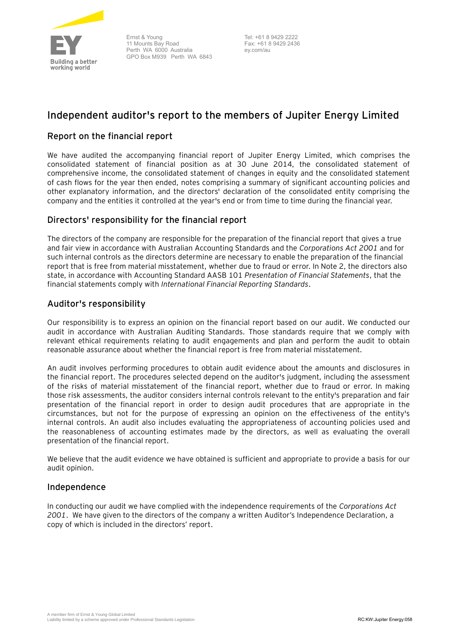

Ernst & Young 11 Mounts Bay Road Perth WA 6000 Australia GPO Box M939 Perth WA 6843

Tel: +61 8 9429 2222 Fax: +61 8 9429 2436 ey.com/au

# **Independent auditor's report to the members of Jupiter Energy Limited**

# **Report on the financial report**

We have audited the accompanying financial report of Jupiter Energy Limited, which comprises the consolidated statement of financial position as at 30 June 2014, the consolidated statement of comprehensive income, the consolidated statement of changes in equity and the consolidated statement of cash flows for the year then ended, notes comprising a summary of significant accounting policies and other explanatory information, and the directors' declaration of the consolidated entity comprising the company and the entities it controlled at the year's end or from time to time during the financial year.

## **Directors' responsibility for the financial report**

The directors of the company are responsible for the preparation of the financial report that gives a true and fair view in accordance with Australian Accounting Standards and the *Corporations Act 2001* and for such internal controls as the directors determine are necessary to enable the preparation of the financial report that is free from material misstatement, whether due to fraud or error. In Note 2, the directors also state, in accordance with Accounting Standard AASB 101 *Presentation of Financial Statements*, that the financial statements comply with *International Financial Reporting Standards*.

### **Auditor's responsibility**

Our responsibility is to express an opinion on the financial report based on our audit. We conducted our audit in accordance with Australian Auditing Standards. Those standards require that we comply with relevant ethical requirements relating to audit engagements and plan and perform the audit to obtain reasonable assurance about whether the financial report is free from material misstatement.

An audit involves performing procedures to obtain audit evidence about the amounts and disclosures in the financial report. The procedures selected depend on the auditor's judgment, including the assessment of the risks of material misstatement of the financial report, whether due to fraud or error. In making those risk assessments, the auditor considers internal controls relevant to the entity's preparation and fair presentation of the financial report in order to design audit procedures that are appropriate in the circumstances, but not for the purpose of expressing an opinion on the effectiveness of the entity's internal controls. An audit also includes evaluating the appropriateness of accounting policies used and the reasonableness of accounting estimates made by the directors, as well as evaluating the overall presentation of the financial report.

We believe that the audit evidence we have obtained is sufficient and appropriate to provide a basis for our audit opinion.

### **Independence**

In conducting our audit we have complied with the independence requirements of the *Corporations Act 2001*. We have given to the directors of the company a written Auditor's Independence Declaration, a copy of which is included in the directors' report.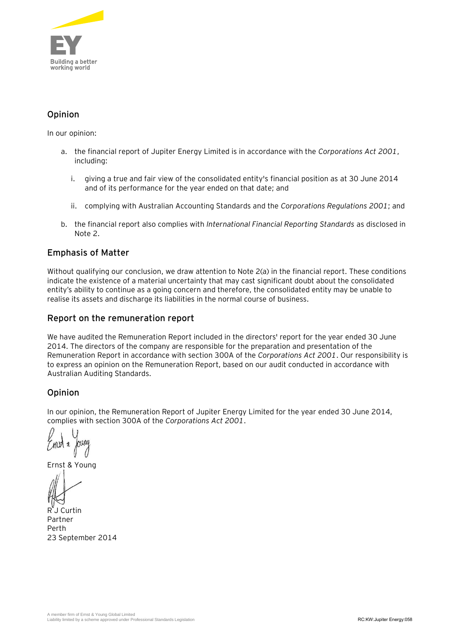

# **Opinion**

In our opinion:

- a. the financial report of Jupiter Energy Limited is in accordance with the *Corporations Act 2001*, including:
	- i. giving a true and fair view of the consolidated entity's financial position as at 30 June 2014 and of its performance for the year ended on that date; and
	- ii. complying with Australian Accounting Standards and the *Corporations Regulations 2001*; and
- b. the financial report also complies with *International Financial Reporting Standards* as disclosed in Note 2.

# **Emphasis of Matter**

Without qualifying our conclusion, we draw attention to Note 2(a) in the financial report. These conditions indicate the existence of a material uncertainty that may cast significant doubt about the consolidated entity's ability to continue as a going concern and therefore, the consolidated entity may be unable to realise its assets and discharge its liabilities in the normal course of business.

## **Report on the remuneration report**

We have audited the Remuneration Report included in the directors' report for the year ended 30 June 2014. The directors of the company are responsible for the preparation and presentation of the Remuneration Report in accordance with section 300A of the *Corporations Act 2001*. Our responsibility is to express an opinion on the Remuneration Report, based on our audit conducted in accordance with Australian Auditing Standards.

# **Opinion**

In our opinion, the Remuneration Report of Jupiter Energy Limited for the year ended 30 June 2014, complies with section 300A of the *Corporations Act 2001*.

Ernst & Young

RU Curtin Partner Perth 23 September 2014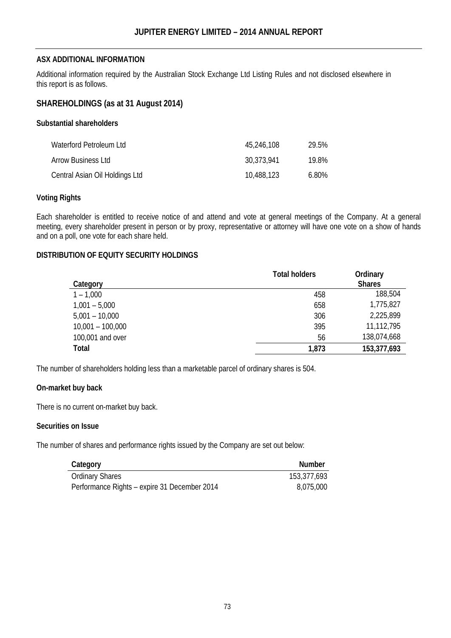### **ASX ADDITIONAL INFORMATION**

Additional information required by the Australian Stock Exchange Ltd Listing Rules and not disclosed elsewhere in this report is as follows.

## **SHAREHOLDINGS (as at 31 August 2014)**

#### **Substantial shareholders**

| Waterford Petroleum Ltd        | 45.246.108 | 29.5% |
|--------------------------------|------------|-------|
| Arrow Business Ltd             | 30.373.941 | 19.8% |
| Central Asian Oil Holdings Ltd | 10,488,123 | 6.80% |

### **Voting Rights**

Each shareholder is entitled to receive notice of and attend and vote at general meetings of the Company. At a general meeting, every shareholder present in person or by proxy, representative or attorney will have one vote on a show of hands and on a poll, one vote for each share held.

### **DISTRIBUTION OF EQUITY SECURITY HOLDINGS**

|                    | <b>Total holders</b> | Ordinary      |
|--------------------|----------------------|---------------|
| Category           |                      | <b>Shares</b> |
| $1 - 1,000$        | 458                  | 188,504       |
| $1,001 - 5,000$    | 658                  | 1,775,827     |
| $5,001 - 10,000$   | 306                  | 2,225,899     |
| $10,001 - 100,000$ | 395                  | 11,112,795    |
| 100,001 and over   | 56                   | 138,074,668   |
| Total              | 1,873                | 153,377,693   |

The number of shareholders holding less than a marketable parcel of ordinary shares is 504.

### **On-market buy back**

There is no current on-market buy back.

### **Securities on Issue**

The number of shares and performance rights issued by the Company are set out below:

| Category                                     | Number      |
|----------------------------------------------|-------------|
| <b>Ordinary Shares</b>                       | 153,377,693 |
| Performance Rights - expire 31 December 2014 | 8,075,000   |